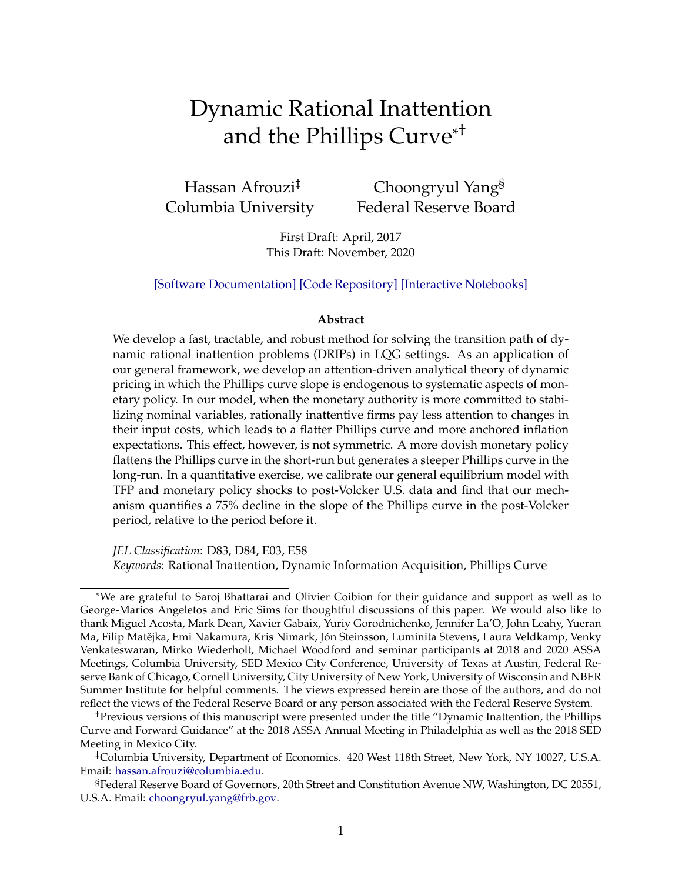# <span id="page-0-0"></span>Dynamic Rational Inattention and the Phillips Curve<sup>\*†</sup>

Hassan Afrouzi‡ Columbia University

Choongryul Yang§ Federal Reserve Board

First Draft: April, 2017 This Draft: November, 2020

[\[Software Documentation\]](https://afrouzi.com/DRIPs.jl/dev/) [\[Code Repository\]](https://www.github.com/afrouzi/DRIPs.jl) [\[Interactive Notebooks\]](https://mybinder.org/v2/gh/afrouzi/DRIPs.jl/binder?filepath=examples)

#### **Abstract**

We develop a fast, tractable, and robust method for solving the transition path of dynamic rational inattention problems (DRIPs) in LQG settings. As an application of our general framework, we develop an attention-driven analytical theory of dynamic pricing in which the Phillips curve slope is endogenous to systematic aspects of monetary policy. In our model, when the monetary authority is more committed to stabilizing nominal variables, rationally inattentive firms pay less attention to changes in their input costs, which leads to a flatter Phillips curve and more anchored inflation expectations. This effect, however, is not symmetric. A more dovish monetary policy flattens the Phillips curve in the short-run but generates a steeper Phillips curve in the long-run. In a quantitative exercise, we calibrate our general equilibrium model with TFP and monetary policy shocks to post-Volcker U.S. data and find that our mechanism quantifies a 75% decline in the slope of the Phillips curve in the post-Volcker period, relative to the period before it.

*JEL Classification*: D83, D84, E03, E58

*Keywords*: Rational Inattention, Dynamic Information Acquisition, Phillips Curve

<sup>\*</sup>We are grateful to Saroj Bhattarai and Olivier Coibion for their guidance and support as well as to George-Marios Angeletos and Eric Sims for thoughtful discussions of this paper. We would also like to thank Miguel Acosta, Mark Dean, Xavier Gabaix, Yuriy Gorodnichenko, Jennifer La'O, John Leahy, Yueran Ma, Filip Matějka, Emi Nakamura, Kris Nimark, Jón Steinsson, Luminita Stevens, Laura Veldkamp, Venky Venkateswaran, Mirko Wiederholt, Michael Woodford and seminar participants at 2018 and 2020 ASSA Meetings, Columbia University, SED Mexico City Conference, University of Texas at Austin, Federal Reserve Bank of Chicago, Cornell University, City University of New York, University of Wisconsin and NBER Summer Institute for helpful comments. The views expressed herein are those of the authors, and do not reflect the views of the Federal Reserve Board or any person associated with the Federal Reserve System.

<sup>†</sup>Previous versions of this manuscript were presented under the title "Dynamic Inattention, the Phillips Curve and Forward Guidance" at the 2018 ASSA Annual Meeting in Philadelphia as well as the 2018 SED Meeting in Mexico City.

<sup>‡</sup>Columbia University, Department of Economics. 420 West 118th Street, New York, NY 10027, U.S.A. Email: [hassan.afrouzi@columbia.edu.](mailto:hassan.afrouzi@columbia.edu)

<sup>§</sup>Federal Reserve Board of Governors, 20th Street and Constitution Avenue NW, Washington, DC 20551, U.S.A. Email: [choongryul.yang@frb.gov.](mailto:choongryul.yang@frb.gov)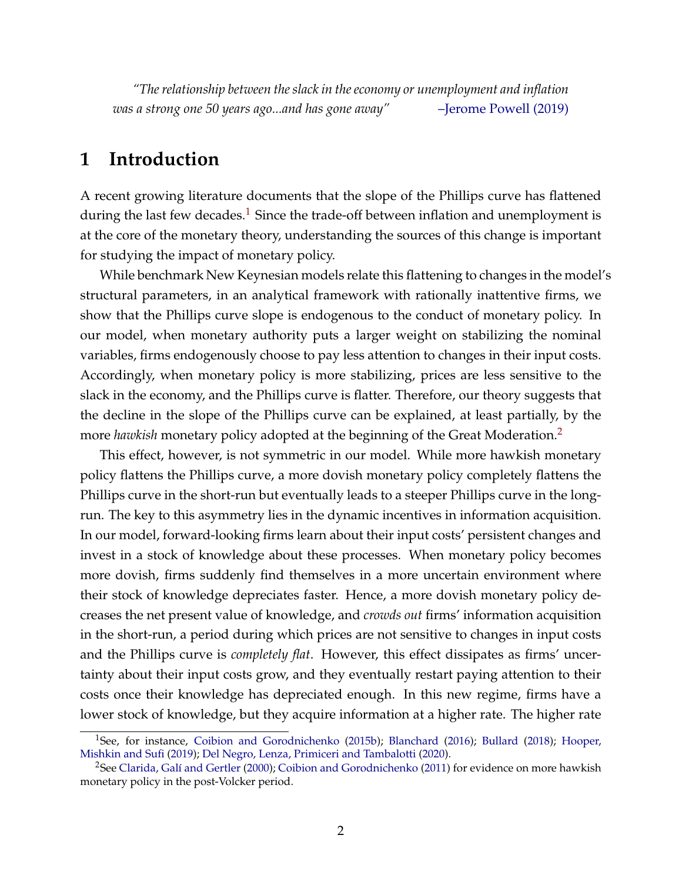*"The relationship between the slack in the economy or unemployment and inflation was a strong one 50 years ago...and has gone away"* [–Jerome Powell \(2019\)](#page-50-0)

## **1 Introduction**

A recent growing literature documents that the slope of the Phillips curve has flattened during the last few decades.<sup>[1](#page-0-0)</sup> Since the trade-off between inflation and unemployment is at the core of the monetary theory, understanding the sources of this change is important for studying the impact of monetary policy.

While benchmark New Keynesian models relate this flattening to changes in the model's structural parameters, in an analytical framework with rationally inattentive firms, we show that the Phillips curve slope is endogenous to the conduct of monetary policy. In our model, when monetary authority puts a larger weight on stabilizing the nominal variables, firms endogenously choose to pay less attention to changes in their input costs. Accordingly, when monetary policy is more stabilizing, prices are less sensitive to the slack in the economy, and the Phillips curve is flatter. Therefore, our theory suggests that the decline in the slope of the Phillips curve can be explained, at least partially, by the more *hawkish* monetary policy adopted at the beginning of the Great Moderation.[2](#page-0-0)

This effect, however, is not symmetric in our model. While more hawkish monetary policy flattens the Phillips curve, a more dovish monetary policy completely flattens the Phillips curve in the short-run but eventually leads to a steeper Phillips curve in the longrun. The key to this asymmetry lies in the dynamic incentives in information acquisition. In our model, forward-looking firms learn about their input costs' persistent changes and invest in a stock of knowledge about these processes. When monetary policy becomes more dovish, firms suddenly find themselves in a more uncertain environment where their stock of knowledge depreciates faster. Hence, a more dovish monetary policy decreases the net present value of knowledge, and *crowds out* firms' information acquisition in the short-run, a period during which prices are not sensitive to changes in input costs and the Phillips curve is *completely flat*. However, this effect dissipates as firms' uncertainty about their input costs grow, and they eventually restart paying attention to their costs once their knowledge has depreciated enough. In this new regime, firms have a lower stock of knowledge, but they acquire information at a higher rate. The higher rate

<sup>&</sup>lt;sup>1</sup>See, for instance, [Coibion and Gorodnichenko](#page-46-0) [\(2015b\)](#page-46-0); [Blanchard](#page-46-1) [\(2016\)](#page-46-1); [Bullard](#page-46-2) [\(2018\)](#page-46-2); [Hooper,](#page-47-0) [Mishkin and Sufi](#page-47-0) [\(2019\)](#page-47-0); [Del Negro, Lenza, Primiceri and Tambalotti](#page-47-1) [\(2020\)](#page-47-1).

<sup>&</sup>lt;sup>2</sup>See [Clarida, Galí and Gertler](#page-46-3) [\(2000\)](#page-46-3); [Coibion and Gorodnichenko](#page-46-4) [\(2011\)](#page-46-4) for evidence on more hawkish monetary policy in the post-Volcker period.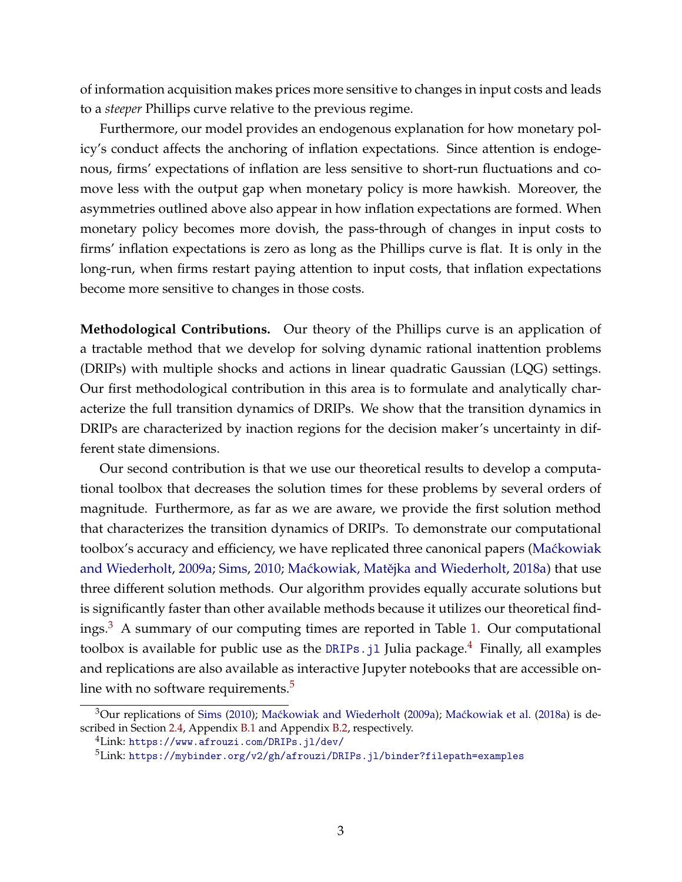of information acquisition makes prices more sensitive to changes in input costs and leads to a *steeper* Phillips curve relative to the previous regime.

Furthermore, our model provides an endogenous explanation for how monetary policy's conduct affects the anchoring of inflation expectations. Since attention is endogenous, firms' expectations of inflation are less sensitive to short-run fluctuations and comove less with the output gap when monetary policy is more hawkish. Moreover, the asymmetries outlined above also appear in how inflation expectations are formed. When monetary policy becomes more dovish, the pass-through of changes in input costs to firms' inflation expectations is zero as long as the Phillips curve is flat. It is only in the long-run, when firms restart paying attention to input costs, that inflation expectations become more sensitive to changes in those costs.

**Methodological Contributions.** Our theory of the Phillips curve is an application of a tractable method that we develop for solving dynamic rational inattention problems (DRIPs) with multiple shocks and actions in linear quadratic Gaussian (LQG) settings. Our first methodological contribution in this area is to formulate and analytically characterize the full transition dynamics of DRIPs. We show that the transition dynamics in DRIPs are characterized by inaction regions for the decision maker's uncertainty in different state dimensions.

Our second contribution is that we use our theoretical results to develop a computational toolbox that decreases the solution times for these problems by several orders of magnitude. Furthermore, as far as we are aware, we provide the first solution method that characterizes the transition dynamics of DRIPs. To demonstrate our computational toolbox's accuracy and efficiency, we have replicated three canonical papers (Maćkowiak [and Wiederholt,](#page-48-0) [2009a;](#page-48-0) [Sims,](#page-50-1) [2010;](#page-50-1) Maćkowiak, Matějka and Wiederholt, [2018a\)](#page-48-1) that use three different solution methods. Our algorithm provides equally accurate solutions but is significantly faster than other available methods because it utilizes our theoretical find-ings.<sup>[3](#page-0-0)</sup> A summary of our computing times are reported in Table [1.](#page-14-0) Our computational toolbox is available for public use as the DRIPs. j1 Julia package.<sup>[4](#page-0-0)</sup> Finally, all examples and replications are also available as interactive Jupyter notebooks that are accessible online with no software requirements. $<sup>5</sup>$  $<sup>5</sup>$  $<sup>5</sup>$ </sup>

 $3$ Our replications of [Sims](#page-50-1) [\(2010\)](#page-50-1); Maćkowiak and Wiederholt [\(2009a\)](#page-48-0); Maćkowiak et al. [\(2018a\)](#page-48-1) is described in Section [2.4,](#page-16-0) Appendix [B.1](#page-62-0) and Appendix [B.2,](#page-62-1) respectively.

<sup>4</sup>Link: <https://www.afrouzi.com/DRIPs.jl/dev/>

<sup>5</sup>Link: <https://mybinder.org/v2/gh/afrouzi/DRIPs.jl/binder?filepath=examples>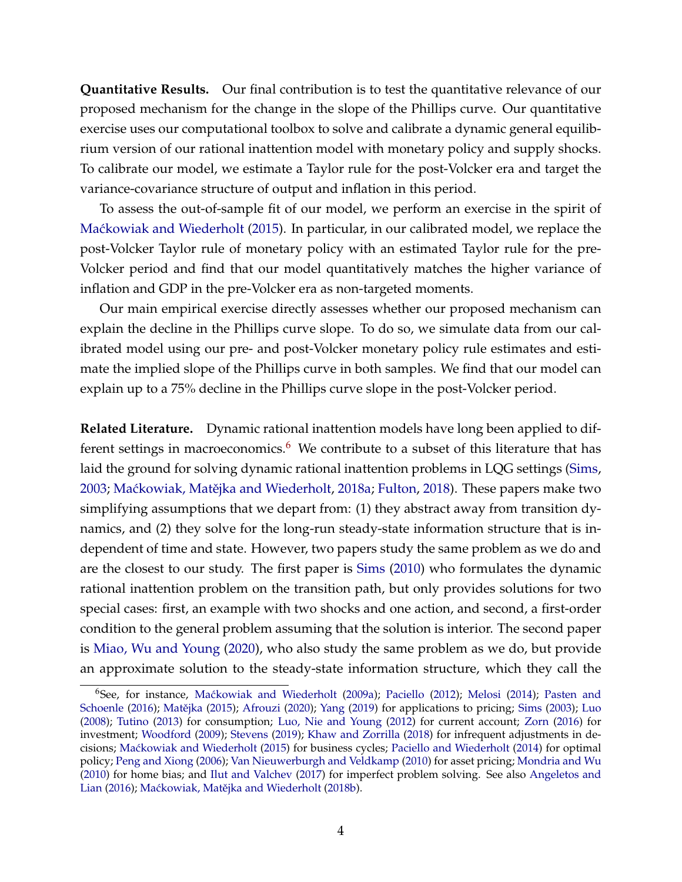**Quantitative Results.** Our final contribution is to test the quantitative relevance of our proposed mechanism for the change in the slope of the Phillips curve. Our quantitative exercise uses our computational toolbox to solve and calibrate a dynamic general equilibrium version of our rational inattention model with monetary policy and supply shocks. To calibrate our model, we estimate a Taylor rule for the post-Volcker era and target the variance-covariance structure of output and inflation in this period.

To assess the out-of-sample fit of our model, we perform an exercise in the spirit of Maćkowiak and Wiederholt [\(2015\)](#page-48-2). In particular, in our calibrated model, we replace the post-Volcker Taylor rule of monetary policy with an estimated Taylor rule for the pre-Volcker period and find that our model quantitatively matches the higher variance of inflation and GDP in the pre-Volcker era as non-targeted moments.

Our main empirical exercise directly assesses whether our proposed mechanism can explain the decline in the Phillips curve slope. To do so, we simulate data from our calibrated model using our pre- and post-Volcker monetary policy rule estimates and estimate the implied slope of the Phillips curve in both samples. We find that our model can explain up to a 75% decline in the Phillips curve slope in the post-Volcker period.

**Related Literature.** Dynamic rational inattention models have long been applied to dif-ferent settings in macroeconomics.<sup>[6](#page-0-0)</sup> We contribute to a subset of this literature that has laid the ground for solving dynamic rational inattention problems in LQG settings [\(Sims,](#page-50-2) [2003;](#page-50-2) Maćkowiak, Matějka and Wiederholt, [2018a;](#page-48-1) [Fulton,](#page-47-2) [2018\)](#page-47-2). These papers make two simplifying assumptions that we depart from: (1) they abstract away from transition dynamics, and (2) they solve for the long-run steady-state information structure that is independent of time and state. However, two papers study the same problem as we do and are the closest to our study. The first paper is [Sims](#page-50-1) [\(2010\)](#page-50-1) who formulates the dynamic rational inattention problem on the transition path, but only provides solutions for two special cases: first, an example with two shocks and one action, and second, a first-order condition to the general problem assuming that the solution is interior. The second paper is [Miao, Wu and Young](#page-49-0) [\(2020\)](#page-49-0), who also study the same problem as we do, but provide an approximate solution to the steady-state information structure, which they call the

<sup>&</sup>lt;sup>6</sup>See, for instance, Mackowiak and Wiederholt [\(2009a\)](#page-48-0); [Paciello](#page-49-1) [\(2012\)](#page-49-1); [Melosi](#page-49-2) [\(2014\)](#page-49-2); [Pasten and](#page-49-3) [Schoenle](#page-49-3) [\(2016\)](#page-49-3); Matějka [\(2015\)](#page-49-4); [Afrouzi](#page-45-0) [\(2020\)](#page-45-0); [Yang](#page-50-3) [\(2019\)](#page-50-3) for applications to pricing; [Sims](#page-50-2) [\(2003\)](#page-50-2); [Luo](#page-48-3) [\(2008\)](#page-48-3); [Tutino](#page-50-4) [\(2013\)](#page-50-4) for consumption; [Luo, Nie and Young](#page-48-4) [\(2012\)](#page-48-4) for current account; [Zorn](#page-50-5) [\(2016\)](#page-50-5) for investment; [Woodford](#page-50-6) [\(2009\)](#page-50-6); [Stevens](#page-50-7) [\(2019\)](#page-50-7); [Khaw and Zorrilla](#page-48-5) [\(2018\)](#page-48-5) for infrequent adjustments in decisions; [Ma´ckowiak and Wiederholt](#page-48-2) [\(2015\)](#page-48-2) for business cycles; [Paciello and Wiederholt](#page-49-5) [\(2014\)](#page-49-5) for optimal policy; [Peng and Xiong](#page-50-8) [\(2006\)](#page-50-8); [Van Nieuwerburgh and Veldkamp](#page-49-6) [\(2010\)](#page-49-6) for asset pricing; [Mondria and Wu](#page-49-7) [\(2010\)](#page-49-7) for home bias; and [Ilut and Valchev](#page-48-6) [\(2017\)](#page-48-6) for imperfect problem solving. See also [Angeletos and](#page-46-5) [Lian](#page-46-5) [\(2016\)](#page-46-5); Maćkowiak, Matějka and Wiederholt [\(2018b\)](#page-49-8).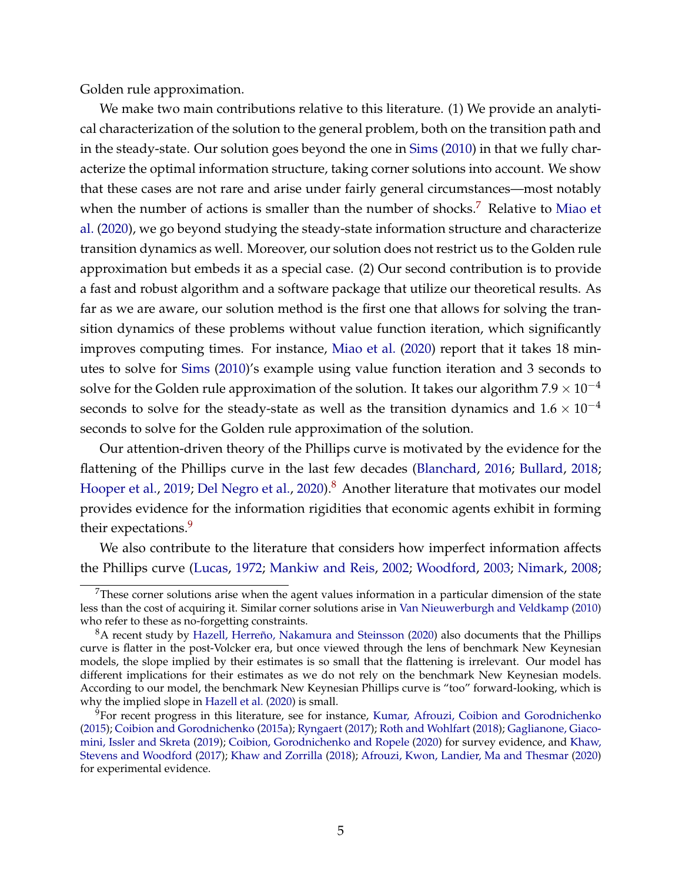Golden rule approximation.

We make two main contributions relative to this literature. (1) We provide an analytical characterization of the solution to the general problem, both on the transition path and in the steady-state. Our solution goes beyond the one in [Sims](#page-50-1) [\(2010\)](#page-50-1) in that we fully characterize the optimal information structure, taking corner solutions into account. We show that these cases are not rare and arise under fairly general circumstances—most notably when the number of actions is smaller than the number of shocks.<sup>[7](#page-0-0)</sup> Relative to [Miao et](#page-49-0) [al.](#page-49-0) [\(2020\)](#page-49-0), we go beyond studying the steady-state information structure and characterize transition dynamics as well. Moreover, our solution does not restrict us to the Golden rule approximation but embeds it as a special case. (2) Our second contribution is to provide a fast and robust algorithm and a software package that utilize our theoretical results. As far as we are aware, our solution method is the first one that allows for solving the transition dynamics of these problems without value function iteration, which significantly improves computing times. For instance, [Miao et al.](#page-49-0) [\(2020\)](#page-49-0) report that it takes 18 minutes to solve for [Sims](#page-50-1) [\(2010\)](#page-50-1)'s example using value function iteration and 3 seconds to solve for the Golden rule approximation of the solution. It takes our algorithm  $7.9 \times 10^{-4}$ seconds to solve for the steady-state as well as the transition dynamics and  $1.6 \times 10^{-4}$ seconds to solve for the Golden rule approximation of the solution.

Our attention-driven theory of the Phillips curve is motivated by the evidence for the flattening of the Phillips curve in the last few decades [\(Blanchard,](#page-46-1) [2016;](#page-46-1) [Bullard,](#page-46-2) [2018;](#page-46-2) [Hooper et al.,](#page-47-0) [2019;](#page-47-0) [Del Negro et al.,](#page-47-1) [2020\)](#page-47-1).<sup>[8](#page-0-0)</sup> Another literature that motivates our model provides evidence for the information rigidities that economic agents exhibit in forming their expectations.<sup>[9](#page-0-0)</sup>

We also contribute to the literature that considers how imperfect information affects the Phillips curve [\(Lucas,](#page-48-7) [1972;](#page-48-7) [Mankiw and Reis,](#page-49-9) [2002;](#page-49-9) [Woodford,](#page-50-9) [2003;](#page-50-9) [Nimark,](#page-49-10) [2008;](#page-49-10)

 $7$ These corner solutions arise when the agent values information in a particular dimension of the state less than the cost of acquiring it. Similar corner solutions arise in [Van Nieuwerburgh and Veldkamp](#page-49-6) [\(2010\)](#page-49-6) who refer to these as no-forgetting constraints.

<sup>8</sup>A recent study by [Hazell, Herreño, Nakamura and Steinsson](#page-47-3) [\(2020\)](#page-47-3) also documents that the Phillips curve is flatter in the post-Volcker era, but once viewed through the lens of benchmark New Keynesian models, the slope implied by their estimates is so small that the flattening is irrelevant. Our model has different implications for their estimates as we do not rely on the benchmark New Keynesian models. According to our model, the benchmark New Keynesian Phillips curve is "too" forward-looking, which is why the implied slope in [Hazell et al.](#page-47-3) [\(2020\)](#page-47-3) is small.

<sup>&</sup>lt;sup>9</sup>For recent progress in this literature, see for instance, [Kumar, Afrouzi, Coibion and Gorodnichenko](#page-48-8) [\(2015\)](#page-48-8); [Coibion and Gorodnichenko](#page-46-6) [\(2015a\)](#page-46-6); [Ryngaert](#page-50-10) [\(2017\)](#page-50-10); [Roth and Wohlfart](#page-50-11) [\(2018\)](#page-50-11); [Gaglianone, Giaco](#page-47-4)[mini, Issler and Skreta](#page-47-4) [\(2019\)](#page-47-4); [Coibion, Gorodnichenko and Ropele](#page-47-5) [\(2020\)](#page-47-5) for survey evidence, and [Khaw,](#page-48-9) [Stevens and Woodford](#page-48-9) [\(2017\)](#page-48-9); [Khaw and Zorrilla](#page-48-5) [\(2018\)](#page-48-5); [Afrouzi, Kwon, Landier, Ma and Thesmar](#page-45-1) [\(2020\)](#page-45-1) for experimental evidence.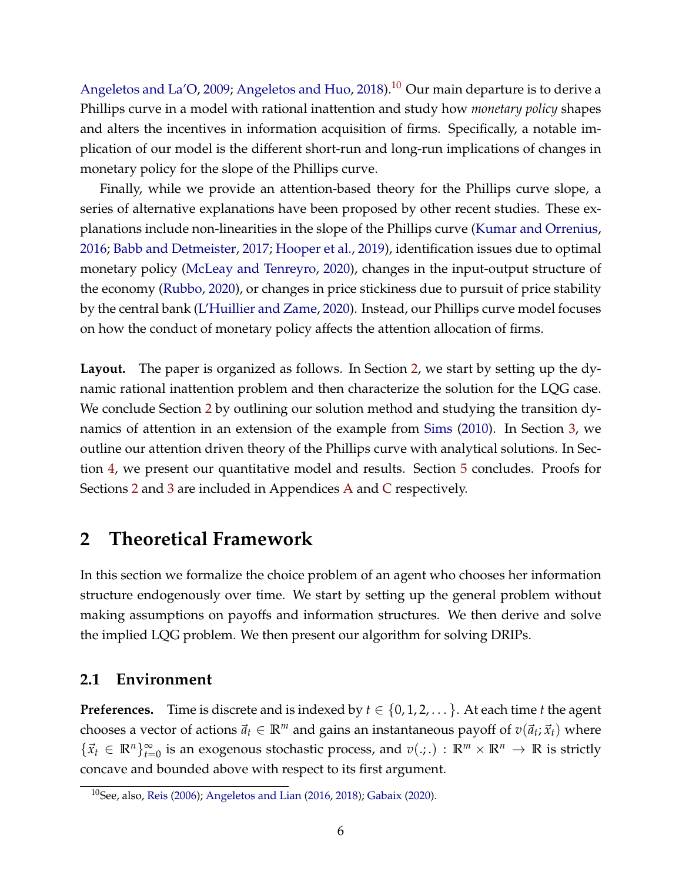[Angeletos and La'O,](#page-46-7) [2009;](#page-46-7) [Angeletos and Huo,](#page-46-8) [2018\)](#page-46-8).<sup>[10](#page-0-0)</sup> Our main departure is to derive a Phillips curve in a model with rational inattention and study how *monetary policy* shapes and alters the incentives in information acquisition of firms. Specifically, a notable implication of our model is the different short-run and long-run implications of changes in monetary policy for the slope of the Phillips curve.

Finally, while we provide an attention-based theory for the Phillips curve slope, a series of alternative explanations have been proposed by other recent studies. These explanations include non-linearities in the slope of the Phillips curve [\(Kumar and Orrenius,](#page-48-10) [2016;](#page-48-10) [Babb and Detmeister,](#page-46-9) [2017;](#page-46-9) [Hooper et al.,](#page-47-0) [2019\)](#page-47-0), identification issues due to optimal monetary policy [\(McLeay and Tenreyro,](#page-49-11) [2020\)](#page-49-11), changes in the input-output structure of the economy [\(Rubbo,](#page-50-12) [2020\)](#page-50-12), or changes in price stickiness due to pursuit of price stability by the central bank [\(L'Huillier and Zame,](#page-48-11) [2020\)](#page-48-11). Instead, our Phillips curve model focuses on how the conduct of monetary policy affects the attention allocation of firms.

**Layout.** The paper is organized as follows. In Section [2,](#page-5-0) we start by setting up the dynamic rational inattention problem and then characterize the solution for the LQG case. We conclude Section [2](#page-5-0) by outlining our solution method and studying the transition dynamics of attention in an extension of the example from [Sims](#page-50-1) [\(2010\)](#page-50-1). In Section [3,](#page-23-0) we outline our attention driven theory of the Phillips curve with analytical solutions. In Section [4,](#page-34-0) we present our quantitative model and results. Section [5](#page-45-2) concludes. Proofs for Sections [2](#page-5-0) and [3](#page-23-0) are included in Appendices [A](#page-51-0) and [C](#page-65-0) respectively.

## <span id="page-5-0"></span>**2 Theoretical Framework**

In this section we formalize the choice problem of an agent who chooses her information structure endogenously over time. We start by setting up the general problem without making assumptions on payoffs and information structures. We then derive and solve the implied LQG problem. We then present our algorithm for solving DRIPs.

### **2.1 Environment**

**Preferences.** Time is discrete and is indexed by  $t \in \{0, 1, 2, \dots\}$ . At each time *t* the agent chooses a vector of actions  $\vec{a}_t \in \mathbb{R}^m$  and gains an instantaneous payoff of  $v(\vec{a}_t; \vec{x}_t)$  where  $\{\vec{x}_t \in \mathbb{R}^n\}_{t=0}^\infty$  is an exogenous stochastic process, and  $v(.): \mathbb{R}^m \times \mathbb{R}^n \to \mathbb{R}$  is strictly concave and bounded above with respect to its first argument.

<sup>10</sup>See, also, [Reis](#page-50-13) [\(2006\)](#page-50-13); [Angeletos and Lian](#page-46-5) [\(2016,](#page-46-5) [2018\)](#page-46-10); [Gabaix](#page-47-6) [\(2020\)](#page-47-6).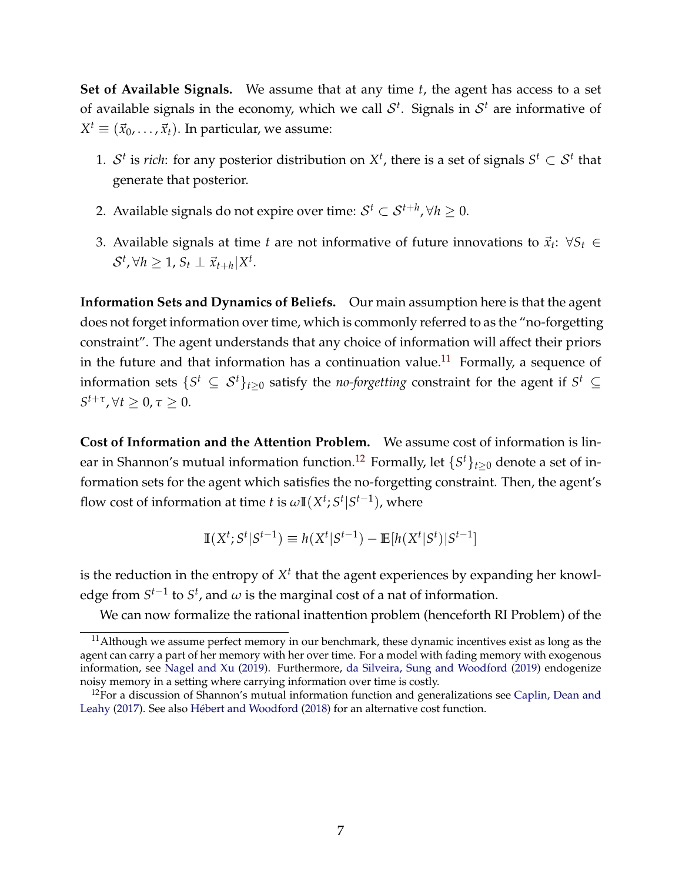**Set of Available Signals.** We assume that at any time *t*, the agent has access to a set of available signals in the economy, which we call  $\mathcal{S}^t$ . Signals in  $\mathcal{S}^t$  are informative of  $X^t \equiv (\vec{x}_0, \dots, \vec{x}_t)$ . In particular, we assume:

- 1.  $S<sup>t</sup>$  is *rich*: for any posterior distribution on  $X<sup>t</sup>$ , there is a set of signals  $S<sup>t</sup> \subset S<sup>t</sup>$  that generate that posterior.
- 2. Available signals do not expire over time:  $\mathcal{S}^t \subset \mathcal{S}^{t+h}$ ,  $\forall h \geq 0$ .
- 3. Available signals at time *t* are not informative of future innovations to  $\vec{x}_t$ :  $\forall S_t \in$  $S^t$ ,  $\forall h \geq 1$ ,  $S_t \perp \vec{x}_{t+h} | X^t$ .

**Information Sets and Dynamics of Beliefs.** Our main assumption here is that the agent does not forget information over time, which is commonly referred to as the "no-forgetting constraint". The agent understands that any choice of information will affect their priors in the future and that information has a continuation value.<sup>[11](#page-0-0)</sup> Formally, a sequence of information sets  $\{S^t \subseteq S^t\}_{t\geq 0}$  satisfy the *no-forgetting* constraint for the agent if  $S^t \subseteq$  $S^{t+\tau}$ ,  $\forall t \geq 0$ ,  $\tau \geq 0$ .

**Cost of Information and the Attention Problem.** We assume cost of information is lin-ear in Shannon's mutual information function.<sup>[12](#page-0-0)</sup> Formally, let  $\{S^t\}_{t\geq 0}$  denote a set of information sets for the agent which satisfies the no-forgetting constraint. Then, the agent's flow cost of information at time *t* is  $\omega \mathbb{I}(X^t; S^t | S^{t-1})$ , where

$$
\mathbb{I}(X^{t}; S^{t} | S^{t-1}) \equiv h(X^{t} | S^{t-1}) - \mathbb{E}[h(X^{t} | S^{t}) | S^{t-1}]
$$

is the reduction in the entropy of  $X<sup>t</sup>$  that the agent experiences by expanding her knowledge from  $S^{t-1}$  to  $S^t$ , and  $\omega$  is the marginal cost of a nat of information.

We can now formalize the rational inattention problem (henceforth RI Problem) of the

 $11$ Although we assume perfect memory in our benchmark, these dynamic incentives exist as long as the agent can carry a part of her memory with her over time. For a model with fading memory with exogenous information, see [Nagel and Xu](#page-49-12) [\(2019\)](#page-49-12). Furthermore, [da Silveira, Sung and Woodford](#page-47-7) [\(2019\)](#page-47-7) endogenize noisy memory in a setting where carrying information over time is costly.

 $12$ For a discussion of Shannon's mutual information function and generalizations see [Caplin, Dean and](#page-46-11) [Leahy](#page-46-11) [\(2017\)](#page-46-11). See also [Hébert and Woodford](#page-47-8) [\(2018\)](#page-47-8) for an alternative cost function.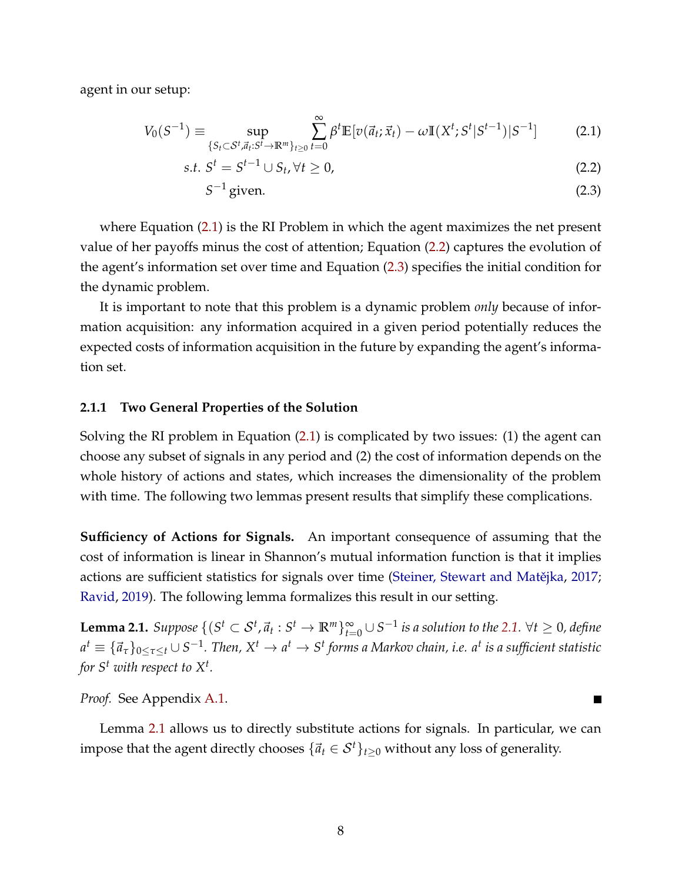agent in our setup:

$$
V_0(S^{-1}) = \sup_{\{S_t \subset \mathcal{S}^t, \vec{a}_t : S^t \to \mathbb{R}^m\}_{t \ge 0}} \sum_{t=0}^{\infty} \beta^t \mathbb{E} [v(\vec{a}_t; \vec{x}_t) - \omega \mathbb{I}(X^t; S^t | S^{t-1}) | S^{-1}] \tag{2.1}
$$

$$
s.t. St = St-1 \cup St, \forall t \ge 0,
$$
\n
$$
(2.2)
$$

<span id="page-7-2"></span><span id="page-7-1"></span><span id="page-7-0"></span>
$$
S^{-1} \text{ given.} \tag{2.3}
$$

where Equation [\(2.1\)](#page-7-0) is the RI Problem in which the agent maximizes the net present value of her payoffs minus the cost of attention; Equation [\(2.2\)](#page-7-1) captures the evolution of the agent's information set over time and Equation [\(2.3\)](#page-7-2) specifies the initial condition for the dynamic problem.

It is important to note that this problem is a dynamic problem *only* because of information acquisition: any information acquired in a given period potentially reduces the expected costs of information acquisition in the future by expanding the agent's information set.

#### **2.1.1 Two General Properties of the Solution**

Solving the RI problem in Equation [\(2.1\)](#page-7-0) is complicated by two issues: (1) the agent can choose any subset of signals in any period and (2) the cost of information depends on the whole history of actions and states, which increases the dimensionality of the problem with time. The following two lemmas present results that simplify these complications.

**Sufficiency of Actions for Signals.** An important consequence of assuming that the cost of information is linear in Shannon's mutual information function is that it implies actions are sufficient statistics for signals over time (Steiner, Stewart and Matějka, [2017;](#page-50-14) [Ravid,](#page-50-15) [2019\)](#page-50-15). The following lemma formalizes this result in our setting.

<span id="page-7-3"></span>**Lemma [2.1.](#page-7-0)** *Suppose* {( $S^t ⊂ S^t$ , $\vec{a}_t : S^t → \mathbb{R}^m$ } $_{t=0}^\infty ∪ S^{-1}$  *is a solution to the* 2.1. ∀*t* ≥ 0, define  $a^t \equiv \{\vec{a}_\tau\}_{0\leq \tau\leq t} \cup S^{-1}.$  Then,  $X^t\to a^t\to S^t$  forms a Markov chain, i.e.  $a^t$  is a sufficient statistic *for S<sup>t</sup> with respect to X<sup>t</sup> .*

*Proof.* See Appendix [A.1.](#page-51-1)

Lemma [2.1](#page-7-3) allows us to directly substitute actions for signals. In particular, we can impose that the agent directly chooses  $\{\vec{a}_t \in S^t\}_{t>0}$  without any loss of generality.

П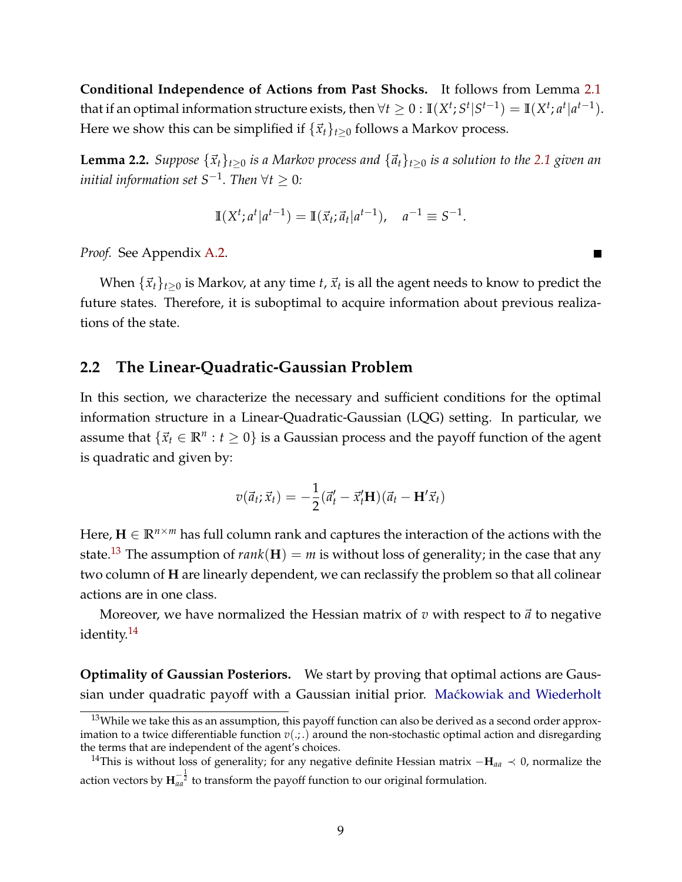**Conditional Independence of Actions from Past Shocks.** It follows from Lemma [2.1](#page-7-3) that if an optimal information structure exists, then  $\forall t \geq 0 : \mathbb{I}(X^t; S^t | S^{t-1}) = \mathbb{I}(X^t; a^t | a^{t-1}).$ Here we show this can be simplified if  $\{\vec{x}_t\}_{t>0}$  follows a Markov process.

<span id="page-8-0"></span>**Lemma 2.2.** *Suppose*  $\{\vec{x}_t\}_{t>0}$  *is a Markov process and*  $\{\vec{a}_t\}_{t>0}$  *is a solution to the* [2.1](#page-7-0) *given an initial information set S*−<sup>1</sup> *. Then* ∀*t* ≥ 0*:*

$$
\mathbb{I}(X^t; a^t | a^{t-1}) = \mathbb{I}(\vec{x}_t; \vec{a}_t | a^{t-1}), \quad a^{-1} \equiv S^{-1}.
$$

п

*Proof.* See Appendix [A.2.](#page-52-0)

When  $\{\vec{x}_t\}_{t\geq 0}$  is Markov, at any time *t*,  $\vec{x}_t$  is all the agent needs to know to predict the future states. Therefore, it is suboptimal to acquire information about previous realizations of the state.

#### **2.2 The Linear-Quadratic-Gaussian Problem**

In this section, we characterize the necessary and sufficient conditions for the optimal information structure in a Linear-Quadratic-Gaussian (LQG) setting. In particular, we assume that  $\{\vec{x}_t \in \mathbb{R}^n : t \geq 0\}$  is a Gaussian process and the payoff function of the agent is quadratic and given by:

$$
v(\vec{a}_t; \vec{x}_t) = -\frac{1}{2}(\vec{a}'_t - \vec{x}'_t \mathbf{H})(\vec{a}_t - \mathbf{H}'\vec{x}_t)
$$

Here,  $\mathbf{H} \in \mathbb{R}^{n \times m}$  has full column rank and captures the interaction of the actions with the state.<sup>[13](#page-0-0)</sup> The assumption of  $rank(H) = m$  is without loss of generality; in the case that any two column of **H** are linearly dependent, we can reclassify the problem so that all colinear actions are in one class.

Moreover, we have normalized the Hessian matrix of  $v$  with respect to  $\vec{a}$  to negative identity.<sup>[14](#page-0-0)</sup>

**Optimality of Gaussian Posteriors.** We start by proving that optimal actions are Gaussian under quadratic payoff with a Gaussian initial prior. Maćkowiak and Wiederholt

<sup>&</sup>lt;sup>13</sup>While we take this as an assumption, this payoff function can also be derived as a second order approximation to a twice differentiable function  $v(.;.)$  around the non-stochastic optimal action and disregarding the terms that are independent of the agent's choices.

<sup>14</sup>This is without loss of generality; for any negative definite Hessian matrix −**H***aa* ≺ 0, normalize the action vectors by  $\mathbf{H}^{-\frac{1}{2}}_{aa}$  to transform the payoff function to our original formulation.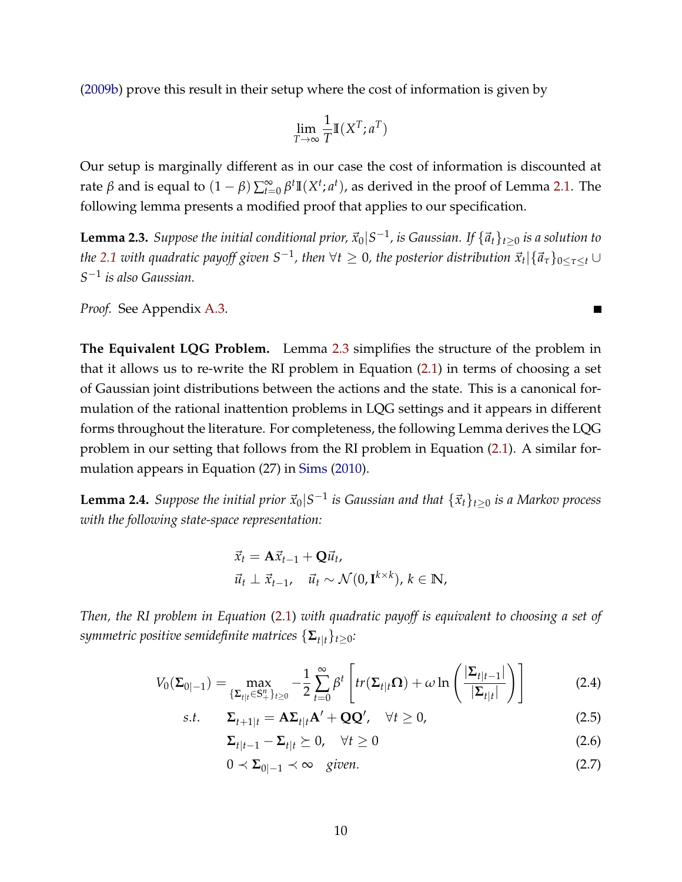[\(2009b\)](#page-48-12) prove this result in their setup where the cost of information is given by

$$
\lim_{T \to \infty} \frac{1}{T} \mathbb{I}(X^T; a^T)
$$

Our setup is marginally different as in our case the cost of information is discounted at rate *β* and is equal to  $(1 - β) \sum_{t=0}^{\infty} β^t \mathbb{I}(X^t; a^t)$ , as derived in the proof of Lemma [2.1.](#page-7-3) The following lemma presents a modified proof that applies to our specification.

<span id="page-9-0"></span> ${\bf Lemma 2.3.}$  *Suppose the initial conditional prior,*  $\vec{x}_0|S^{-1}$ *, is Gaussian. If*  $\{\vec{a}_t\}_{t\geq 0}$  *is a solution to the [2.1](#page-7-0) with quadratic payoff given S* $^{-1}$ *, then*  $\forall t\geq0$ *, the posterior distribution*  $\vec{x}_t|\{\vec{a}_\tau\}_{0\leq \tau\leq t}\cup\{0\}$ *S* −1 *is also Gaussian.*

*Proof.* See Appendix [A.3.](#page-52-1)

**The Equivalent LQG Problem.** Lemma [2.3](#page-9-0) simplifies the structure of the problem in that it allows us to re-write the RI problem in Equation [\(2.1\)](#page-7-0) in terms of choosing a set of Gaussian joint distributions between the actions and the state. This is a canonical formulation of the rational inattention problems in LQG settings and it appears in different forms throughout the literature. For completeness, the following Lemma derives the LQG problem in our setting that follows from the RI problem in Equation [\(2.1\)](#page-7-0). A similar formulation appears in Equation (27) in [Sims](#page-50-1) [\(2010\)](#page-50-1).

<span id="page-9-1"></span> $\bf{Lemma 2.4.}$  *Suppose the initial prior*  $\vec{x}_0|S^{-1}$  *is Gaussian and that*  $\{\vec{x}_t\}_{t\geq 0}$  *is a Markov process with the following state-space representation:*

$$
\vec{x}_t = \mathbf{A}\vec{x}_{t-1} + \mathbf{Q}\vec{u}_t,
$$
  
\n
$$
\vec{u}_t \perp \vec{x}_{t-1}, \quad \vec{u}_t \sim \mathcal{N}(0, \mathbf{I}^{k \times k}), k \in \mathbb{N},
$$

*Then, the RI problem in Equation* [\(2.1\)](#page-7-0) *with quadratic payoff is equivalent to choosing a set of symmetric positive semidefinite matrices*  $\{\mathbf{\Sigma}_{t|t}\}_{t>0}$ *:* 

$$
V_0(\Sigma_{0|-1}) = \max_{\{\Sigma_{t|t}\in\mathbb{S}_+^n\}_{t\geq 0}} -\frac{1}{2}\sum_{t=0}^\infty \beta^t \left[tr(\Sigma_{t|t}\Omega) + \omega \ln\left(\frac{|\Sigma_{t|t-1}|}{|\Sigma_{t|t}|}\right)\right]
$$
(2.4)

$$
s.t. \qquad \Sigma_{t+1|t} = A\Sigma_{t|t}A' + QQ', \quad \forall t \ge 0,
$$
\n
$$
(2.5)
$$

<span id="page-9-3"></span><span id="page-9-2"></span>
$$
\Sigma_{t|t-1} - \Sigma_{t|t} \succeq 0, \quad \forall t \ge 0 \tag{2.6}
$$

<span id="page-9-5"></span><span id="page-9-4"></span>
$$
0 \prec \Sigma_{0|-1} \prec \infty \quad given. \tag{2.7}
$$

 $\blacksquare$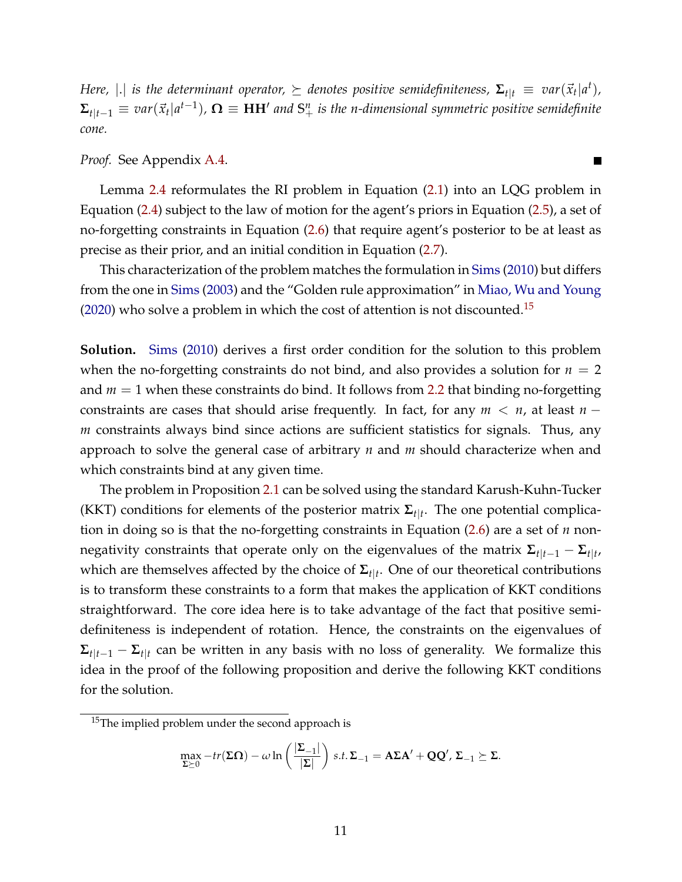*Here,*  $|.|$  *is the determinant operator,*  $\succeq$  *denotes positive semidefiniteness,*  $\mathbf{\Sigma}_{t|t} \, \equiv \, var(\vec{x}_t|a^t)$ *,*  $\Sigma_{t|t-1}\equiv var(\vec{x}_t|a^{t-1})$ ,  $\mathbf{\Omega}\equiv \mathbf{HH}'$  and  $\mathbf{S}^n_+$  is the n-dimensional symmetric positive semidefinite *cone.*

 $\blacksquare$ 

*Proof.* See Appendix [A.4.](#page-53-0)

Lemma [2.4](#page-9-1) reformulates the RI problem in Equation [\(2.1\)](#page-7-0) into an LQG problem in Equation [\(2.4\)](#page-9-2) subject to the law of motion for the agent's priors in Equation [\(2.5\)](#page-9-3), a set of no-forgetting constraints in Equation [\(2.6\)](#page-9-4) that require agent's posterior to be at least as precise as their prior, and an initial condition in Equation [\(2.7\)](#page-9-5).

This characterization of the problem matches the formulation in [Sims](#page-50-1) [\(2010\)](#page-50-1) but differs from the one in [Sims](#page-50-2) [\(2003\)](#page-50-2) and the "Golden rule approximation" in [Miao, Wu and Young](#page-49-0) [\(2020\)](#page-49-0) who solve a problem in which the cost of attention is not discounted.<sup>[15](#page-0-0)</sup>

**Solution.** [Sims](#page-50-1) [\(2010\)](#page-50-1) derives a first order condition for the solution to this problem when the no-forgetting constraints do not bind, and also provides a solution for  $n = 2$ and *m* = 1 when these constraints do bind. It follows from [2.2](#page-8-0) that binding no-forgetting constraints are cases that should arise frequently. In fact, for any  $m < n$ , at least  $n$ *m* constraints always bind since actions are sufficient statistics for signals. Thus, any approach to solve the general case of arbitrary *n* and *m* should characterize when and which constraints bind at any given time.

The problem in Proposition [2.1](#page-11-0) can be solved using the standard Karush-Kuhn-Tucker (KKT) conditions for elements of the posterior matrix **Σ***t*|*<sup>t</sup>* . The one potential complication in doing so is that the no-forgetting constraints in Equation [\(2.6\)](#page-9-4) are a set of *n* nonnegativity constraints that operate only on the eigenvalues of the matrix  $\mathbf{\Sigma}_{t|t-1} - \mathbf{\Sigma}_{t|t}$ which are themselves affected by the choice of **Σ***t*|*<sup>t</sup>* . One of our theoretical contributions is to transform these constraints to a form that makes the application of KKT conditions straightforward. The core idea here is to take advantage of the fact that positive semidefiniteness is independent of rotation. Hence, the constraints on the eigenvalues of  $\Sigma_{t|t-1} - \Sigma_{t|t}$  can be written in any basis with no loss of generality. We formalize this idea in the proof of the following proposition and derive the following KKT conditions for the solution.

$$
\max_{\Sigma \succeq 0} -tr(\Sigma \Omega) - \omega \ln \left( \frac{|\Sigma_{-1}|}{|\Sigma|} \right) \, s.t. \, \Sigma_{-1} = A \Sigma A' + QQ', \, \Sigma_{-1} \succeq \Sigma.
$$

<sup>&</sup>lt;sup>15</sup>The implied problem under the second approach is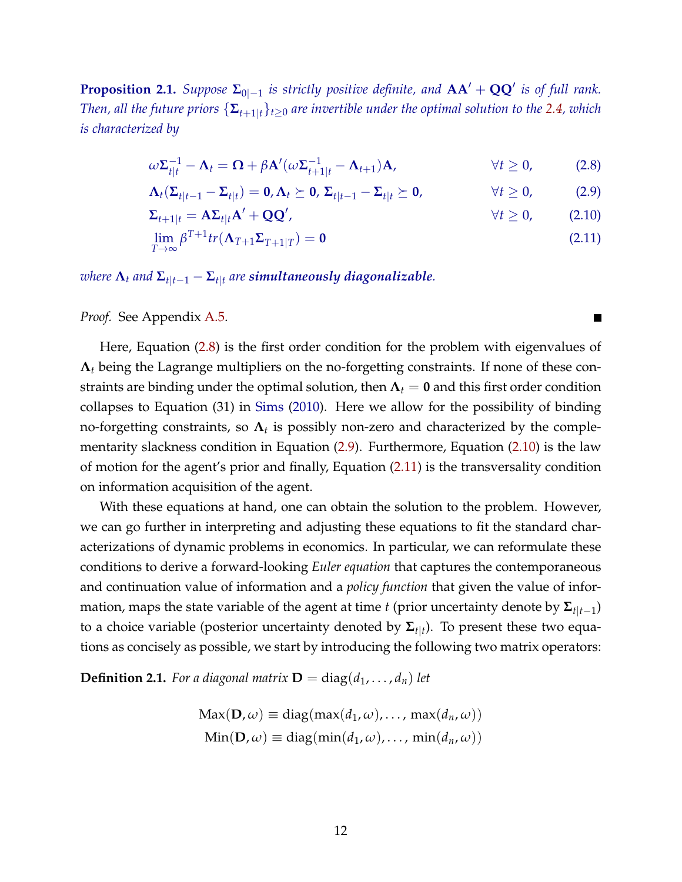<span id="page-11-0"></span>**Proposition 2.1.** *Suppose*  $\Sigma_{0|-1}$  *is strictly positive definite, and*  $AA' + QQ'$  *is of full rank. Then, all the future priors*  $\{\Sigma_{t+1}\}_{t\geq 0}$  *are invertible under the optimal solution to the [2.4,](#page-9-2) which is characterized by*

$$
\omega \Sigma_{t|t}^{-1} - \Lambda_t = \Omega + \beta \mathbf{A}'(\omega \Sigma_{t+1|t}^{-1} - \Lambda_{t+1}) \mathbf{A}, \qquad \forall t \ge 0,
$$
 (2.8)

$$
\Lambda_t(\Sigma_{t|t-1}-\Sigma_{t|t})=0,\Lambda_t\succeq 0,\Sigma_{t|t-1}-\Sigma_{t|t}\succeq 0,\qquad\qquad\forall t\geq 0,\qquad\qquad(2.9)
$$

$$
\Sigma_{t+1|t} = A\Sigma_{t|t}A' + QQ', \qquad \forall t \ge 0, \qquad (2.10)
$$

$$
\lim_{T \to \infty} \beta^{T+1} tr(\mathbf{\Lambda}_{T+1} \Sigma_{T+1|T}) = \mathbf{0}
$$
\n(2.11)

<span id="page-11-4"></span><span id="page-11-3"></span><span id="page-11-2"></span><span id="page-11-1"></span>п

 $\bm{x}$  *where*  $\bm{\Lambda}_t$  *and*  $\bm{\Sigma}_{t|t-1} - \bm{\Sigma}_{t|t}$  are simultaneously diagonalizable.

*Proof.* See Appendix [A.5.](#page-54-0)

Here, Equation [\(2.8\)](#page-11-1) is the first order condition for the problem with eigenvalues of **Λ***<sup>t</sup>* being the Lagrange multipliers on the no-forgetting constraints. If none of these constraints are binding under the optimal solution, then  $\Lambda_t = 0$  and this first order condition collapses to Equation (31) in [Sims](#page-50-1) [\(2010\)](#page-50-1). Here we allow for the possibility of binding no-forgetting constraints, so **Λ***<sup>t</sup>* is possibly non-zero and characterized by the complementarity slackness condition in Equation [\(2.9\)](#page-11-2). Furthermore, Equation [\(2.10\)](#page-11-3) is the law of motion for the agent's prior and finally, Equation [\(2.11\)](#page-11-4) is the transversality condition on information acquisition of the agent.

With these equations at hand, one can obtain the solution to the problem. However, we can go further in interpreting and adjusting these equations to fit the standard characterizations of dynamic problems in economics. In particular, we can reformulate these conditions to derive a forward-looking *Euler equation* that captures the contemporaneous and continuation value of information and a *policy function* that given the value of information, maps the state variable of the agent at time *t* (prior uncertainty denote by  $\mathbf{\Sigma}_{t|t-1}$ ) to a choice variable (posterior uncertainty denoted by **Σ***t*|*<sup>t</sup>* ). To present these two equations as concisely as possible, we start by introducing the following two matrix operators:

**Definition 2.1.** For a diagonal matrix  $\mathbf{D} = \text{diag}(d_1, \ldots, d_n)$  let

$$
Max(D, \omega) \equiv diag(max(d_1, \omega), ..., max(d_n, \omega))
$$
  
Min(**D**, \omega) \equiv diag(min(d\_1, \omega), ..., min(d\_n, \omega))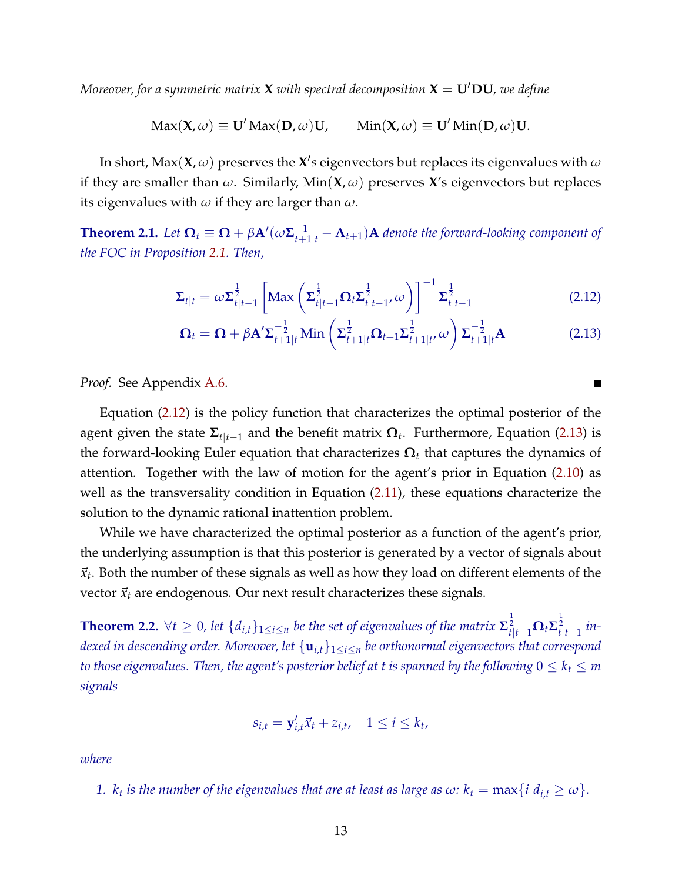*Moreover, for a symmetric matrix* **X** *with spectral decomposition*  $X = U'DU$ *, we define* 

$$
Max(\mathbf{X}, \omega) \equiv \mathbf{U}' \, Max(\mathbf{D}, \omega) \mathbf{U}, \qquad Min(\mathbf{X}, \omega) \equiv \mathbf{U}' \, Min(\mathbf{D}, \omega) \mathbf{U}.
$$

In short,  $\text{Max}(\mathbf{X}, \omega)$  preserves the  $\mathbf{X}'s$  eigenvectors but replaces its eigenvalues with  $\omega$ if they are smaller than *ω*. Similarly, Min(**X**, *ω*) preserves **X**'s eigenvectors but replaces its eigenvalues with *ω* if they are larger than *ω*.

<span id="page-12-2"></span>**Theorem 2.1.** Let  $\mathbf{\Omega}_t \equiv \mathbf{\Omega} + \beta \mathbf{A}'(\omega \mathbf{\Sigma}_{t+1|t}^{-1} - \mathbf{\Lambda}_{t+1})\mathbf{A}$  denote the forward-looking component of *the FOC in Proposition [2.1.](#page-11-0) Then,*

$$
\Sigma_{t|t} = \omega \Sigma_{t|t-1}^{\frac{1}{2}} \left[ \text{Max} \left( \Sigma_{t|t-1}^{\frac{1}{2}} \Omega_t \Sigma_{t|t-1}^{\frac{1}{2}}, \omega \right) \right]^{-1} \Sigma_{t|t-1}^{\frac{1}{2}} \tag{2.12}
$$

<span id="page-12-1"></span><span id="page-12-0"></span>
$$
\mathbf{\Omega}_{t} = \mathbf{\Omega} + \beta \mathbf{A}^{\prime} \mathbf{\Sigma}_{t+1|t}^{-\frac{1}{2}} \text{Min}\left(\mathbf{\Sigma}_{t+1|t}^{\frac{1}{2}} \mathbf{\Omega}_{t+1} \mathbf{\Sigma}_{t+1|t}^{\frac{1}{2}} \omega\right) \mathbf{\Sigma}_{t+1|t}^{-\frac{1}{2}} \mathbf{A}
$$
\n(2.13)

*Proof.* See Appendix [A.6.](#page-56-0)

Equation [\(2.12\)](#page-12-0) is the policy function that characterizes the optimal posterior of the agent given the state **Σ***t*|*t*−<sup>1</sup> and the benefit matrix **Ω***<sup>t</sup>* . Furthermore, Equation [\(2.13\)](#page-12-1) is the forward-looking Euler equation that characterizes  $\Omega_t$  that captures the dynamics of attention. Together with the law of motion for the agent's prior in Equation [\(2.10\)](#page-11-3) as well as the transversality condition in Equation [\(2.11\)](#page-11-4), these equations characterize the solution to the dynamic rational inattention problem.

While we have characterized the optimal posterior as a function of the agent's prior, the underlying assumption is that this posterior is generated by a vector of signals about  $\vec{x}_t$ . Both the number of these signals as well as how they load on different elements of the vector  $\vec{x}_t$  are endogenous. Our next result characterizes these signals.

<span id="page-12-3"></span>**Theorem 2.2.**  $\forall t \geq 0$ , let  $\{d_{i,t}\}_{1\leq i\leq n}$  be the set of eigenvalues of the matrix  $\mathbf{\Sigma}_{t|t-1}^{\frac{1}{2}} \mathbf{\Omega}_t \mathbf{\Sigma}_{t|t-1}^{\frac{1}{2}}$  in*dexed in descending order. Moreover, let* {**u***i*,*t*}1≤*i*≤*<sup>n</sup> be orthonormal eigenvectors that correspond to those eigenvalues. Then, the agent's posterior belief at t is spanned by the following*  $0 \leq k_t \leq m$ *signals*

$$
s_{i,t} = \mathbf{y}_{i,t}^{\prime} \vec{x}_t + z_{i,t}, \quad 1 \leq i \leq k_t,
$$

*where*

*1. k<sub>t</sub>* is the number of the eigenvalues that are at least as large as  $\omega$ :  $k_t = \max\{i | d_{i,t} \geq \omega\}$ .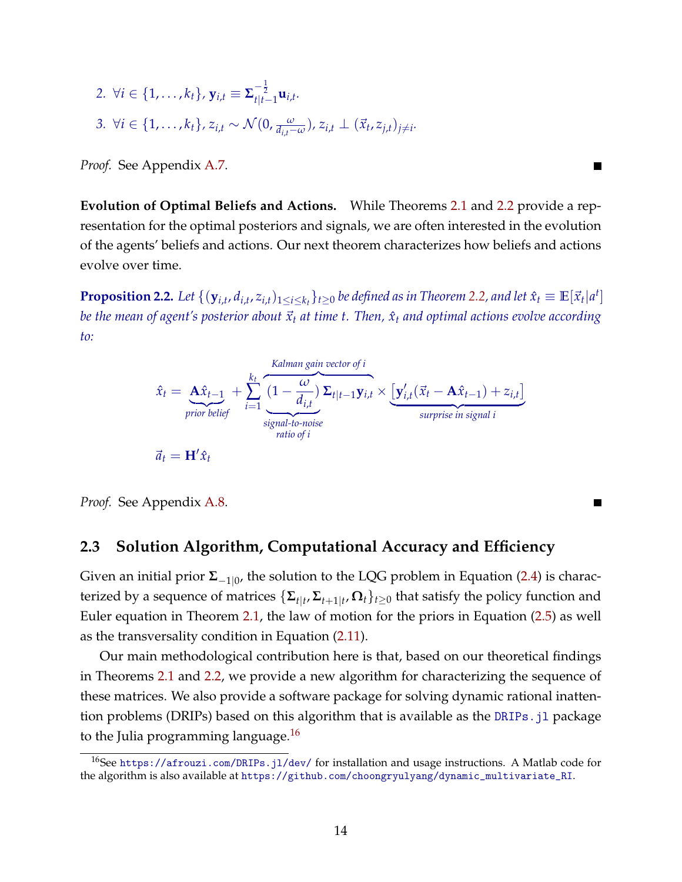2. 
$$
\forall i \in \{1, ..., k_t\}, \mathbf{y}_{i,t} \equiv \mathbf{\Sigma}_{t|t-1}^{-\frac{1}{2}} \mathbf{u}_{i,t}.
$$
  
3.  $\forall i \in \{1, ..., k_t\}, z_{i,t} \sim \mathcal{N}(0, \frac{\omega}{d_{i,t}-\omega}), z_{i,t} \perp (\vec{x}_t, z_{j,t})_{j \neq i}$ 

*Proof.* See Appendix [A.7.](#page-58-0)

**Evolution of Optimal Beliefs and Actions.** While Theorems [2.1](#page-12-2) and [2.2](#page-12-3) provide a representation for the optimal posteriors and signals, we are often interested in the evolution of the agents' beliefs and actions. Our next theorem characterizes how beliefs and actions evolve over time.

*.*

п

<span id="page-13-1"></span>**Proposition 2.2.** Let  $\{(\mathbf{y}_{i,t}, d_{i,t}, z_{i,t})_{1\leq i\leq k_t}\}_{t\geq 0}$  be defined as in Theorem [2.2,](#page-12-3) and let  $\hat{x}_t\equiv\mathbb{E}[\vec{x}_t|a^t]$ *be the mean of agent's posterior about*  $\vec{x}_t$  *at time t. Then,*  $\hat{x}_t$  *and optimal actions evolve according to:*

$$
\hat{x}_t = \underbrace{A\hat{x}_{t-1}}_{prior \text{ belief}} + \sum_{i=1}^{k_t} \underbrace{\frac{\text{Kalman gain vector of } i}{d_{i,t}}}_{signal \text{-} to \text{-} noise} \sum_{\text{rel}} \underbrace{y'_{i,t}(\vec{x}_t - A\hat{x}_{t-1}) + z_{i,t}}_{surprise \text{ in signal } i}
$$
\n
$$
\vec{a}_t = \mathbf{H}'\hat{x}_t
$$

*Proof.* See Appendix [A.8.](#page-61-0)

### <span id="page-13-0"></span>**2.3 Solution Algorithm, Computational Accuracy and Efficiency**

Given an initial prior **Σ**−1|<sup>0</sup> , the solution to the LQG problem in Equation [\(2.4\)](#page-9-2) is characterized by a sequence of matrices {**Σ***t*|*<sup>t</sup>* , **Σ***t*+1|*<sup>t</sup>* , **Ω***t*}*t*≥<sup>0</sup> that satisfy the policy function and Euler equation in Theorem [2.1,](#page-12-2) the law of motion for the priors in Equation [\(2.5\)](#page-9-3) as well as the transversality condition in Equation [\(2.11\)](#page-11-4).

Our main methodological contribution here is that, based on our theoretical findings in Theorems [2.1](#page-12-2) and [2.2,](#page-12-3) we provide a new algorithm for characterizing the sequence of these matrices. We also provide a software package for solving dynamic rational inattention problems (DRIPs) based on this algorithm that is available as the [DRIPs.jl](https://github.com/afrouzi/DRIPs.jl) package to the Julia programming language.<sup>[16](#page-0-0)</sup>

<sup>&</sup>lt;sup>16</sup>See <https://afrouzi.com/DRIPs.jl/dev/> for installation and usage instructions. A Matlab code for the algorithm is also available at [https://github.com/choongryulyang/dynamic\\_multivariate\\_RI](https://github.com/choongryulyang/dynamic_multivariate_RI).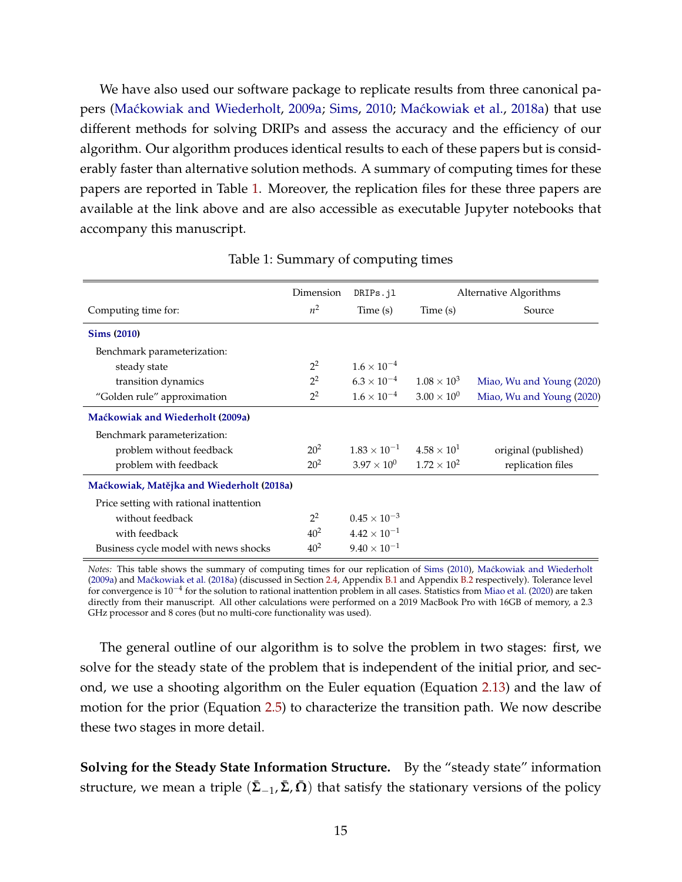We have also used our software package to replicate results from three canonical pa-pers (Maćkowiak and Wiederholt, [2009a;](#page-48-0) [Sims,](#page-50-1) [2010;](#page-50-1) Maćkowiak et al., [2018a\)](#page-48-1) that use different methods for solving DRIPs and assess the accuracy and the efficiency of our algorithm. Our algorithm produces identical results to each of these papers but is considerably faster than alternative solution methods. A summary of computing times for these papers are reported in Table [1.](#page-14-0) Moreover, the replication files for these three papers are available at the link above and are also accessible as executable Jupyter notebooks that accompany this manuscript.

<span id="page-14-0"></span>

|                                           | Dimension | DRIPs.jl                                   | Alternative Algorithms |                           |
|-------------------------------------------|-----------|--------------------------------------------|------------------------|---------------------------|
| Computing time for:                       | $n^2$     | Time(s)                                    | Time(s)                | Source                    |
| <b>Sims (2010)</b>                        |           |                                            |                        |                           |
| Benchmark parameterization:               |           |                                            |                        |                           |
| steady state                              | $2^2$     | $1.6 \times 10^{-4}$                       |                        |                           |
| transition dynamics                       | $2^2$     | $6.3 \times 10^{-4}$                       | $1.08 \times 10^{3}$   | Miao, Wu and Young (2020) |
| "Golden rule" approximation               | $2^2$     | $1.6 \times 10^{-4}$                       | $3.00 \times 10^{0}$   | Miao, Wu and Young (2020) |
| Maćkowiak and Wiederholt (2009a)          |           |                                            |                        |                           |
| Benchmark parameterization:               |           |                                            |                        |                           |
| problem without feedback                  | $20^{2}$  | $1.83 \times 10^{-1}$ $4.58 \times 10^{1}$ |                        | original (published)      |
| problem with feedback                     | $20^{2}$  | $3.97 \times 10^{0}$ $1.72 \times 10^{2}$  |                        | replication files         |
| Maćkowiak, Matějka and Wiederholt (2018a) |           |                                            |                        |                           |
| Price setting with rational inattention   |           |                                            |                        |                           |
| without feedback                          | $2^2$     | $0.45 \times 10^{-3}$                      |                        |                           |
| with feedback                             | $40^{2}$  | $4.42 \times 10^{-1}$                      |                        |                           |
| Business cycle model with news shocks     | $40^{2}$  | $9.40 \times 10^{-1}$                      |                        |                           |

Table 1: Summary of computing times

*Notes:* This table shows the summary of computing times for our replication of [Sims](#page-50-1) [\(2010\)](#page-50-1), [Ma´ckowiak and Wiederholt](#page-48-0) [\(2009a\)](#page-48-0) and Maćkowiak et al. [\(2018a\)](#page-48-1) (discussed in Section [2.4,](#page-16-0) Appendix [B.1](#page-62-0) and Appendix [B.2](#page-62-1) respectively). Tolerance level for convergence is 10<sup>-4</sup> for the solution to rational inattention problem in all cases. Statistics from [Miao et al.](#page-49-0) [\(2020\)](#page-49-0) are taken directly from their manuscript. All other calculations were performed on a 2019 MacBook Pro with 16GB of memory, a 2.3 GHz processor and 8 cores (but no multi-core functionality was used).

The general outline of our algorithm is to solve the problem in two stages: first, we solve for the steady state of the problem that is independent of the initial prior, and second, we use a shooting algorithm on the Euler equation (Equation [2.13\)](#page-12-1) and the law of motion for the prior (Equation [2.5\)](#page-9-3) to characterize the transition path. We now describe these two stages in more detail.

**Solving for the Steady State Information Structure.** By the "steady state" information structure, we mean a triple  $(\bar{\Sigma}_{-1}, \bar{\Sigma}, \bar{\Omega})$  that satisfy the stationary versions of the policy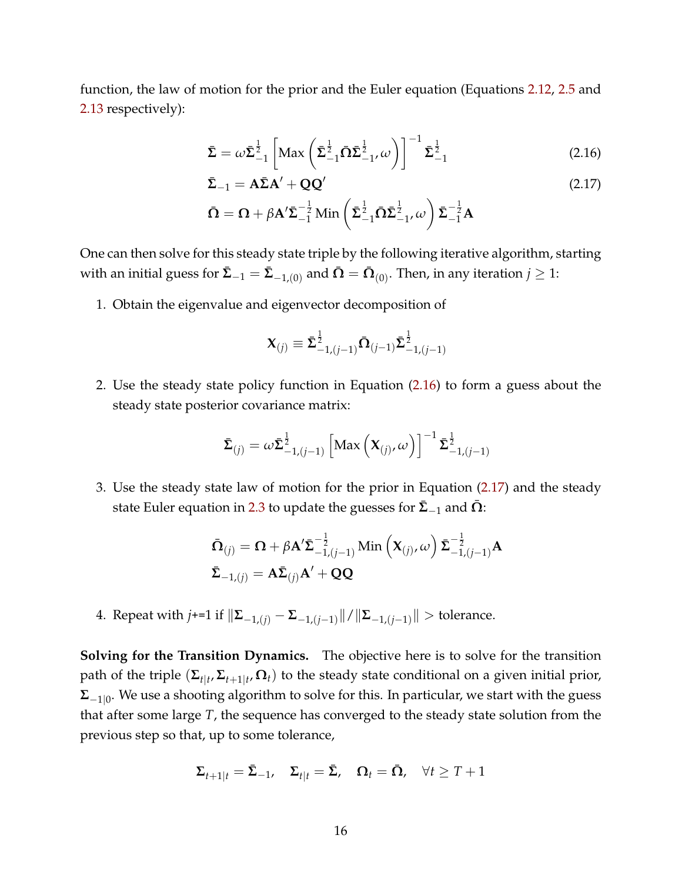function, the law of motion for the prior and the Euler equation (Equations [2.12,](#page-12-0) [2.5](#page-9-3) and [2.13](#page-12-1) respectively):

$$
\bar{\Sigma} = \omega \bar{\Sigma}_{-1}^{\frac{1}{2}} \left[ \text{Max} \left( \bar{\Sigma}_{-1}^{\frac{1}{2}} \bar{\Omega} \bar{\Sigma}_{-1}^{\frac{1}{2}}, \omega \right) \right]^{-1} \bar{\Sigma}_{-1}^{\frac{1}{2}} \tag{2.16}
$$

$$
\bar{\Sigma}_{-1} = A\bar{\Sigma}A' + QQ'
$$
\n(2.17)

$$
\bar{\mathbf{\Omega}} = \mathbf{\Omega} + \beta \mathbf{A}' \bar{\mathbf{\Sigma}}_{-1}^{-\frac{1}{2}} \text{Min}\left(\bar{\mathbf{\Sigma}}_{-1}^{\frac{1}{2}} \bar{\mathbf{\Omega}} \bar{\mathbf{\Sigma}}_{-1}^{\frac{1}{2}}, \omega\right) \bar{\mathbf{\Sigma}}_{-1}^{-\frac{1}{2}} \mathbf{A}
$$

One can then solve for this steady state triple by the following iterative algorithm, starting with an initial guess for  $\bar{\Sigma}_{-1} = \bar{\Sigma}_{-1,(0)}$  and  $\bar{\Omega} = \bar{\Omega}_{(0)}.$  Then, in any iteration  $j \geq 1$ :

1. Obtain the eigenvalue and eigenvector decomposition of

<span id="page-15-1"></span><span id="page-15-0"></span>
$$
\mathbf{X}_{(j)} \equiv \bar{\boldsymbol{\Sigma}}_{-1,(j-1)}^{\frac{1}{2}} \bar{\boldsymbol{\Omega}}_{(j-1)} \bar{\boldsymbol{\Sigma}}_{-1,(j-1)}^{\frac{1}{2}}
$$

2. Use the steady state policy function in Equation [\(2.16\)](#page-15-0) to form a guess about the steady state posterior covariance matrix:

$$
\bar{\boldsymbol{\Sigma}}_{(j)} = \omega \bar{\boldsymbol{\Sigma}}_{-1,(j-1)}^{\frac{1}{2}} \left[ \text{Max}\left( \mathbf{X}_{(j)}, \omega \right) \right]^{-1} \bar{\boldsymbol{\Sigma}}_{-1,(j-1)}^{\frac{1}{2}}
$$

3. Use the steady state law of motion for the prior in Equation [\(2.17\)](#page-15-1) and the steady state Euler equation in [2.3](#page-15-1) to update the guesses for  $\bar{\Sigma}_{-1}$  and  $\bar{\Omega}$ :

$$
\begin{aligned} &\bar{\mathbf{\Omega}}_{(j)} = \mathbf{\Omega} + \beta \mathbf{A}' \bar{\boldsymbol{\Sigma}}_{-1,(j-1)}^{-\frac{1}{2}} \text{Min}\left(\mathbf{X}_{(j)}, \omega\right) \bar{\boldsymbol{\Sigma}}_{-1,(j-1)}^{-\frac{1}{2}} \mathbf{A} \\ &\bar{\boldsymbol{\Sigma}}_{-1,(j)} = \mathbf{A} \bar{\boldsymbol{\Sigma}}_{(j)} \mathbf{A}' + \mathbf{Q} \mathbf{Q} \end{aligned}
$$

4. Repeat with *j*+=1 if  $||Σ_{-1,(j)} − Σ_{-1,(j-1)}|| / ||Σ_{-1,(j-1)}||$  > tolerance.

**Solving for the Transition Dynamics.** The objective here is to solve for the transition path of the triple  $(\mathbf{\Sigma}_{t|t}, \mathbf{\Sigma}_{t+1|t}, \mathbf{\Omega}_t)$  to the steady state conditional on a given initial prior,  $\Sigma_{-1|0}$ . We use a shooting algorithm to solve for this. In particular, we start with the guess that after some large *T*, the sequence has converged to the steady state solution from the previous step so that, up to some tolerance,

$$
\Sigma_{t+1|t} = \bar{\Sigma}_{-1}, \quad \Sigma_{t|t} = \bar{\Sigma}, \quad \Omega_t = \bar{\Omega}, \quad \forall t \geq T+1
$$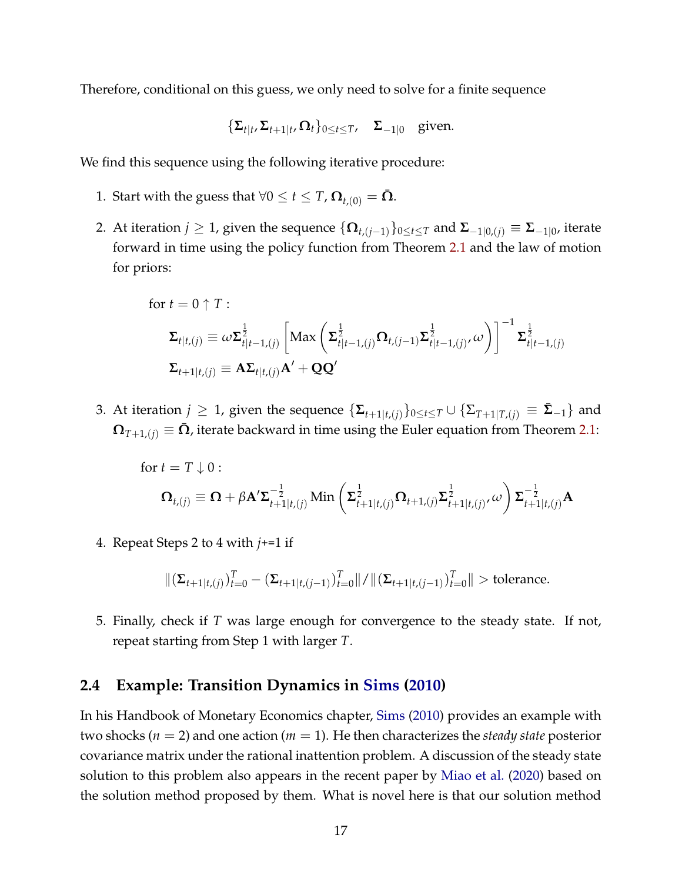Therefore, conditional on this guess, we only need to solve for a finite sequence

$$
\{\Sigma_{t|t}, \Sigma_{t+1|t}, \Omega_t\}_{0 \le t \le T}, \quad \Sigma_{-1|0} \quad \text{given.}
$$

We find this sequence using the following iterative procedure:

- 1. Start with the guess that  $\forall 0 \leq t \leq T$ ,  $\Omega_{t,(0)} = \overline{\Omega}$ .
- 2. At iteration  $j ≥ 1$ , given the sequence  $\{Ω_{t,(j-1)}\}_{0 \leq t \leq T}$  and  $Σ_{-1|0,(j)} ≡ Σ_{-1|0}$ , iterate forward in time using the policy function from Theorem [2.1](#page-12-2) and the law of motion for priors:

for 
$$
t = 0 \uparrow T
$$
:  
\n
$$
\Sigma_{t|t,(j)} \equiv \omega \Sigma_{t|t-1,(j)}^{\frac{1}{2}} \left[ \text{Max} \left( \Sigma_{t|t-1,(j)}^{\frac{1}{2}} \Omega_{t,(j-1)} \Sigma_{t|t-1,(j)}^{\frac{1}{2}} \omega \right) \right]^{-1} \Sigma_{t|t-1,(j)}^{\frac{1}{2}}
$$
\n
$$
\Sigma_{t+1|t,(j)} \equiv A \Sigma_{t|t,(j)} A' + QQ'
$$

3. At iteration  $j \geq 1$ , given the sequence  $\{\mathbf{\Sigma}_{t+1|t,(j)}\}_{0 \leq t \leq T} \cup \{\mathbf{\Sigma}_{T+1|T,(j)} \equiv \mathbf{\Sigma}_{-1}\}\$ and  $\mathbf{\Omega}_{T+1,(i)} \equiv \mathbf{\bar{\Omega}}$ , iterate backward in time using the Euler equation from Theorem [2.1:](#page-12-2)

$$
\begin{aligned}\n\text{for } t &= T \downarrow 0: \\
\boldsymbol{\Omega}_{t,(j)} &\equiv \boldsymbol{\Omega} + \beta \mathbf{A}' \boldsymbol{\Sigma}_{t+1|t,(j)}^{-\frac{1}{2}} \text{Min}\left(\boldsymbol{\Sigma}_{t+1|t,(j)}^{\frac{1}{2}} \boldsymbol{\Omega}_{t+1,(j)} \boldsymbol{\Sigma}_{t+1|t,(j)}^{\frac{1}{2}} \boldsymbol{\omega}\right) \boldsymbol{\Sigma}_{t+1|t,(j)}^{-\frac{1}{2}} \mathbf{A}\n\end{aligned}
$$

4. Repeat Steps 2 to 4 with *j*+=1 if

$$
\|(\Sigma_{t+1|t,(j)})_{t=0}^T - (\Sigma_{t+1|t,(j-1)})_{t=0}^T\|/\|(\Sigma_{t+1|t,(j-1)})_{t=0}^T\| > \text{tolerance}.
$$

5. Finally, check if *T* was large enough for convergence to the steady state. If not, repeat starting from Step 1 with larger *T*.

#### <span id="page-16-0"></span>**2.4 Example: Transition Dynamics in [Sims](#page-50-1) [\(2010\)](#page-50-1)**

In his Handbook of Monetary Economics chapter, [Sims](#page-50-1) [\(2010\)](#page-50-1) provides an example with two shocks (*n* = 2) and one action (*m* = 1). He then characterizes the *steady state* posterior covariance matrix under the rational inattention problem. A discussion of the steady state solution to this problem also appears in the recent paper by [Miao et al.](#page-49-0) [\(2020\)](#page-49-0) based on the solution method proposed by them. What is novel here is that our solution method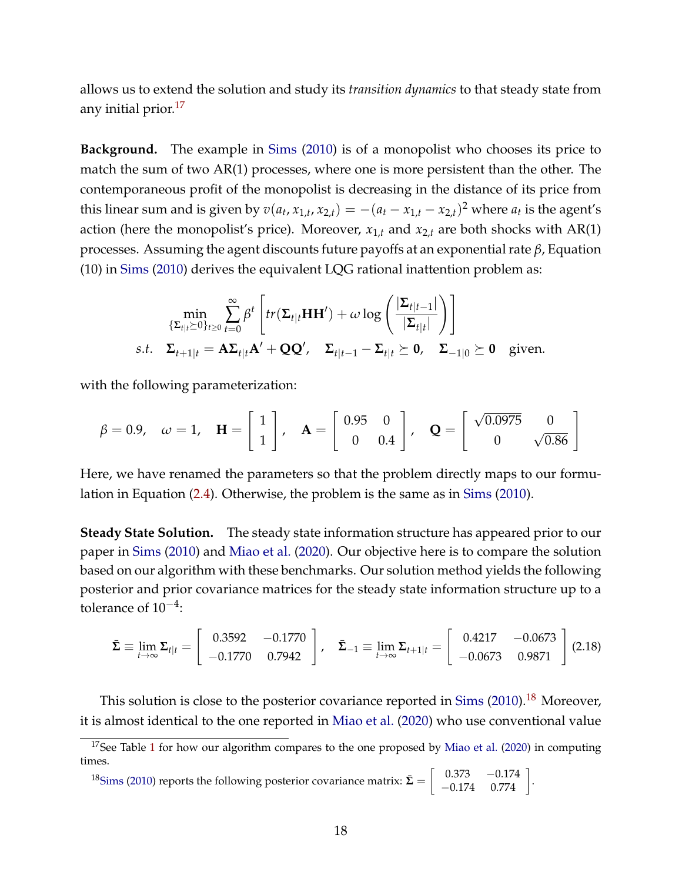allows us to extend the solution and study its *transition dynamics* to that steady state from any initial prior. $^{17}$  $^{17}$  $^{17}$ 

**Background.** The example in [Sims](#page-50-1) [\(2010\)](#page-50-1) is of a monopolist who chooses its price to match the sum of two AR(1) processes, where one is more persistent than the other. The contemporaneous profit of the monopolist is decreasing in the distance of its price from this linear sum and is given by  $v(a_t, x_{1,t}, x_{2,t}) = -(a_t - x_{1,t} - x_{2,t})^2$  where  $a_t$  is the agent's action (here the monopolist's price). Moreover,  $x_{1,t}$  and  $x_{2,t}$  are both shocks with AR(1) processes. Assuming the agent discounts future payoffs at an exponential rate *β*, Equation (10) in [Sims](#page-50-1) [\(2010\)](#page-50-1) derives the equivalent LQG rational inattention problem as:

$$
\min_{\{\Sigma_{t|t}\succeq 0\}_{t\geq 0}} \sum_{t=0}^{\infty} \beta^t \left[ tr(\Sigma_{t|t} \mathbf{H} \mathbf{H}') + \omega \log \left( \frac{|\Sigma_{t|t-1}|}{|\Sigma_{t|t}|} \right) \right]
$$
  
s.t.  $\Sigma_{t+1|t} = \mathbf{A} \Sigma_{t|t} \mathbf{A}' + \mathbf{Q} \mathbf{Q}', \quad \Sigma_{t|t-1} - \Sigma_{t|t} \succeq \mathbf{0}, \quad \Sigma_{-1|0} \succeq \mathbf{0}$  given.

with the following parameterization:

$$
\beta = 0.9
$$
,  $\omega = 1$ ,  $\mathbf{H} = \begin{bmatrix} 1 \\ 1 \end{bmatrix}$ ,  $\mathbf{A} = \begin{bmatrix} 0.95 & 0 \\ 0 & 0.4 \end{bmatrix}$ ,  $\mathbf{Q} = \begin{bmatrix} \sqrt{0.0975} & 0 \\ 0 & \sqrt{0.86} \end{bmatrix}$ 

Here, we have renamed the parameters so that the problem directly maps to our formulation in Equation [\(2.4\)](#page-9-2). Otherwise, the problem is the same as in [Sims](#page-50-1) [\(2010\)](#page-50-1).

**Steady State Solution.** The steady state information structure has appeared prior to our paper in [Sims](#page-50-1) [\(2010\)](#page-50-1) and [Miao et al.](#page-49-0) [\(2020\)](#page-49-0). Our objective here is to compare the solution based on our algorithm with these benchmarks. Our solution method yields the following posterior and prior covariance matrices for the steady state information structure up to a tolerance of 10<sup>-4</sup>:

$$
\bar{\Sigma} \equiv \lim_{t \to \infty} \Sigma_{t|t} = \begin{bmatrix} 0.3592 & -0.1770 \\ -0.1770 & 0.7942 \end{bmatrix}, \quad \bar{\Sigma}_{-1} \equiv \lim_{t \to \infty} \Sigma_{t+1|t} = \begin{bmatrix} 0.4217 & -0.0673 \\ -0.0673 & 0.9871 \end{bmatrix} (2.18)
$$

This solution is close to the posterior covariance reported in  $Sims$  [\(2010\)](#page-50-1).<sup>[18](#page-0-0)</sup> Moreover, it is almost identical to the one reported in [Miao et al.](#page-49-0) [\(2020\)](#page-49-0) who use conventional value

<span id="page-17-0"></span>.

$$
^{18}
$$
Sims (2010) reports the following posterior covariance matrix:  $\bar{\Sigma} = \begin{bmatrix} 0.373 & -0.174 \\ -0.174 & 0.774 \end{bmatrix}$ 

<sup>&</sup>lt;sup>[1](#page-14-0)7</sup>See Table 1 for how our algorithm compares to the one proposed by [Miao et al.](#page-49-0) [\(2020\)](#page-49-0) in computing times.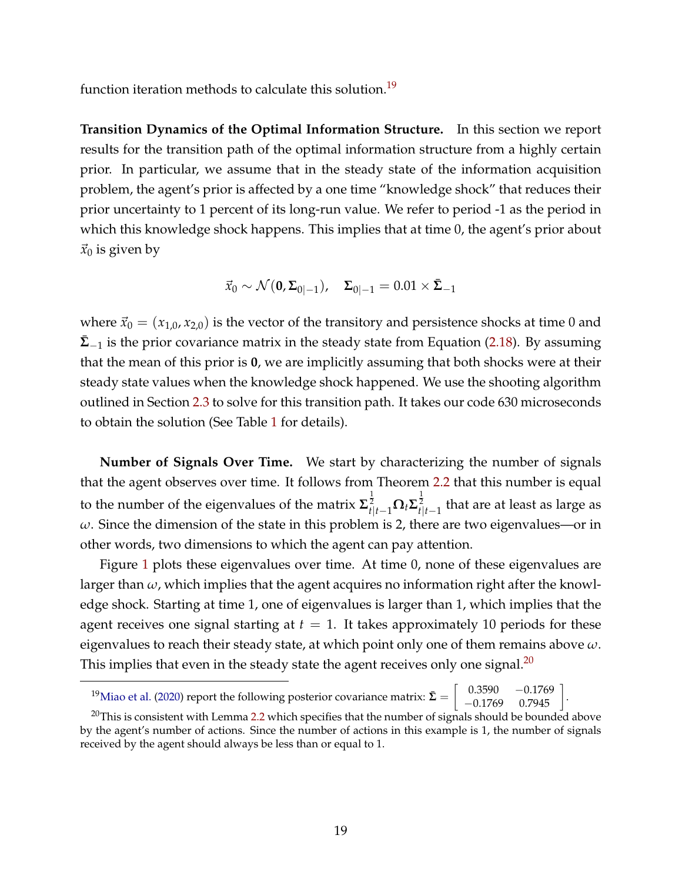function iteration methods to calculate this solution.<sup>[19](#page-0-0)</sup>

**Transition Dynamics of the Optimal Information Structure.** In this section we report results for the transition path of the optimal information structure from a highly certain prior. In particular, we assume that in the steady state of the information acquisition problem, the agent's prior is affected by a one time "knowledge shock" that reduces their prior uncertainty to 1 percent of its long-run value. We refer to period -1 as the period in which this knowledge shock happens. This implies that at time 0, the agent's prior about  $\vec{x}_0$  is given by

$$
\vec{x}_0 \sim \mathcal{N}(\mathbf{0}, \Sigma_{0|-1}), \quad \Sigma_{0|-1} = 0.01 \times \bar{\Sigma}_{-1}
$$

where  $\vec{x}_0 = (x_{1,0}, x_{2,0})$  is the vector of the transitory and persistence shocks at time 0 and  $\bar{\Sigma}_{-1}$  is the prior covariance matrix in the steady state from Equation [\(2.18\)](#page-17-0). By assuming that the mean of this prior is **0**, we are implicitly assuming that both shocks were at their steady state values when the knowledge shock happened. We use the shooting algorithm outlined in Section [2.3](#page-13-0) to solve for this transition path. It takes our code 630 microseconds to obtain the solution (See Table [1](#page-14-0) for details).

**Number of Signals Over Time.** We start by characterizing the number of signals that the agent observes over time. It follows from Theorem [2.2](#page-12-3) that this number is equal to the number of the eigenvalues of the matrix  $\mathbf{\Sigma}_{t|t-1}^{\frac{1}{2}}\mathbf{\Omega}_t\mathbf{\Sigma}_{t|t-1}^{\frac{1}{2}}$  that are at least as large as *ω*. Since the dimension of the state in this problem is 2, there are two eigenvalues—or in other words, two dimensions to which the agent can pay attention.

Figure [1](#page-19-0) plots these eigenvalues over time. At time 0, none of these eigenvalues are larger than *ω*, which implies that the agent acquires no information right after the knowledge shock. Starting at time 1, one of eigenvalues is larger than 1, which implies that the agent receives one signal starting at  $t = 1$ . It takes approximately 10 periods for these eigenvalues to reach their steady state, at which point only one of them remains above *ω*. This implies that even in the steady state the agent receives only one signal.<sup>[20](#page-0-0)</sup>

<sup>&</sup>lt;sup>19</sup>[Miao et al.](#page-49-0) [\(2020\)](#page-49-0) report the following posterior covariance matrix:  $\bar{\mathbf{\Sigma}} = \begin{bmatrix} 0.3590 & -0.1769 \\ -0.1769 & 0.7945 \end{bmatrix}$ .

<sup>&</sup>lt;sup>20</sup>This is consistent with Lemma [2.2](#page-8-0) which specifies that the number of signals should be bounded above by the agent's number of actions. Since the number of actions in this example is 1, the number of signals received by the agent should always be less than or equal to 1.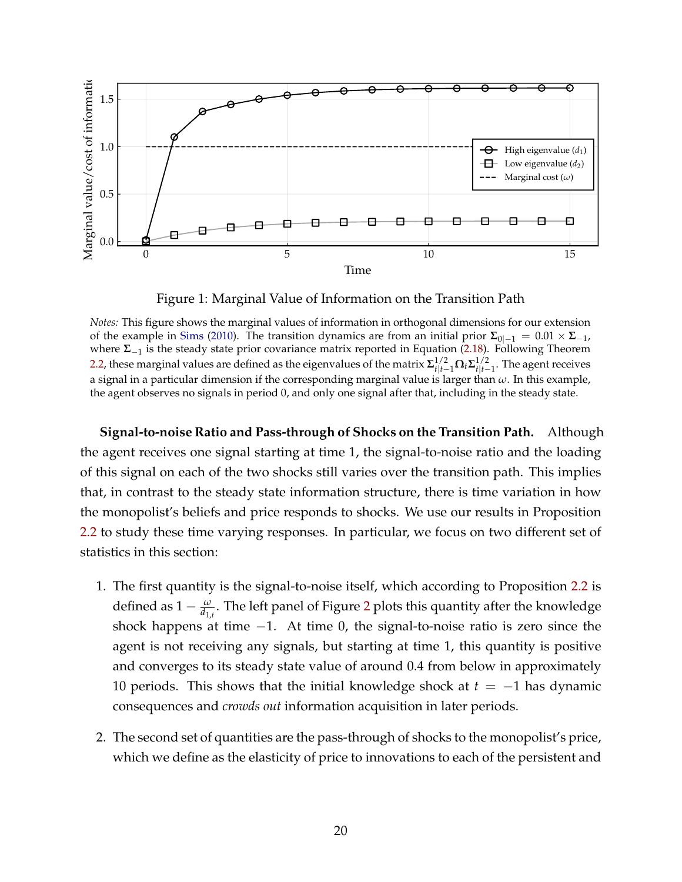<span id="page-19-0"></span>

Figure 1: Marginal Value of Information on the Transition Path

*Notes:* This figure shows the marginal values of information in orthogonal dimensions for our extension of the example in [Sims](#page-50-1) [\(2010\)](#page-50-1). The transition dynamics are from an initial prior  $\Sigma_{0|-1} = 0.01 \times \Sigma_{-1}$ , where **Σ**−<sup>1</sup> is the steady state prior covariance matrix reported in Equation [\(2.18\)](#page-17-0). Following Theorem [2.2,](#page-12-3) these marginal values are defined as the eigenvalues of the matrix  $\sum_{t|t-1}^{1/2} \Omega_t \Sigma_{t|t-1}^{1/2}$ . The agent receives a signal in a particular dimension if the corresponding marginal value is larger than *ω*. In this example, the agent observes no signals in period 0, and only one signal after that, including in the steady state.

**Signal-to-noise Ratio and Pass-through of Shocks on the Transition Path.** Although the agent receives one signal starting at time 1, the signal-to-noise ratio and the loading of this signal on each of the two shocks still varies over the transition path. This implies that, in contrast to the steady state information structure, there is time variation in how the monopolist's beliefs and price responds to shocks. We use our results in Proposition [2.2](#page-13-1) to study these time varying responses. In particular, we focus on two different set of statistics in this section:

- 1. The first quantity is the signal-to-noise itself, which according to Proposition [2.2](#page-13-1) is defined as  $1 - \frac{\omega}{d_{1,t}}$ . The left panel of Figure [2](#page-20-0) plots this quantity after the knowledge shock happens at time −1. At time 0, the signal-to-noise ratio is zero since the agent is not receiving any signals, but starting at time 1, this quantity is positive and converges to its steady state value of around 0.4 from below in approximately 10 periods. This shows that the initial knowledge shock at *t* = −1 has dynamic consequences and *crowds out* information acquisition in later periods.
- 2. The second set of quantities are the pass-through of shocks to the monopolist's price, which we define as the elasticity of price to innovations to each of the persistent and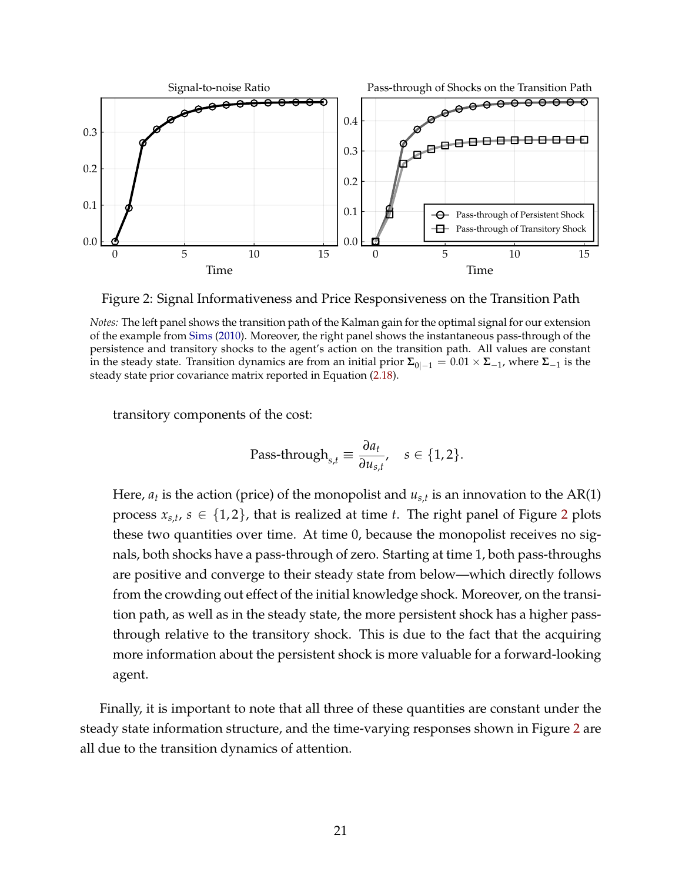<span id="page-20-0"></span>

Figure 2: Signal Informativeness and Price Responsiveness on the Transition Path

*Notes:* The left panel shows the transition path of the Kalman gain for the optimal signal for our extension of the example from [Sims](#page-50-1) [\(2010\)](#page-50-1). Moreover, the right panel shows the instantaneous pass-through of the persistence and transitory shocks to the agent's action on the transition path. All values are constant in the steady state. Transition dynamics are from an initial prior  $Σ_{0|-1} = 0.01 × Σ_{-1}$ , where  $Σ_{-1}$  is the steady state prior covariance matrix reported in Equation [\(2.18\)](#page-17-0).

transitory components of the cost:

Pass-through<sub>s,t</sub> 
$$
\equiv \frac{\partial a_t}{\partial u_{s,t}}, \quad s \in \{1, 2\}.
$$

Here,  $a_t$  is the action (price) of the monopolist and  $u_{s,t}$  is an innovation to the AR(1) process  $x_{s,t}$ ,  $s \in \{1,2\}$  $s \in \{1,2\}$  $s \in \{1,2\}$ , that is realized at time *t*. The right panel of Figure 2 plots these two quantities over time. At time 0, because the monopolist receives no signals, both shocks have a pass-through of zero. Starting at time 1, both pass-throughs are positive and converge to their steady state from below—which directly follows from the crowding out effect of the initial knowledge shock. Moreover, on the transition path, as well as in the steady state, the more persistent shock has a higher passthrough relative to the transitory shock. This is due to the fact that the acquiring more information about the persistent shock is more valuable for a forward-looking agent.

Finally, it is important to note that all three of these quantities are constant under the steady state information structure, and the time-varying responses shown in Figure [2](#page-20-0) are all due to the transition dynamics of attention.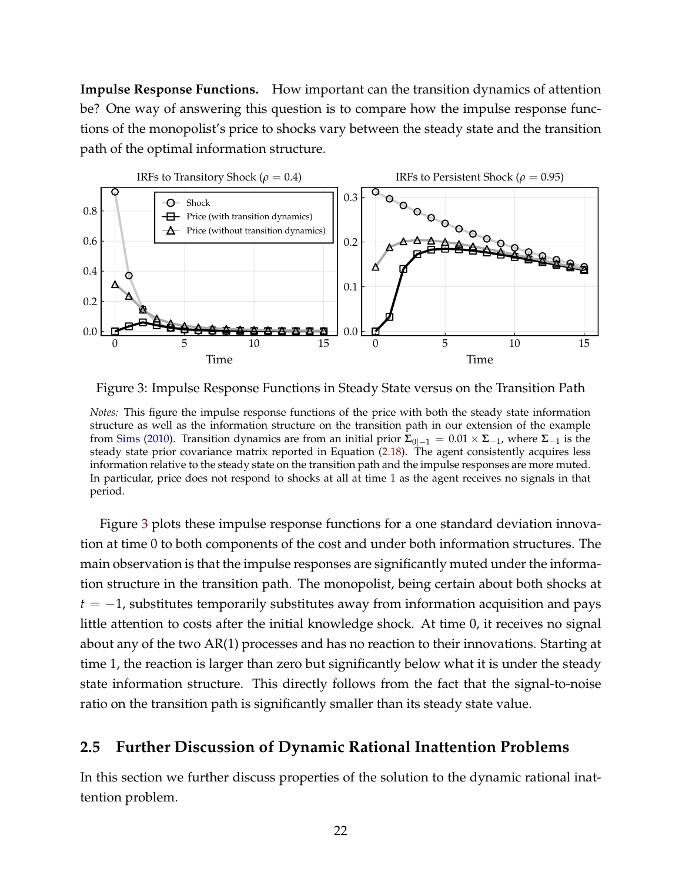**Impulse Response Functions.** How important can the transition dynamics of attention be? One way of answering this question is to compare how the impulse response functions of the monopolist's price to shocks vary between the steady state and the transition path of the optimal information structure.

<span id="page-21-0"></span>

Figure 3: Impulse Response Functions in Steady State versus on the Transition Path

*Notes:* This figure the impulse response functions of the price with both the steady state information structure as well as the information structure on the transition path in our extension of the example from [Sims](#page-50-1) [\(2010\)](#page-50-1). Transition dynamics are from an initial prior  $\Sigma_{0|-1} = 0.01 \times \Sigma_{-1}$ , where  $\Sigma_{-1}$  is the steady state prior covariance matrix reported in Equation [\(2.18\)](#page-17-0). The agent consistently acquires less information relative to the steady state on the transition path and the impulse responses are more muted. In particular, price does not respond to shocks at all at time 1 as the agent receives no signals in that period.

Figure [3](#page-21-0) plots these impulse response functions for a one standard deviation innovation at time 0 to both components of the cost and under both information structures. The main observation is that the impulse responses are significantly muted under the information structure in the transition path. The monopolist, being certain about both shocks at *t* = −1, substitutes temporarily substitutes away from information acquisition and pays little attention to costs after the initial knowledge shock. At time 0, it receives no signal about any of the two AR(1) processes and has no reaction to their innovations. Starting at time 1, the reaction is larger than zero but significantly below what it is under the steady state information structure. This directly follows from the fact that the signal-to-noise ratio on the transition path is significantly smaller than its steady state value.

## **2.5 Further Discussion of Dynamic Rational Inattention Problems**

In this section we further discuss properties of the solution to the dynamic rational inattention problem.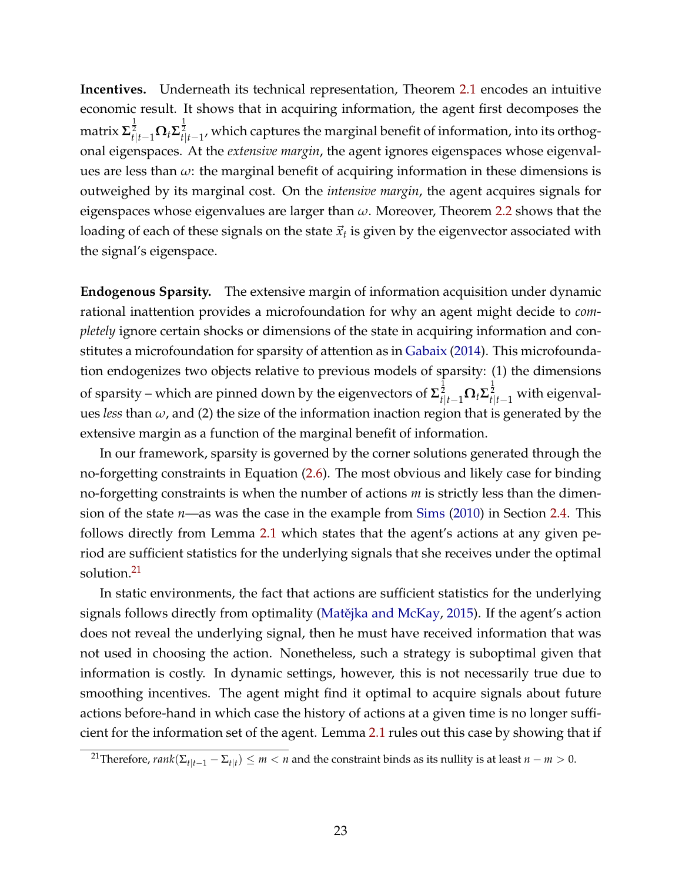**Incentives.** Underneath its technical representation, Theorem [2.1](#page-12-2) encodes an intuitive economic result. It shows that in acquiring information, the agent first decomposes the matrix  $\sum_{t|t-1}^{\frac{1}{2}} \Omega_t \Sigma_{t|t-1}^{\frac{1}{2}}$ , which captures the marginal benefit of information, into its orthogonal eigenspaces. At the *extensive margin*, the agent ignores eigenspaces whose eigenvalues are less than  $\omega$ : the marginal benefit of acquiring information in these dimensions is outweighed by its marginal cost. On the *intensive margin*, the agent acquires signals for eigenspaces whose eigenvalues are larger than *ω*. Moreover, Theorem [2.2](#page-12-3) shows that the loading of each of these signals on the state  $\vec{x}_t$  is given by the eigenvector associated with the signal's eigenspace.

**Endogenous Sparsity.** The extensive margin of information acquisition under dynamic rational inattention provides a microfoundation for why an agent might decide to *completely* ignore certain shocks or dimensions of the state in acquiring information and constitutes a microfoundation for sparsity of attention as in [Gabaix](#page-47-9) [\(2014\)](#page-47-9). This microfoundation endogenizes two objects relative to previous models of sparsity: (1) the dimensions of sparsity – which are pinned down by the eigenvectors of **Σ** 1 2 *<sup>t</sup>*|*t*−1**Ω***t***Σ** 1 2 *<sup>t</sup>*|*t*−<sup>1</sup> with eigenvalues *less* than  $\omega$ , and (2) the size of the information inaction region that is generated by the extensive margin as a function of the marginal benefit of information.

In our framework, sparsity is governed by the corner solutions generated through the no-forgetting constraints in Equation [\(2.6\)](#page-9-4). The most obvious and likely case for binding no-forgetting constraints is when the number of actions *m* is strictly less than the dimension of the state *n*—as was the case in the example from [Sims](#page-50-1) [\(2010\)](#page-50-1) in Section [2.4.](#page-16-0) This follows directly from Lemma [2.1](#page-7-3) which states that the agent's actions at any given period are sufficient statistics for the underlying signals that she receives under the optimal solution.<sup>[21](#page-0-0)</sup>

In static environments, the fact that actions are sufficient statistics for the underlying signals follows directly from optimality (Matějka and McKay, [2015\)](#page-49-13). If the agent's action does not reveal the underlying signal, then he must have received information that was not used in choosing the action. Nonetheless, such a strategy is suboptimal given that information is costly. In dynamic settings, however, this is not necessarily true due to smoothing incentives. The agent might find it optimal to acquire signals about future actions before-hand in which case the history of actions at a given time is no longer sufficient for the information set of the agent. Lemma [2.1](#page-7-3) rules out this case by showing that if

 $^{21}$ Therefore*, rank*( $\Sigma_{t|t-1}-\Sigma_{t|t})\leq m< n$  and the constraint binds as its nullity is at least  $n-m>0.$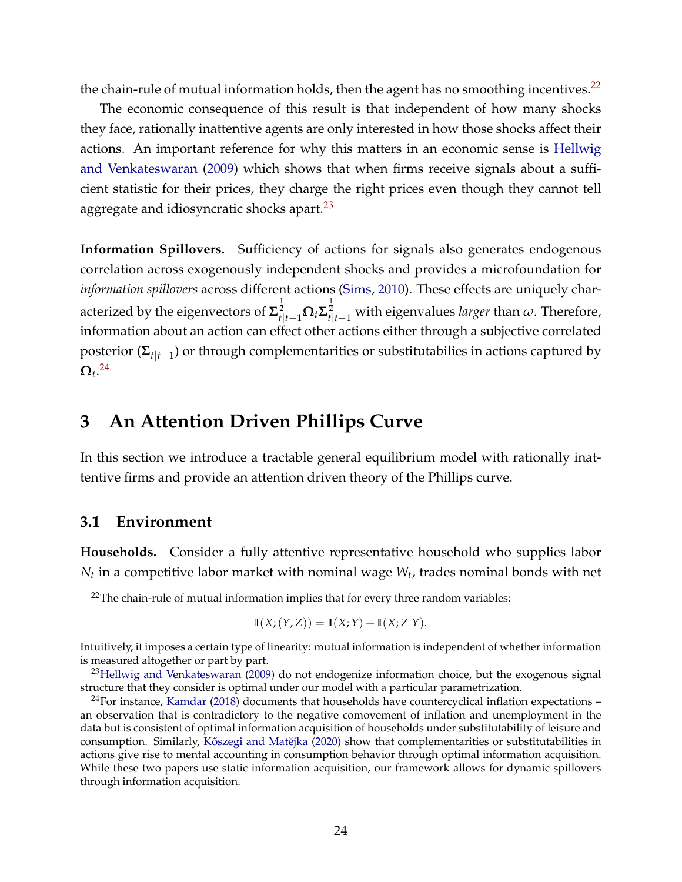the chain-rule of mutual information holds, then the agent has no smoothing incentives.<sup>[22](#page-0-0)</sup>

The economic consequence of this result is that independent of how many shocks they face, rationally inattentive agents are only interested in how those shocks affect their actions. An important reference for why this matters in an economic sense is [Hellwig](#page-47-10) [and Venkateswaran](#page-47-10) [\(2009\)](#page-47-10) which shows that when firms receive signals about a sufficient statistic for their prices, they charge the right prices even though they cannot tell aggregate and idiosyncratic shocks apart.<sup>[23](#page-0-0)</sup>

**Information Spillovers.** Sufficiency of actions for signals also generates endogenous correlation across exogenously independent shocks and provides a microfoundation for *information spillovers* across different actions [\(Sims,](#page-50-1) [2010\)](#page-50-1). These effects are uniquely characterized by the eigenvectors of  $\Sigma^\frac{1}{2}_{t|t-1}\Omega_t\Sigma^\frac{1}{2}_{t|t-1}$  with eigenvalues *larger* than  $\omega.$  Therefore, information about an action can effect other actions either through a subjective correlated posterior (**Σ***t*|*t*−<sup>1</sup> ) or through complementarities or substitutabilies in actions captured by  $\mathbf{\Omega}_{t}$ .<sup>[24](#page-0-0)</sup>

## <span id="page-23-0"></span>**3 An Attention Driven Phillips Curve**

In this section we introduce a tractable general equilibrium model with rationally inattentive firms and provide an attention driven theory of the Phillips curve.

### **3.1 Environment**

**Households.** Consider a fully attentive representative household who supplies labor *Nt* in a competitive labor market with nominal wage *W<sup>t</sup>* , trades nominal bonds with net

$$
\mathbb{I}(X; (Y, Z)) = \mathbb{I}(X; Y) + \mathbb{I}(X; Z|Y).
$$

 $22$ The chain-rule of mutual information implies that for every three random variables:

Intuitively, it imposes a certain type of linearity: mutual information is independent of whether information is measured altogether or part by part.

<sup>&</sup>lt;sup>23</sup>[Hellwig and Venkateswaran](#page-47-10) [\(2009\)](#page-47-10) do not endogenize information choice, but the exogenous signal structure that they consider is optimal under our model with a particular parametrization.

<sup>&</sup>lt;sup>24</sup>For instance, [Kamdar](#page-48-13) [\(2018\)](#page-48-13) documents that households have countercyclical inflation expectations – an observation that is contradictory to the negative comovement of inflation and unemployment in the data but is consistent of optimal information acquisition of households under substitutability of leisure and consumption. Similarly, Kőszegi and Matějka [\(2020\)](#page-48-14) show that complementarities or substitutabilities in actions give rise to mental accounting in consumption behavior through optimal information acquisition. While these two papers use static information acquisition, our framework allows for dynamic spillovers through information acquisition.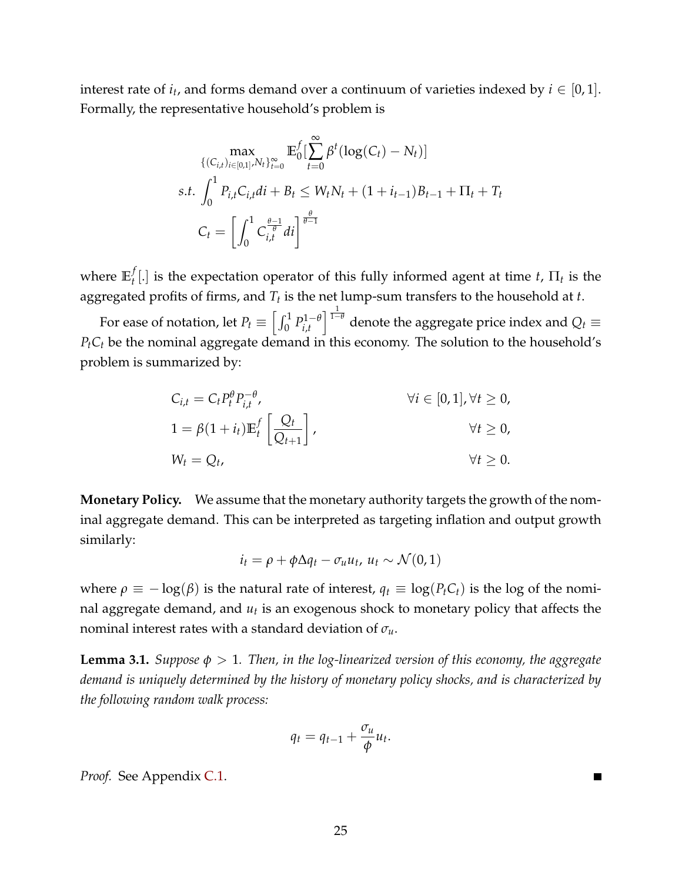interest rate of  $i_t$ , and forms demand over a continuum of varieties indexed by  $i \in [0,1]$ . Formally, the representative household's problem is

$$
\max_{\{(C_{i,t})_{i\in[0,1]},N_t\}_{t=0}^{\infty}} \mathbb{E}_{0}^{f} \left[\sum_{t=0}^{\infty} \beta^{t} (\log(C_{t}) - N_{t})\right]
$$
  
s.t. 
$$
\int_{0}^{1} P_{i,t} C_{i,t} dt + B_{t} \le W_{t} N_{t} + (1 + i_{t-1}) B_{t-1} + \Pi_{t} + T_{t}
$$

$$
C_{t} = \left[\int_{0}^{1} C_{i,t}^{\frac{\theta-1}{\theta}} dt\right]^{\frac{\theta}{\theta-1}}
$$

where  $\mathbb{E}_t^f$  $\mathcal{H}_t^f$ [.] is the expectation operator of this fully informed agent at time  $t$ ,  $\Pi_t$  is the aggregated profits of firms, and *T<sup>t</sup>* is the net lump-sum transfers to the household at *t*.

For ease of notation, let  $P_t \equiv \left[\int_0^1 P_{i,t}^{1-\theta} \right]$ *i*,*t*  $\int_0^{\frac{1}{1-\theta}}$  denote the aggregate price index and  $Q_t$   $\equiv$  $P_t C_t$  be the nominal aggregate demand in this economy. The solution to the household's problem is summarized by:

$$
C_{i,t} = C_t P_t^{\theta} P_{i,t}^{-\theta},
$$
  
\n
$$
1 = \beta (1 + i_t) \mathbb{E}_t^f \left[ \frac{Q_t}{Q_{t+1}} \right],
$$
  
\n
$$
W_t = Q_t,
$$
  
\n
$$
\forall t \ge 0,
$$
  
\n
$$
\forall t \ge 0,
$$
  
\n
$$
\forall t \ge 0.
$$

**Monetary Policy.** We assume that the monetary authority targets the growth of the nominal aggregate demand. This can be interpreted as targeting inflation and output growth similarly:

$$
i_t = \rho + \phi \Delta q_t - \sigma_u u_t, \ u_t \sim \mathcal{N}(0, 1)
$$

where  $\rho \equiv -\log(\beta)$  is the natural rate of interest,  $q_t \equiv \log(P_t C_t)$  is the log of the nominal aggregate demand, and *u<sup>t</sup>* is an exogenous shock to monetary policy that affects the nominal interest rates with a standard deviation of *σu*.

<span id="page-24-0"></span>**Lemma 3.1.** *Suppose*  $\phi > 1$ *. Then, in the log-linearized version of this economy, the aggregate demand is uniquely determined by the history of monetary policy shocks, and is characterized by the following random walk process:*

$$
q_t = q_{t-1} + \frac{\sigma_u}{\phi} u_t.
$$

*Proof.* See Appendix [C.1.](#page-65-1)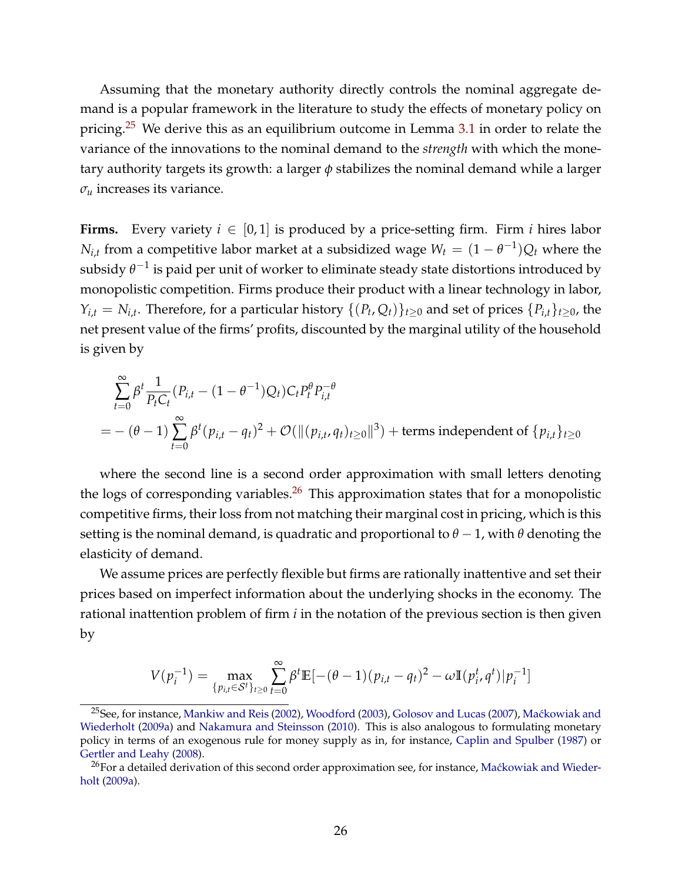Assuming that the monetary authority directly controls the nominal aggregate demand is a popular framework in the literature to study the effects of monetary policy on pricing.<sup>[25](#page-0-0)</sup> We derive this as an equilibrium outcome in Lemma [3.1](#page-24-0) in order to relate the variance of the innovations to the nominal demand to the *strength* with which the monetary authority targets its growth: a larger *φ* stabilizes the nominal demand while a larger  $\sigma_u$  increases its variance.

**Firms.** Every variety  $i \in [0,1]$  is produced by a price-setting firm. Firm *i* hires labor *N*<sub>*i*,*t*</sub> from a competitive labor market at a subsidized wage  $W_t = (1 - \theta^{-1})Q_t$  where the subsidy  $\theta^{-1}$  is paid per unit of worker to eliminate steady state distortions introduced by monopolistic competition. Firms produce their product with a linear technology in labor,  $Y_{i,t} = N_{i,t}$ . Therefore, for a particular history  $\{(P_t, Q_t)\}_{t\geq 0}$  and set of prices  $\{P_{i,t}\}_{t\geq 0}$ , the net present value of the firms' profits, discounted by the marginal utility of the household is given by

$$
\sum_{t=0}^{\infty} \beta^{t} \frac{1}{P_{t}C_{t}} (P_{i,t} - (1 - \theta^{-1})Q_{t})C_{t} P_{t}^{\theta} P_{i,t}^{-\theta}
$$
\n
$$
= -(\theta - 1) \sum_{t=0}^{\infty} \beta^{t} (p_{i,t} - q_{t})^{2} + \mathcal{O}(\|(p_{i,t}, q_{t})_{t \ge 0}\|^{3}) + \text{terms independent of } \{p_{i,t}\}_{t \ge 0}
$$

where the second line is a second order approximation with small letters denoting the logs of corresponding variables.<sup>[26](#page-0-0)</sup> This approximation states that for a monopolistic competitive firms, their loss from not matching their marginal cost in pricing, which is this setting is the nominal demand, is quadratic and proportional to  $\theta$  − 1, with  $\theta$  denoting the elasticity of demand.

We assume prices are perfectly flexible but firms are rationally inattentive and set their prices based on imperfect information about the underlying shocks in the economy. The rational inattention problem of firm *i* in the notation of the previous section is then given by

$$
V(p_i^{-1}) = \max_{\{p_{i,t} \in \mathcal{S}^t\}_{t \ge 0}} \sum_{t=0}^{\infty} \beta^t \mathbb{E}[-(\theta - 1)(p_{i,t} - q_t)^2 - \omega \mathbb{I}(p_i^t, q^t) | p_i^{-1}]
$$

<sup>&</sup>lt;sup>25</sup>See, for instance, [Mankiw and Reis](#page-49-9) [\(2002\)](#page-49-9), [Woodford](#page-50-9) [\(2003\)](#page-50-9), [Golosov and Lucas](#page-47-11) [\(2007\)](#page-47-11), Maćkowiak and [Wiederholt](#page-48-0) [\(2009a\)](#page-48-0) and [Nakamura and Steinsson](#page-49-14) [\(2010\)](#page-49-14). This is also analogous to formulating monetary policy in terms of an exogenous rule for money supply as in, for instance, [Caplin and Spulber](#page-46-12) [\(1987\)](#page-46-12) or [Gertler and Leahy](#page-47-12) [\(2008\)](#page-47-12).

 $^{26}$ For a detailed derivation of this second order approximation see, for instance, Ma $\acute{\text{c}}$ kowiak and Wieder[holt](#page-48-0) [\(2009a\)](#page-48-0).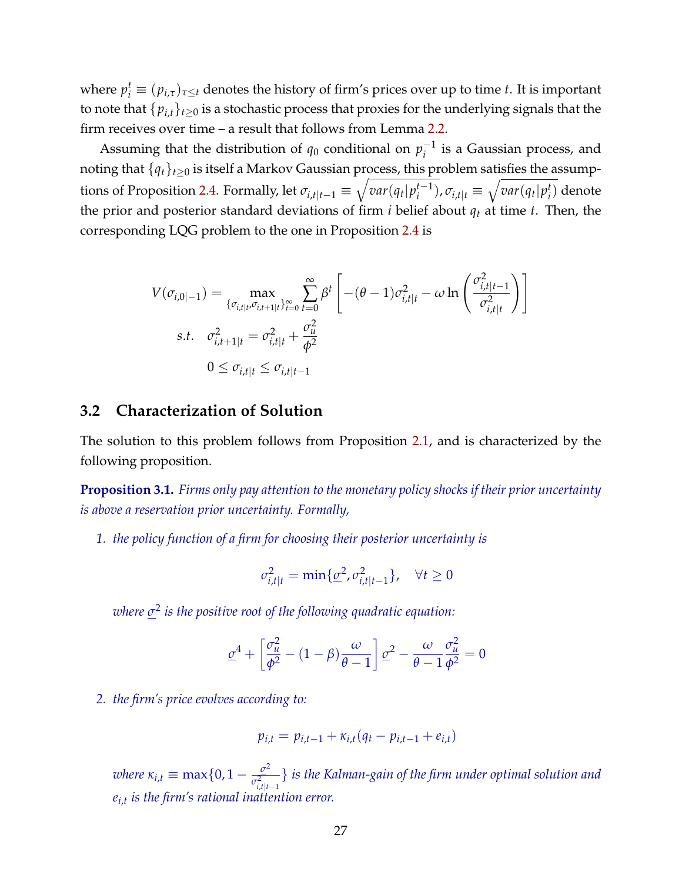where  $p_i^t \equiv (p_{i,\tau})_{\tau\leq t}$  denotes the history of firm's prices over up to time *t*. It is important to note that  $\{p_{i,t}\}_{t>0}$  is a stochastic process that proxies for the underlying signals that the firm receives over time – a result that follows from Lemma [2.2.](#page-8-0)

Assuming that the distribution of  $q_0$  conditional on  $p_i^{-1}$  $i^{\text{-}1}$  is a Gaussian process, and noting that  $\{q_t\}_{t\geq0}$  is itself a Markov Gaussian process, this problem satisfies the assump-tions of Proposition [2.4.](#page-9-1) Formally, let  $\sigma_{i,t|t-1} \equiv \sqrt{var(q_t|p_i^{t-1})}$  $(\overline{a}^{t-1})$ ,  $\sigma_{i,t|t} \equiv \sqrt{var(q_t|p_i^t)}$ *i* ) denote the prior and posterior standard deviations of firm *i* belief about *q<sup>t</sup>* at time *t*. Then, the corresponding LQG problem to the one in Proposition [2.4](#page-9-1) is

$$
V(\sigma_{i,0|-1}) = \max_{\{\sigma_{i,t|t}, \sigma_{i,t+1|t}\}_{t=0}^{\infty}} \sum_{t=0}^{\infty} \beta^t \left[ -(\theta - 1)\sigma_{i,t|t}^2 - \omega \ln \left( \frac{\sigma_{i,t|t-1}^2}{\sigma_{i,t|t}^2} \right) \right]
$$
  
s.t.  $\sigma_{i,t+1|t}^2 = \sigma_{i,t|t}^2 + \frac{\sigma_u^2}{\phi^2}$   
 $0 \le \sigma_{i,t|t} \le \sigma_{i,t|t-1}$ 

## **3.2 Characterization of Solution**

The solution to this problem follows from Proposition [2.1,](#page-11-0) and is characterized by the following proposition.

<span id="page-26-0"></span>**Proposition 3.1.** *Firms only pay attention to the monetary policy shocks if their prior uncertainty is above a reservation prior uncertainty. Formally,*

*1. the policy function of a firm for choosing their posterior uncertainty is*

$$
\sigma_{i,t|t}^2 = \min\{\underline{\sigma}^2, \sigma_{i,t|t-1}^2\}, \quad \forall t \ge 0
$$

*where σ* 2 *is the positive root of the following quadratic equation:*

$$
\underline{\sigma}^4 + \left[\frac{\sigma_u^2}{\phi^2} - (1 - \beta)\frac{\omega}{\theta - 1}\right]\underline{\sigma}^2 - \frac{\omega}{\theta - 1}\frac{\sigma_u^2}{\phi^2} = 0
$$

<span id="page-26-1"></span>*2. the firm's price evolves according to:*

$$
p_{i,t} = p_{i,t-1} + \kappa_{i,t}(q_t - p_{i,t-1} + e_{i,t})
$$

*where*  $\kappa_{i,t} \equiv \max\{0, 1 - \frac{\sigma^2}{\sigma^2}\}$  $\sigma_{i,t|t-1}^2$ } *is the Kalman-gain of the firm under optimal solution and ei*,*t is the firm's rational inattention error.*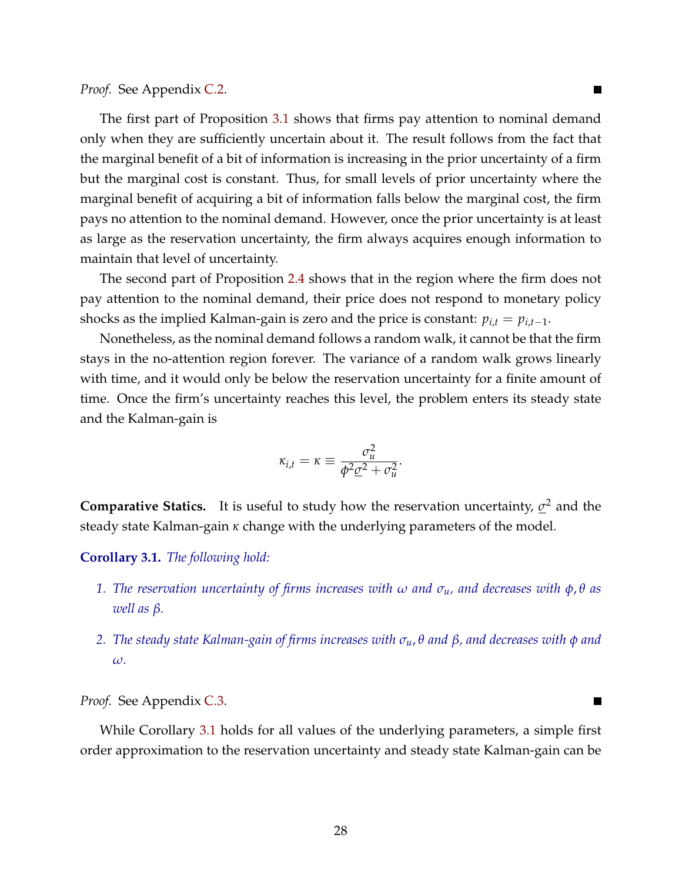#### *Proof.* See Appendix [C.2.](#page-66-0)

The first part of Proposition [3.1](#page-26-0) shows that firms pay attention to nominal demand only when they are sufficiently uncertain about it. The result follows from the fact that the marginal benefit of a bit of information is increasing in the prior uncertainty of a firm but the marginal cost is constant. Thus, for small levels of prior uncertainty where the marginal benefit of acquiring a bit of information falls below the marginal cost, the firm pays no attention to the nominal demand. However, once the prior uncertainty is at least as large as the reservation uncertainty, the firm always acquires enough information to maintain that level of uncertainty.

п

п

The second part of Proposition [2.4](#page-9-1) shows that in the region where the firm does not pay attention to the nominal demand, their price does not respond to monetary policy shocks as the implied Kalman-gain is zero and the price is constant:  $p_{i,t} = p_{i,t-1}$ .

Nonetheless, as the nominal demand follows a random walk, it cannot be that the firm stays in the no-attention region forever. The variance of a random walk grows linearly with time, and it would only be below the reservation uncertainty for a finite amount of time. Once the firm's uncertainty reaches this level, the problem enters its steady state and the Kalman-gain is

$$
\kappa_{i,t} = \kappa \equiv \frac{\sigma_u^2}{\phi^2 \underline{\sigma}^2 + \sigma_u^2}.
$$

**Comparative Statics.** It is useful to study how the reservation uncertainty, *σ* <sup>2</sup> and the steady state Kalman-gain *κ* change with the underlying parameters of the model.

#### <span id="page-27-0"></span>**Corollary 3.1.** *The following hold:*

- *1. The reservation uncertainty of firms increases with ω and σu, and decreases with φ*, *θ as well as β.*
- *2. The steady state Kalman-gain of firms increases with σu*, *θ and β, and decreases with φ and ω.*

*Proof.* See Appendix [C.3.](#page-66-1)

While Corollary [3.1](#page-27-0) holds for all values of the underlying parameters, a simple first order approximation to the reservation uncertainty and steady state Kalman-gain can be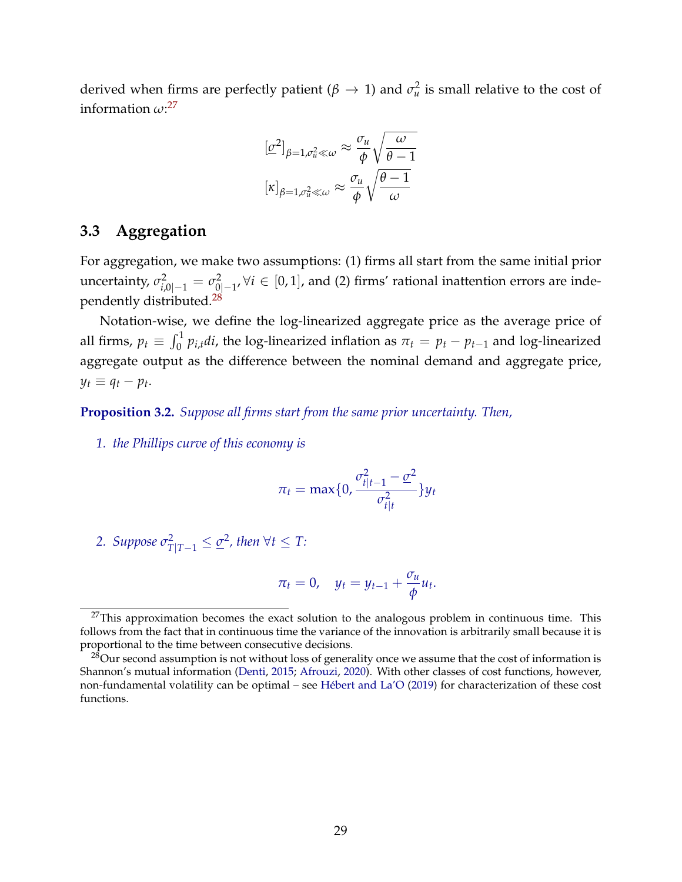derived when firms are perfectly patient ( $\beta \rightarrow 1$ ) and  $\sigma_u^2$  is small relative to the cost of information *ω*: [27](#page-0-0)

$$
[\underline{\sigma}^2]_{\beta=1,\sigma_u^2\ll\omega} \approx \frac{\sigma_u}{\phi} \sqrt{\frac{\omega}{\theta-1}}
$$

$$
[\kappa]_{\beta=1,\sigma_u^2\ll\omega} \approx \frac{\sigma_u}{\phi} \sqrt{\frac{\theta-1}{\omega}}
$$

## **3.3 Aggregation**

For aggregation, we make two assumptions: (1) firms all start from the same initial prior uncertainty,  $\sigma^2_{i,0|-1} = \sigma^2_0$ 0|−1 , ∀*i* ∈ [0, 1], and (2) firms' rational inattention errors are inde-pendently distributed.<sup>[28](#page-0-0)</sup>

Notation-wise, we define the log-linearized aggregate price as the average price of all firms,  $p_t \equiv \int_0^1 p_{i,t} dt$ , the log-linearized inflation as  $\pi_t = p_t - p_{t-1}$  and log-linearized aggregate output as the difference between the nominal demand and aggregate price,  $y_t \equiv q_t - p_t$ .

<span id="page-28-0"></span>**Proposition 3.2.** *Suppose all firms start from the same prior uncertainty. Then,*

*1. the Phillips curve of this economy is*

$$
\pi_t = \max\{0, \frac{\sigma_{t|t-1}^2 - \underline{\sigma}^2}{\sigma_{t|t}^2}\}y_t
$$

2. Suppose 
$$
\sigma_{T|T-1}^2 \leq \underline{\sigma}^2
$$
, then  $\forall t \leq T$ :

$$
\pi_t = 0, \quad y_t = y_{t-1} + \frac{\sigma_u}{\phi} u_t.
$$

 $27$ This approximation becomes the exact solution to the analogous problem in continuous time. This follows from the fact that in continuous time the variance of the innovation is arbitrarily small because it is proportional to the time between consecutive decisions.

 $28$ Our second assumption is not without loss of generality once we assume that the cost of information is Shannon's mutual information [\(Denti,](#page-47-13) [2015;](#page-47-13) [Afrouzi,](#page-45-0) [2020\)](#page-45-0). With other classes of cost functions, however, non-fundamental volatility can be optimal – see [Hébert and La'O](#page-47-14) [\(2019\)](#page-47-14) for characterization of these cost functions.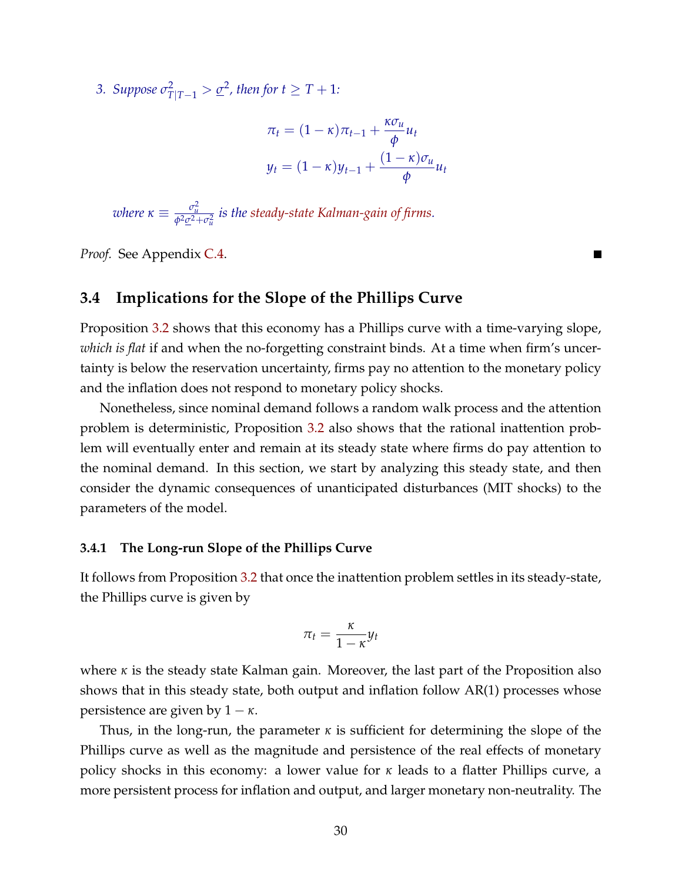3. Suppose  $\sigma_{T|T-1}^2 > \underline{\sigma}^2$ , then for  $t \geq T+1$ :

$$
\pi_t = (1 - \kappa)\pi_{t-1} + \frac{\kappa \sigma_u}{\phi} u_t
$$

$$
y_t = (1 - \kappa)y_{t-1} + \frac{(1 - \kappa)\sigma_u}{\phi} u_t
$$

 $\omega$ here  $\kappa \equiv \frac{\sigma_u^2}{\phi^2 \underline{\sigma}^2 + \sigma_u^2}$  is the [steady-state Kalman-gain of firms.](#page-26-1)

*Proof.* See Appendix [C.4.](#page-67-0)

### **3.4 Implications for the Slope of the Phillips Curve**

Proposition [3.2](#page-28-0) shows that this economy has a Phillips curve with a time-varying slope, *which is flat* if and when the no-forgetting constraint binds. At a time when firm's uncertainty is below the reservation uncertainty, firms pay no attention to the monetary policy and the inflation does not respond to monetary policy shocks.

Nonetheless, since nominal demand follows a random walk process and the attention problem is deterministic, Proposition [3.2](#page-28-0) also shows that the rational inattention problem will eventually enter and remain at its steady state where firms do pay attention to the nominal demand. In this section, we start by analyzing this steady state, and then consider the dynamic consequences of unanticipated disturbances (MIT shocks) to the parameters of the model.

#### **3.4.1 The Long-run Slope of the Phillips Curve**

It follows from Proposition [3.2](#page-28-0) that once the inattention problem settles in its steady-state, the Phillips curve is given by

$$
\pi_t = \frac{\kappa}{1-\kappa} y_t
$$

where *κ* is the steady state Kalman gain. Moreover, the last part of the Proposition also shows that in this steady state, both output and inflation follow AR(1) processes whose persistence are given by  $1 - \kappa$ .

Thus, in the long-run, the parameter *κ* is sufficient for determining the slope of the Phillips curve as well as the magnitude and persistence of the real effects of monetary policy shocks in this economy: a lower value for *κ* leads to a flatter Phillips curve, a more persistent process for inflation and output, and larger monetary non-neutrality. The

п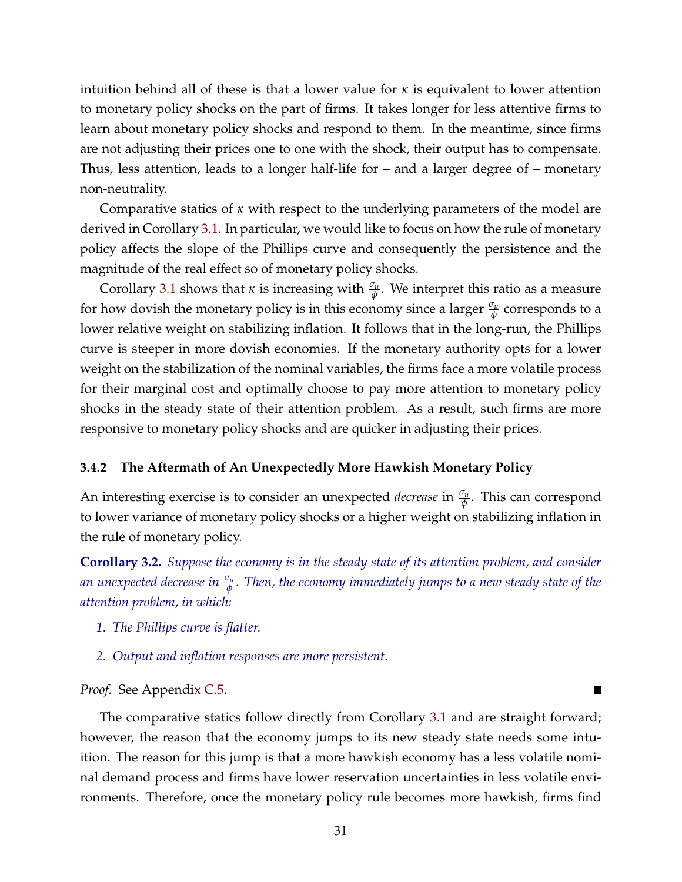intuition behind all of these is that a lower value for *κ* is equivalent to lower attention to monetary policy shocks on the part of firms. It takes longer for less attentive firms to learn about monetary policy shocks and respond to them. In the meantime, since firms are not adjusting their prices one to one with the shock, their output has to compensate. Thus, less attention, leads to a longer half-life for – and a larger degree of – monetary non-neutrality.

Comparative statics of *κ* with respect to the underlying parameters of the model are derived in Corollary [3.1.](#page-27-0) In particular, we would like to focus on how the rule of monetary policy affects the slope of the Phillips curve and consequently the persistence and the magnitude of the real effect so of monetary policy shocks.

Corollary [3.1](#page-27-0) shows that *κ* is increasing with  $\frac{\sigma_u}{\phi}$ . We interpret this ratio as a measure for how dovish the monetary policy is in this economy since a larger  $\frac{\sigma_u}{\phi}$  corresponds to a lower relative weight on stabilizing inflation. It follows that in the long-run, the Phillips curve is steeper in more dovish economies. If the monetary authority opts for a lower weight on the stabilization of the nominal variables, the firms face a more volatile process for their marginal cost and optimally choose to pay more attention to monetary policy shocks in the steady state of their attention problem. As a result, such firms are more responsive to monetary policy shocks and are quicker in adjusting their prices.

#### **3.4.2 The Aftermath of An Unexpectedly More Hawkish Monetary Policy**

An interesting exercise is to consider an unexpected *decrease* in  $\frac{\sigma_u}{\phi}$ . This can correspond to lower variance of monetary policy shocks or a higher weight on stabilizing inflation in the rule of monetary policy.

<span id="page-30-0"></span>**Corollary 3.2.** *Suppose the economy is in the steady state of its attention problem, and consider an unexpected decrease in <sup>σ</sup><sup>u</sup> φ . Then, the economy immediately jumps to a new steady state of the attention problem, in which:*

- *1. The Phillips curve is flatter.*
- *2. Output and inflation responses are more persistent.*

*Proof.* See Appendix [C.5.](#page-67-1)

The comparative statics follow directly from Corollary [3.1](#page-27-0) and are straight forward; however, the reason that the economy jumps to its new steady state needs some intuition. The reason for this jump is that a more hawkish economy has a less volatile nominal demand process and firms have lower reservation uncertainties in less volatile environments. Therefore, once the monetary policy rule becomes more hawkish, firms find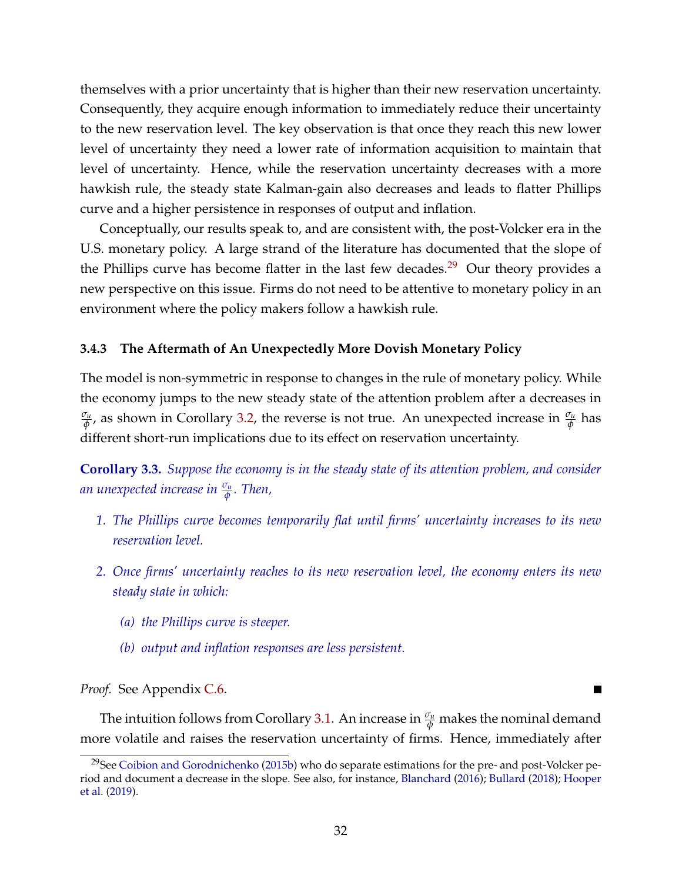themselves with a prior uncertainty that is higher than their new reservation uncertainty. Consequently, they acquire enough information to immediately reduce their uncertainty to the new reservation level. The key observation is that once they reach this new lower level of uncertainty they need a lower rate of information acquisition to maintain that level of uncertainty. Hence, while the reservation uncertainty decreases with a more hawkish rule, the steady state Kalman-gain also decreases and leads to flatter Phillips curve and a higher persistence in responses of output and inflation.

Conceptually, our results speak to, and are consistent with, the post-Volcker era in the U.S. monetary policy. A large strand of the literature has documented that the slope of the Phillips curve has become flatter in the last few decades.<sup>[29](#page-0-0)</sup> Our theory provides a new perspective on this issue. Firms do not need to be attentive to monetary policy in an environment where the policy makers follow a hawkish rule.

#### **3.4.3 The Aftermath of An Unexpectedly More Dovish Monetary Policy**

The model is non-symmetric in response to changes in the rule of monetary policy. While the economy jumps to the new steady state of the attention problem after a decreases in *σu*  $\frac{\sigma_u}{\phi}$ , as shown in Corollary [3.2,](#page-30-0) the reverse is not true. An unexpected increase in  $\frac{\sigma_u}{\phi}$  has different short-run implications due to its effect on reservation uncertainty.

**Corollary 3.3.** *Suppose the economy is in the steady state of its attention problem, and consider an unexpected increase in <sup>σ</sup><sup>u</sup> φ . Then,*

- *1. The Phillips curve becomes temporarily flat until firms' uncertainty increases to its new reservation level.*
- *2. Once firms' uncertainty reaches to its new reservation level, the economy enters its new steady state in which:*
	- *(a) the Phillips curve is steeper.*
	- *(b) output and inflation responses are less persistent.*

*Proof.* See Appendix [C.6.](#page-67-2)

The intuition follows from Corollary [3.1.](#page-27-0) An increase in  $\frac{\sigma_u}{\phi}$  makes the nominal demand more volatile and raises the reservation uncertainty of firms. Hence, immediately after

<sup>&</sup>lt;sup>29</sup>See [Coibion and Gorodnichenko](#page-46-0) [\(2015b\)](#page-46-0) who do separate estimations for the pre- and post-Volcker period and document a decrease in the slope. See also, for instance, [Blanchard](#page-46-1) [\(2016\)](#page-46-1); [Bullard](#page-46-2) [\(2018\)](#page-46-2); [Hooper](#page-47-0) [et al.](#page-47-0) [\(2019\)](#page-47-0).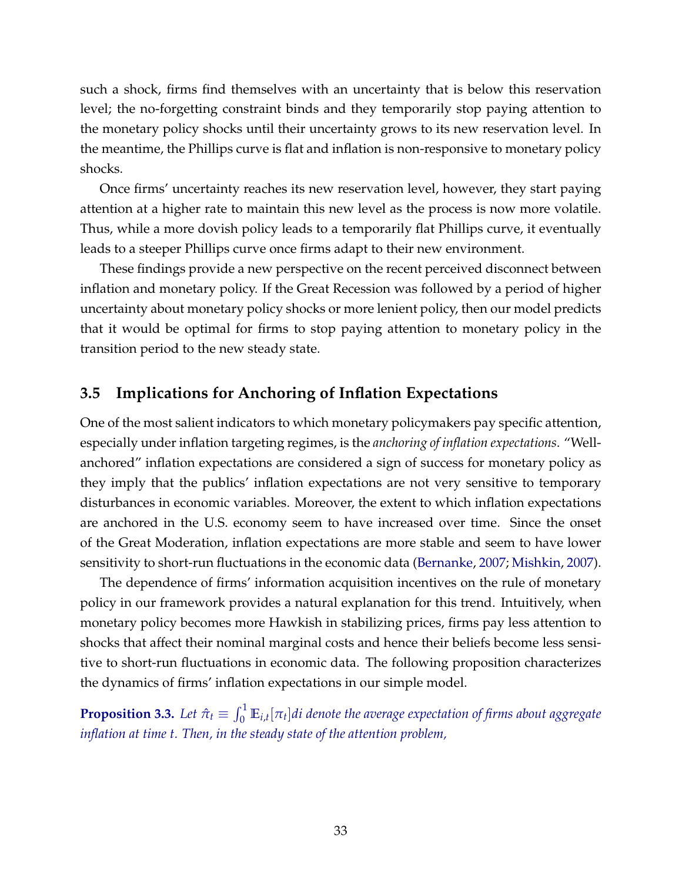such a shock, firms find themselves with an uncertainty that is below this reservation level; the no-forgetting constraint binds and they temporarily stop paying attention to the monetary policy shocks until their uncertainty grows to its new reservation level. In the meantime, the Phillips curve is flat and inflation is non-responsive to monetary policy shocks.

Once firms' uncertainty reaches its new reservation level, however, they start paying attention at a higher rate to maintain this new level as the process is now more volatile. Thus, while a more dovish policy leads to a temporarily flat Phillips curve, it eventually leads to a steeper Phillips curve once firms adapt to their new environment.

These findings provide a new perspective on the recent perceived disconnect between inflation and monetary policy. If the Great Recession was followed by a period of higher uncertainty about monetary policy shocks or more lenient policy, then our model predicts that it would be optimal for firms to stop paying attention to monetary policy in the transition period to the new steady state.

## **3.5 Implications for Anchoring of Inflation Expectations**

One of the most salient indicators to which monetary policymakers pay specific attention, especially under inflation targeting regimes, is the *anchoring of inflation expectations*. "Wellanchored" inflation expectations are considered a sign of success for monetary policy as they imply that the publics' inflation expectations are not very sensitive to temporary disturbances in economic variables. Moreover, the extent to which inflation expectations are anchored in the U.S. economy seem to have increased over time. Since the onset of the Great Moderation, inflation expectations are more stable and seem to have lower sensitivity to short-run fluctuations in the economic data [\(Bernanke,](#page-46-13) [2007;](#page-46-13) [Mishkin,](#page-49-15) [2007\)](#page-49-15).

The dependence of firms' information acquisition incentives on the rule of monetary policy in our framework provides a natural explanation for this trend. Intuitively, when monetary policy becomes more Hawkish in stabilizing prices, firms pay less attention to shocks that affect their nominal marginal costs and hence their beliefs become less sensitive to short-run fluctuations in economic data. The following proposition characterizes the dynamics of firms' inflation expectations in our simple model.

<span id="page-32-0"></span>**Proposition 3.3.** Let  $\hat{\pi}_t \equiv \int_0^1 \mathbb{E}_{i,t}[\pi_t] dt$  denote the average expectation of firms about aggregate *inflation at time t. Then, in the steady state of the attention problem,*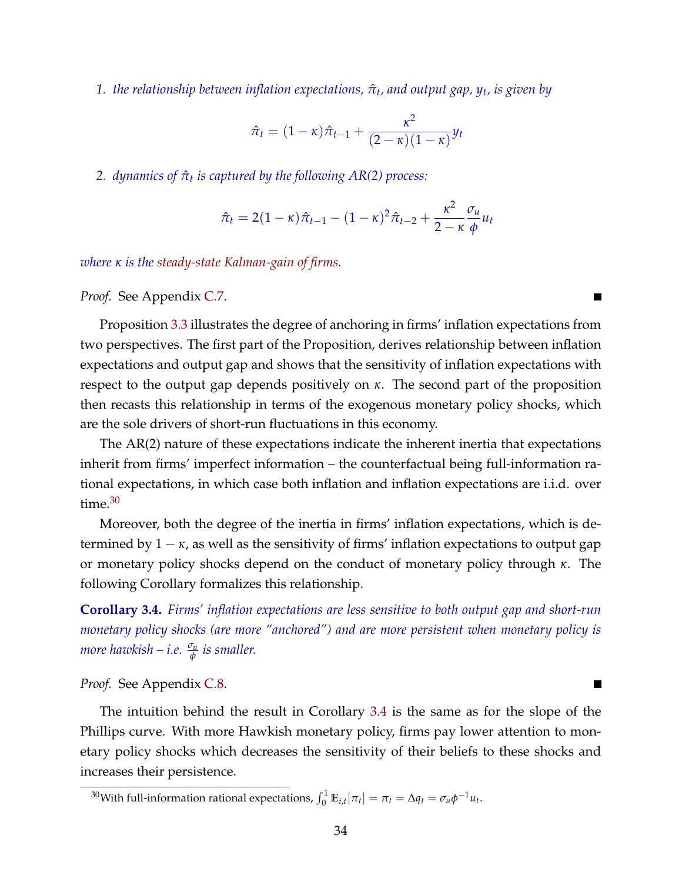*1. the relationship between inflation expectations, π*ˆ*<sup>t</sup> , and output gap, y<sup>t</sup> , is given by*

$$
\hat{\pi}_t = (1 - \kappa)\hat{\pi}_{t-1} + \frac{\kappa^2}{(2 - \kappa)(1 - \kappa)}y_t
$$

*2. dynamics of π*ˆ*<sup>t</sup> is captured by the following AR(2) process:*

$$
\hat{\pi}_t = 2(1-\kappa)\hat{\pi}_{t-1} - (1-\kappa)^2 \hat{\pi}_{t-2} + \frac{\kappa^2}{2-\kappa} \frac{\sigma_u}{\phi} u_t
$$

*where κ is the [steady-state Kalman-gain of firms.](#page-26-1)*

*Proof.* See Appendix [C.7.](#page-68-0)

Proposition [3.3](#page-32-0) illustrates the degree of anchoring in firms' inflation expectations from two perspectives. The first part of the Proposition, derives relationship between inflation expectations and output gap and shows that the sensitivity of inflation expectations with respect to the output gap depends positively on *κ*. The second part of the proposition then recasts this relationship in terms of the exogenous monetary policy shocks, which are the sole drivers of short-run fluctuations in this economy.

The AR(2) nature of these expectations indicate the inherent inertia that expectations inherit from firms' imperfect information – the counterfactual being full-information rational expectations, in which case both inflation and inflation expectations are i.i.d. over time.<sup>[30](#page-0-0)</sup>

Moreover, both the degree of the inertia in firms' inflation expectations, which is determined by 1 − *κ*, as well as the sensitivity of firms' inflation expectations to output gap or monetary policy shocks depend on the conduct of monetary policy through *κ*. The following Corollary formalizes this relationship.

<span id="page-33-0"></span>**Corollary 3.4.** *Firms' inflation expectations are less sensitive to both output gap and short-run monetary policy shocks (are more "anchored") and are more persistent when monetary policy is more hawkish – i.e. <sup>σ</sup><sup>u</sup> φ is smaller.*

*Proof.* See Appendix [C.8.](#page-69-0)

The intuition behind the result in Corollary [3.4](#page-33-0) is the same as for the slope of the Phillips curve. With more Hawkish monetary policy, firms pay lower attention to monetary policy shocks which decreases the sensitivity of their beliefs to these shocks and increases their persistence.

<sup>&</sup>lt;sup>30</sup>With full-information rational expectations,  $\int_0^1 \mathbb{E}_{i,t}[\pi_t] = \pi_t = \Delta q_t = \sigma_u \phi^{-1} u_t$ .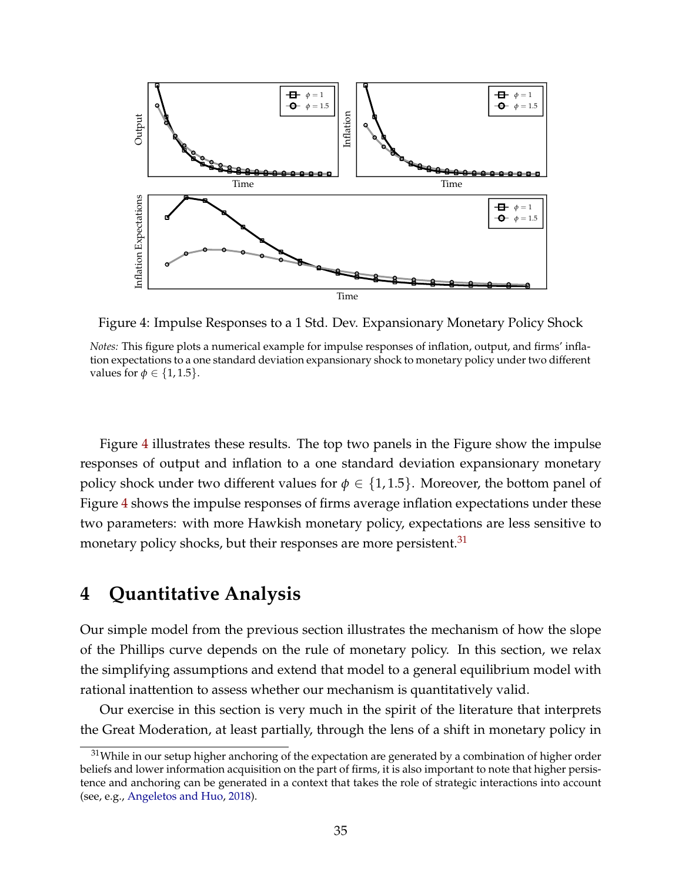<span id="page-34-1"></span>

Figure 4: Impulse Responses to a 1 Std. Dev. Expansionary Monetary Policy Shock

Figure [4](#page-34-1) illustrates these results. The top two panels in the Figure show the impulse responses of output and inflation to a one standard deviation expansionary monetary policy shock under two different values for  $\phi \in \{1, 1.5\}$ . Moreover, the bottom panel of Figure [4](#page-34-1) shows the impulse responses of firms average inflation expectations under these two parameters: with more Hawkish monetary policy, expectations are less sensitive to monetary policy shocks, but their responses are more persistent.<sup>[31](#page-0-0)</sup>

## <span id="page-34-0"></span>**4 Quantitative Analysis**

Our simple model from the previous section illustrates the mechanism of how the slope of the Phillips curve depends on the rule of monetary policy. In this section, we relax the simplifying assumptions and extend that model to a general equilibrium model with rational inattention to assess whether our mechanism is quantitatively valid.

Our exercise in this section is very much in the spirit of the literature that interprets the Great Moderation, at least partially, through the lens of a shift in monetary policy in

*Notes:* This figure plots a numerical example for impulse responses of inflation, output, and firms' inflation expectations to a one standard deviation expansionary shock to monetary policy under two different values for  $\phi \in \{1, 1.5\}$ .

 $31$ While in our setup higher anchoring of the expectation are generated by a combination of higher order beliefs and lower information acquisition on the part of firms, it is also important to note that higher persistence and anchoring can be generated in a context that takes the role of strategic interactions into account (see, e.g., [Angeletos and Huo,](#page-46-8) [2018\)](#page-46-8).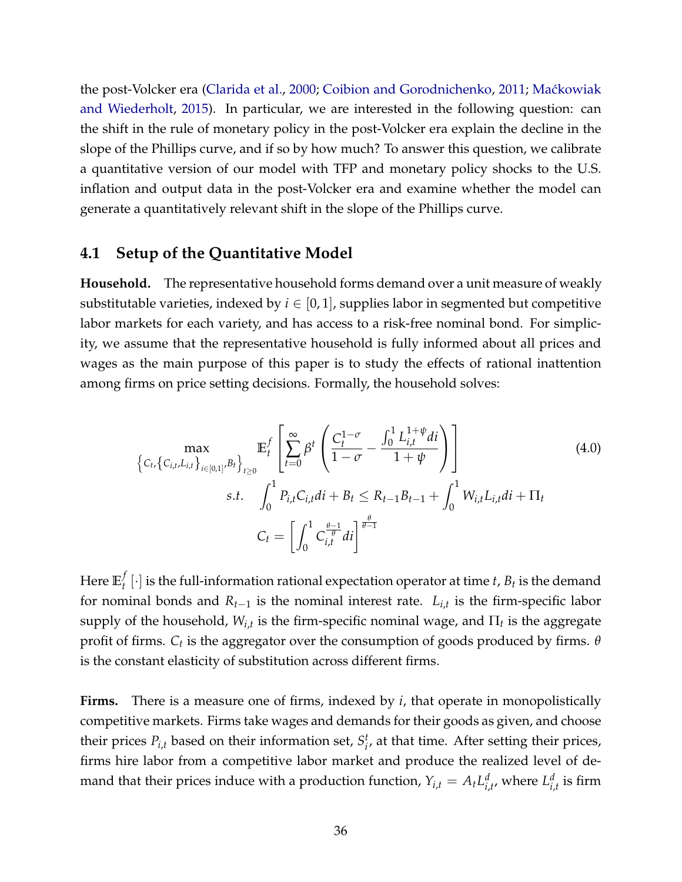the post-Volcker era [\(Clarida et al.,](#page-46-3) [2000;](#page-46-3) [Coibion and Gorodnichenko,](#page-46-4) [2011;](#page-46-4) Maćkowiak [and Wiederholt,](#page-48-2) [2015\)](#page-48-2). In particular, we are interested in the following question: can the shift in the rule of monetary policy in the post-Volcker era explain the decline in the slope of the Phillips curve, and if so by how much? To answer this question, we calibrate a quantitative version of our model with TFP and monetary policy shocks to the U.S. inflation and output data in the post-Volcker era and examine whether the model can generate a quantitatively relevant shift in the slope of the Phillips curve.

## **4.1 Setup of the Quantitative Model**

**Household.** The representative household forms demand over a unit measure of weakly substitutable varieties, indexed by  $i \in [0, 1]$ , supplies labor in segmented but competitive labor markets for each variety, and has access to a risk-free nominal bond. For simplicity, we assume that the representative household is fully informed about all prices and wages as the main purpose of this paper is to study the effects of rational inattention among firms on price setting decisions. Formally, the household solves:

$$
\left\{ C_{t}, \left\{ C_{i,t}, L_{i,t} \right\}_{i \in [0,1]} B_{t} \right\}_{t \geq 0} \mathbb{E}_{t}^{f} \left[ \sum_{t=0}^{\infty} \beta^{t} \left( \frac{C_{t}^{1-\sigma}}{1-\sigma} - \frac{\int_{0}^{1} L_{i,t}^{1+\psi} di}{1+\psi} \right) \right]
$$
\n
$$
s.t. \int_{0}^{1} P_{i,t} C_{i,t} di + B_{t} \leq R_{t-1} B_{t-1} + \int_{0}^{1} W_{i,t} L_{i,t} di + \Pi_{t}
$$
\n
$$
C_{t} = \left[ \int_{0}^{1} C_{i,t}^{\frac{\theta-1}{\theta}} di \right]^{\frac{\theta}{\theta-1}}
$$
\n(4.0)

Here  $\mathbb{E}_t^f$  $\mathcal{F}_t^f$   $[\cdot]$  is the full-information rational expectation operator at time *t*,  $B_t$  is the demand for nominal bonds and *Rt*−<sup>1</sup> is the nominal interest rate. *Li*,*<sup>t</sup>* is the firm-specific labor supply of the household,  $W_{i,t}$  is the firm-specific nominal wage, and  $\Pi_t$  is the aggregate profit of firms.  $C_t$  is the aggregator over the consumption of goods produced by firms.  $θ$ is the constant elasticity of substitution across different firms.

**Firms.** There is a measure one of firms, indexed by *i*, that operate in monopolistically competitive markets. Firms take wages and demands for their goods as given, and choose their prices  $P_{i,t}$  based on their information set,  $S_i^t$  $i<sub>i</sub>$ , at that time. After setting their prices, firms hire labor from a competitive labor market and produce the realized level of demand that their prices induce with a production function,  $Y_{i,t} = A_t L_{i,t}^d$  $_{i,t}^d$ , where  $L_{i,t}^d$  $_{i,t}^d$  is firm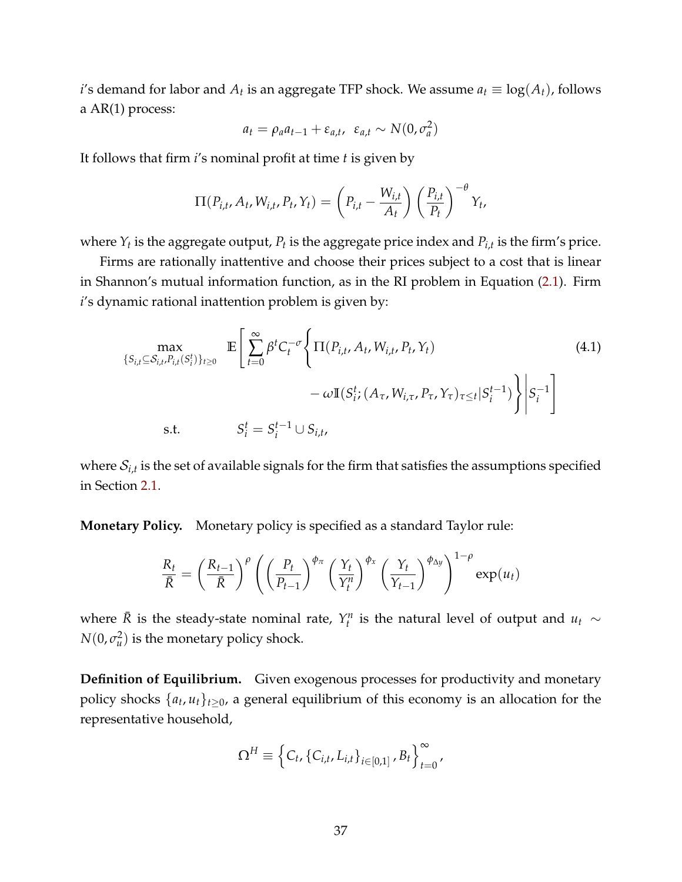*i*'s demand for labor and  $A_t$  is an aggregate TFP shock. We assume  $a_t \equiv \log(A_t)$ , follows a AR(1) process:  $\overline{2}$ 

<span id="page-36-0"></span>
$$
a_t = \rho_a a_{t-1} + \varepsilon_{a,t}, \ \varepsilon_{a,t} \sim N(0, \sigma_a^2)
$$

It follows that firm *i*'s nominal profit at time *t* is given by

$$
\Pi(P_{i,t}, A_t, W_{i,t}, P_t, Y_t) = \left(P_{i,t} - \frac{W_{i,t}}{A_t}\right) \left(\frac{P_{i,t}}{P_t}\right)^{-\theta} Y_t,
$$

where  $Y_t$  is the aggregate output,  $P_t$  is the aggregate price index and  $P_{i,t}$  is the firm's price.

Firms are rationally inattentive and choose their prices subject to a cost that is linear in Shannon's mutual information function, as in the RI problem in Equation [\(2.1\)](#page-7-0). Firm *i*'s dynamic rational inattention problem is given by:

$$
\max_{\{S_{i,t} \subseteq S_{i,t}, P_{i,t}(S_i^t)\}_{t \ge 0}} \mathbb{E}\left[\sum_{t=0}^{\infty} \beta^t C_t^{-\sigma} \left\{\Pi(P_{i,t}, A_t, W_{i,t}, P_t, Y_t) -\omega \mathbb{I}(S_i^t; (A_{\tau}, W_{i,\tau}, P_{\tau}, Y_{\tau})_{\tau \le t} | S_i^{t-1})\right\} \middle| S_i^{-1}\right]
$$
\ns.t.  $S_i^t = S_i^{t-1} \cup S_{i,t},$ \n
$$
(4.1)
$$

where  $\mathcal{S}_{i,t}$  is the set of available signals for the firm that satisfies the assumptions specified in Section [2.1.](#page-5-0)

<span id="page-36-1"></span>**Monetary Policy.** Monetary policy is specified as a standard Taylor rule:

$$
\frac{R_t}{\bar{R}} = \left(\frac{R_{t-1}}{\bar{R}}\right)^{\rho} \left(\left(\frac{P_t}{P_{t-1}}\right)^{\phi_{\pi}} \left(\frac{Y_t}{Y_t^n}\right)^{\phi_{x}} \left(\frac{Y_t}{Y_{t-1}}\right)^{\phi_{\Delta y}}\right)^{1-\rho} \exp(u_t)
$$

where  $\bar{R}$  is the steady-state nominal rate,  $Y_t^n$  is the natural level of output and  $u_t \sim$  $N(0, \sigma_u^2)$  is the monetary policy shock.

**Definition of Equilibrium.** Given exogenous processes for productivity and monetary policy shocks  $\{a_t, u_t\}_{t \geq 0}$ , a general equilibrium of this economy is an allocation for the representative household,

$$
\Omega^H \equiv \left\{ C_t, \left\{ C_{i,t}, L_{i,t} \right\}_{i \in [0,1]}, B_t \right\}_{t=0}^{\infty},
$$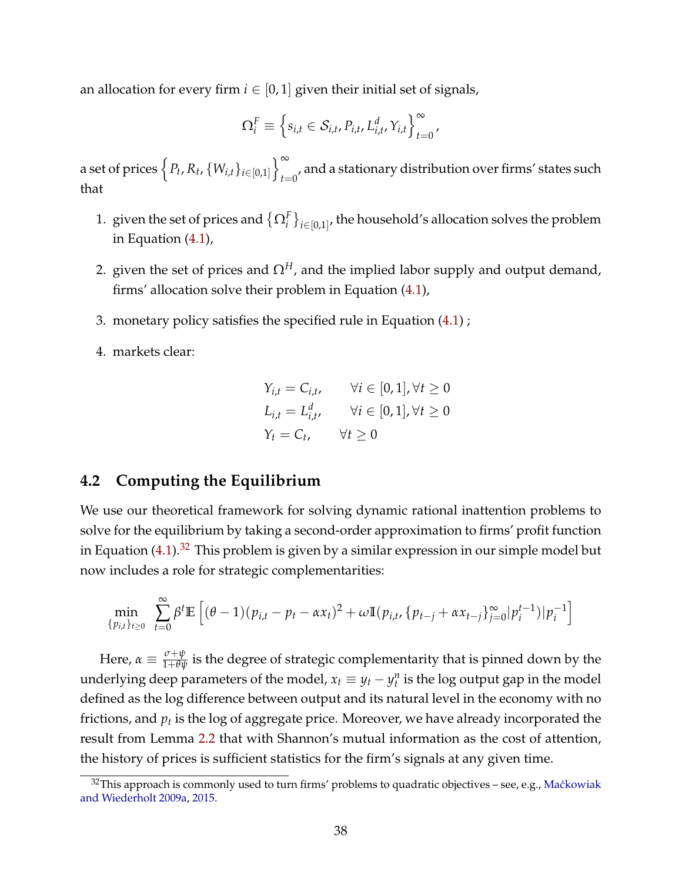an allocation for every firm  $i \in [0,1]$  given their initial set of signals,

$$
\Omega_i^F \equiv \left\{ s_{i,t} \in \mathcal{S}_{i,t}, P_{i,t}, L_{i,t}^d, Y_{i,t} \right\}_{t=0}^{\infty},
$$

a set of prices  $\left\{P_t, R_t, \{W_{i,t}\}_{i \in [0,1]}\right\}_{t=1}^{\infty}$  $_{t=0}^{\prime}$ , and a stationary distribution over firms' states such that

- 1. given the set of prices and  $\left\{\Omega_i^F\right\}_{i\in[0,1]},$  the household's allocation solves the problem in Equation [\(4.1\)](#page-35-0),
- 2. given the set of prices and  $\Omega^H$ , and the implied labor supply and output demand, firms' allocation solve their problem in Equation [\(4.1\)](#page-36-0),
- 3. monetary policy satisfies the specified rule in Equation [\(4.1\)](#page-36-1) ;
- 4. markets clear:

$$
\begin{aligned}\nY_{i,t} &= C_{i,t}, & \forall i \in [0,1], \forall t \ge 0 \\
L_{i,t} &= L_{i,t}^d, & \forall i \in [0,1], \forall t \ge 0 \\
Y_t &= C_t, & \forall t \ge 0\n\end{aligned}
$$

# <span id="page-37-0"></span>**4.2 Computing the Equilibrium**

We use our theoretical framework for solving dynamic rational inattention problems to solve for the equilibrium by taking a second-order approximation to firms' profit function in Equation  $(4.1).^{32}$  $(4.1).^{32}$  $(4.1).^{32}$  $(4.1).^{32}$  This problem is given by a similar expression in our simple model but now includes a role for strategic complementarities:

$$
\min_{\{p_{i,t}\}_{t\geq 0}} \sum_{t=0}^{\infty} \beta^t \mathbb{E}\left[ (\theta - 1)(p_{i,t} - p_t - \alpha x_t)^2 + \omega \mathbb{I}(p_{i,t}, \{p_{t-j} + \alpha x_{t-j}\}_{j=0}^{\infty} | p_i^{t-1}) | p_i^{-1} \right]
$$

Here,  $\alpha \equiv \frac{\sigma + \psi}{1+\theta \psi}$  is the degree of strategic complementarity that is pinned down by the underlying deep parameters of the model,  $x_t \equiv y_t - y_t^n$  is the log output gap in the model defined as the log difference between output and its natural level in the economy with no frictions, and  $p_t$  is the log of aggregate price. Moreover, we have already incorporated the result from Lemma [2.2](#page-8-0) that with Shannon's mutual information as the cost of attention, the history of prices is sufficient statistics for the firm's signals at any given time.

 $32$ This approach is commonly used to turn firms' problems to quadratic objectives – see, e.g., Maćkowiak [and Wiederholt](#page-48-0) [2009a,](#page-48-0) [2015.](#page-48-1)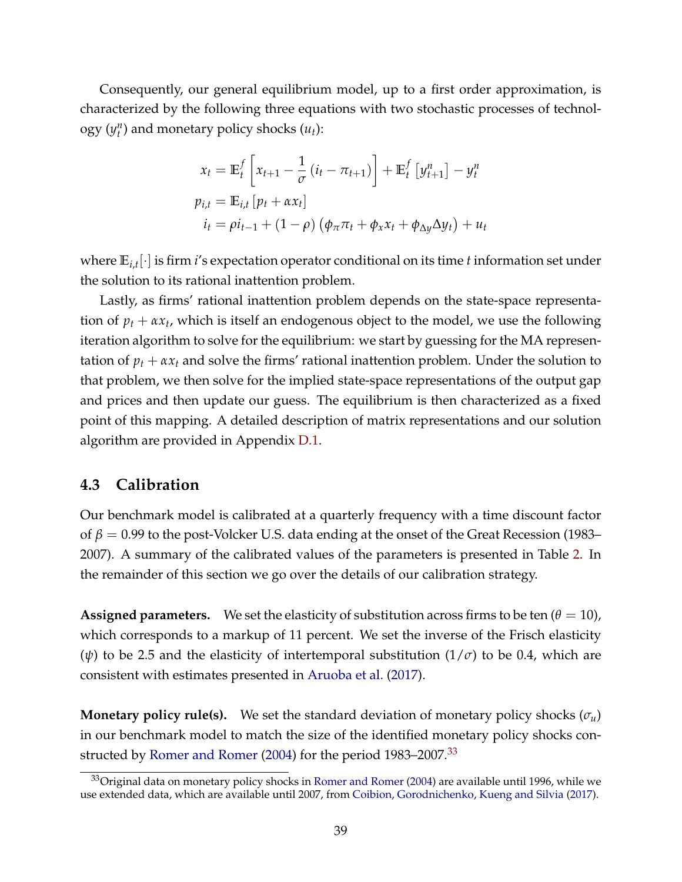Consequently, our general equilibrium model, up to a first order approximation, is characterized by the following three equations with two stochastic processes of technol- $\log y(y_t^n)$  and monetary policy shocks  $(u_t)$ :

$$
x_t = \mathbb{E}_t^f \left[ x_{t+1} - \frac{1}{\sigma} \left( i_t - \pi_{t+1} \right) \right] + \mathbb{E}_t^f \left[ y_{t+1}^n \right] - y_t^n
$$
  
\n
$$
p_{i,t} = \mathbb{E}_{i,t} \left[ p_t + \alpha x_t \right]
$$
  
\n
$$
i_t = \rho i_{t-1} + (1 - \rho) \left( \phi_\pi \pi_t + \phi_x x_t + \phi_{\Delta y} \Delta y_t \right) + u_t
$$

where **E***i*,*<sup>t</sup>* [·] is firm *i*'s expectation operator conditional on its time *t* information set under the solution to its rational inattention problem.

Lastly, as firms' rational inattention problem depends on the state-space representation of *p<sup>t</sup>* + *αx<sup>t</sup>* , which is itself an endogenous object to the model, we use the following iteration algorithm to solve for the equilibrium: we start by guessing for the MA representation of  $p_t + \alpha x_t$  and solve the firms' rational inattention problem. Under the solution to that problem, we then solve for the implied state-space representations of the output gap and prices and then update our guess. The equilibrium is then characterized as a fixed point of this mapping. A detailed description of matrix representations and our solution algorithm are provided in Appendix [D.1.](#page-69-0)

#### <span id="page-38-0"></span>**4.3 Calibration**

Our benchmark model is calibrated at a quarterly frequency with a time discount factor of *β* = 0.99 to the post-Volcker U.S. data ending at the onset of the Great Recession (1983– 2007). A summary of the calibrated values of the parameters is presented in Table [2.](#page-39-0) In the remainder of this section we go over the details of our calibration strategy.

**Assigned parameters.** We set the elasticity of substitution across firms to be ten  $(\theta = 10)$ , which corresponds to a markup of 11 percent. We set the inverse of the Frisch elasticity ( $\psi$ ) to be 2.5 and the elasticity of intertemporal substitution ( $1/\sigma$ ) to be 0.4, which are consistent with estimates presented in [Aruoba et al.](#page-46-0) [\(2017\)](#page-46-0).

**Monetary policy rule(s).** We set the standard deviation of monetary policy shocks  $(\sigma_u)$ in our benchmark model to match the size of the identified monetary policy shocks con-structed by [Romer and Romer](#page-50-0) [\(2004\)](#page-50-0) for the period 1983–2007.<sup>[33](#page-0-0)</sup>

 $33$ Original data on monetary policy shocks in [Romer and Romer](#page-50-0) [\(2004\)](#page-50-0) are available until 1996, while we use extended data, which are available until 2007, from [Coibion, Gorodnichenko, Kueng and Silvia](#page-47-0) [\(2017\)](#page-47-0).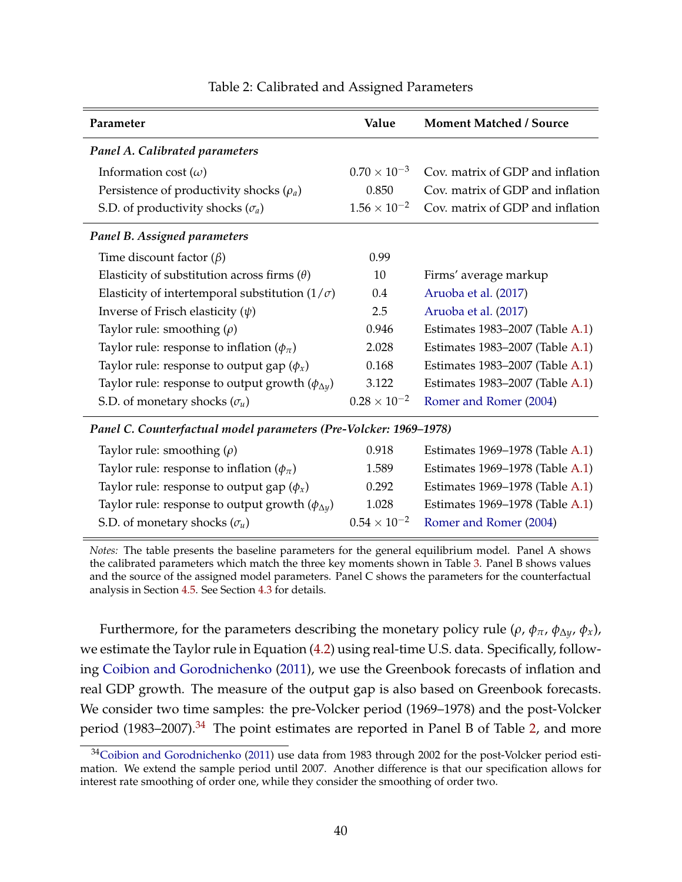<span id="page-39-0"></span>

| Parameter                                                         | Value                 | <b>Moment Matched / Source</b>   |  |
|-------------------------------------------------------------------|-----------------------|----------------------------------|--|
| Panel A. Calibrated parameters                                    |                       |                                  |  |
| Information cost $(\omega)$                                       | $0.70 \times 10^{-3}$ | Cov. matrix of GDP and inflation |  |
| Persistence of productivity shocks $(\rho_a)$                     | 0.850                 | Cov. matrix of GDP and inflation |  |
| S.D. of productivity shocks $(\sigma_a)$                          | $1.56 \times 10^{-2}$ | Cov. matrix of GDP and inflation |  |
| Panel B. Assigned parameters                                      |                       |                                  |  |
| Time discount factor $(\beta)$                                    | 0.99                  |                                  |  |
| Elasticity of substitution across firms $(\theta)$                | 10                    | Firms' average markup            |  |
| Elasticity of intertemporal substitution $(1/\sigma)$             | 0.4                   | Aruoba et al. (2017)             |  |
| Inverse of Frisch elasticity $(\psi)$                             | 2.5                   | Aruoba et al. (2017)             |  |
| Taylor rule: smoothing $(\rho)$                                   | 0.946                 | Estimates 1983–2007 (Table A.1)  |  |
| Taylor rule: response to inflation $(\phi_{\pi})$                 | 2.028                 | Estimates 1983–2007 (Table A.1)  |  |
| Taylor rule: response to output gap $(\phi_x)$                    | 0.168                 | Estimates 1983-2007 (Table A.1)  |  |
| Taylor rule: response to output growth $(\phi_{\Delta y})$        | 3.122                 | Estimates 1983–2007 (Table A.1)  |  |
| S.D. of monetary shocks $(\sigma_u)$                              | $0.28 \times 10^{-2}$ | Romer and Romer (2004)           |  |
| Panel C. Counterfactual model parameters (Pre-Volcker: 1969–1978) |                       |                                  |  |
| Taylor rule: smoothing $(\rho)$                                   | 0.918                 | Estimates 1969–1978 (Table A.1)  |  |
| Taylor rule: response to inflation $(\phi_{\pi})$                 | 1.589                 | Estimates 1969–1978 (Table A.1)  |  |

#### Table 2: Calibrated and Assigned Parameters

*Notes:* The table presents the baseline parameters for the general equilibrium model. Panel A shows the calibrated parameters which match the three key moments shown in Table [3.](#page-41-0) Panel B shows values and the source of the assigned model parameters. Panel C shows the parameters for the counterfactual analysis in Section [4.5.](#page-43-0) See Section [4.3](#page-38-0) for details.

S.D. of monetary shocks  $(\sigma_u)$  0.54 × 10<sup>-2</sup> [Romer and Romer](#page-50-0) [\(2004\)](#page-50-0)

Taylor rule: response to output gap  $(\phi_x)$  0.292 Estimates 1969–1978 (Table [A.1\)](#page-72-0) Taylor rule: response to output growth  $(\phi_{\Delta y})$  1.028 Estimates 1969–1978 (Table [A.1\)](#page-72-0)

Furthermore, for the parameters describing the monetary policy rule ( $ρ$ ,  $φ<sub>π</sub>$ ,  $φ<sub>Δy</sub>$ ,  $φ<sub>x</sub>$ ), we estimate the Taylor rule in Equation [\(4.2\)](#page-37-0) using real-time U.S. data. Specifically, following [Coibion and Gorodnichenko](#page-46-1) [\(2011\)](#page-46-1), we use the Greenbook forecasts of inflation and real GDP growth. The measure of the output gap is also based on Greenbook forecasts. We consider two time samples: the pre-Volcker period (1969–1978) and the post-Volcker period  $(1983–2007).<sup>34</sup>$  $(1983–2007).<sup>34</sup>$  $(1983–2007).<sup>34</sup>$  The point estimates are reported in Panel B of Table [2,](#page-39-0) and more

<sup>&</sup>lt;sup>34</sup>[Coibion and Gorodnichenko](#page-46-1) [\(2011\)](#page-46-1) use data from 1983 through 2002 for the post-Volcker period estimation. We extend the sample period until 2007. Another difference is that our specification allows for interest rate smoothing of order one, while they consider the smoothing of order two.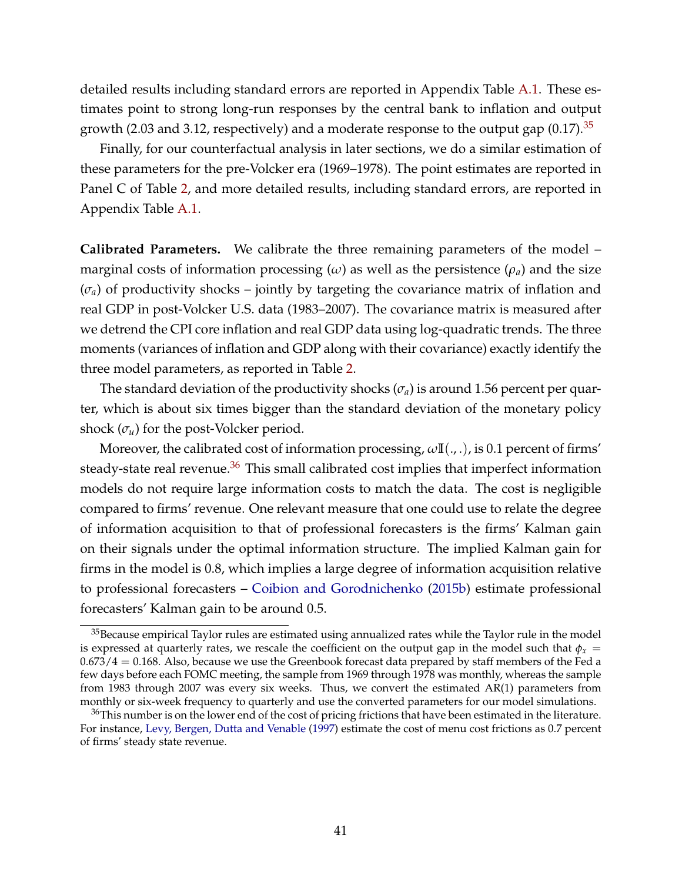detailed results including standard errors are reported in Appendix Table [A.1.](#page-72-0) These estimates point to strong long-run responses by the central bank to inflation and output growth (2.03 and 3.12, respectively) and a moderate response to the output gap  $(0.17).^{35}$  $(0.17).^{35}$  $(0.17).^{35}$ 

Finally, for our counterfactual analysis in later sections, we do a similar estimation of these parameters for the pre-Volcker era (1969–1978). The point estimates are reported in Panel C of Table [2,](#page-39-0) and more detailed results, including standard errors, are reported in Appendix Table [A.1.](#page-72-0)

**Calibrated Parameters.** We calibrate the three remaining parameters of the model – marginal costs of information processing  $(\omega)$  as well as the persistence  $(\rho_a)$  and the size  $(\sigma_a)$  of productivity shocks – jointly by targeting the covariance matrix of inflation and real GDP in post-Volcker U.S. data (1983–2007). The covariance matrix is measured after we detrend the CPI core inflation and real GDP data using log-quadratic trends. The three moments (variances of inflation and GDP along with their covariance) exactly identify the three model parameters, as reported in Table [2.](#page-39-0)

The standard deviation of the productivity shocks  $(\sigma_a)$  is around 1.56 percent per quarter, which is about six times bigger than the standard deviation of the monetary policy shock  $(\sigma_u)$  for the post-Volcker period.

Moreover, the calibrated cost of information processing, *ω***I**(., .), is 0.1 percent of firms' steady-state real revenue.<sup>[36](#page-0-0)</sup> This small calibrated cost implies that imperfect information models do not require large information costs to match the data. The cost is negligible compared to firms' revenue. One relevant measure that one could use to relate the degree of information acquisition to that of professional forecasters is the firms' Kalman gain on their signals under the optimal information structure. The implied Kalman gain for firms in the model is 0.8, which implies a large degree of information acquisition relative to professional forecasters – [Coibion and Gorodnichenko](#page-46-2) [\(2015b\)](#page-46-2) estimate professional forecasters' Kalman gain to be around 0.5.

<sup>&</sup>lt;sup>35</sup>Because empirical Taylor rules are estimated using annualized rates while the Taylor rule in the model is expressed at quarterly rates, we rescale the coefficient on the output gap in the model such that  $\phi_x$  =  $0.673/4 = 0.168$ . Also, because we use the Greenbook forecast data prepared by staff members of the Fed a few days before each FOMC meeting, the sample from 1969 through 1978 was monthly, whereas the sample from 1983 through 2007 was every six weeks. Thus, we convert the estimated AR(1) parameters from monthly or six-week frequency to quarterly and use the converted parameters for our model simulations.

 $36$ This number is on the lower end of the cost of pricing frictions that have been estimated in the literature. For instance, [Levy, Bergen, Dutta and Venable](#page-48-2) [\(1997\)](#page-48-2) estimate the cost of menu cost frictions as 0.7 percent of firms' steady state revenue.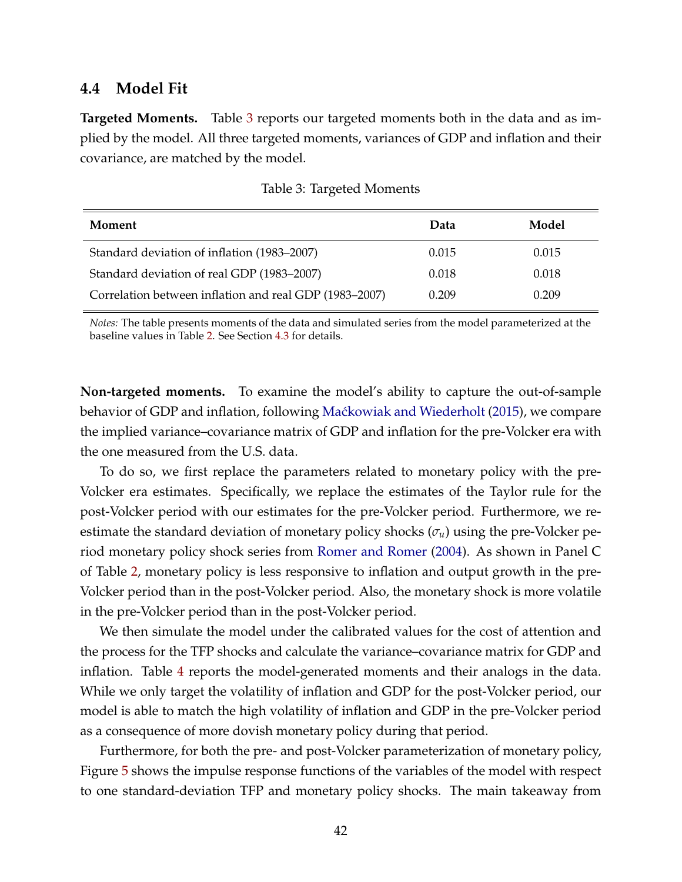#### <span id="page-41-1"></span>**4.4 Model Fit**

**Targeted Moments.** Table [3](#page-41-0) reports our targeted moments both in the data and as implied by the model. All three targeted moments, variances of GDP and inflation and their covariance, are matched by the model.

<span id="page-41-0"></span>

| Moment                                                 | Data  | Model |
|--------------------------------------------------------|-------|-------|
| Standard deviation of inflation (1983–2007)            | 0.015 | 0.015 |
| Standard deviation of real GDP (1983–2007)             | 0.018 | 0.018 |
| Correlation between inflation and real GDP (1983-2007) | 0.209 | 0.209 |

|  |  | Table 3: Targeted Moments |
|--|--|---------------------------|
|--|--|---------------------------|

*Notes:* The table presents moments of the data and simulated series from the model parameterized at the baseline values in Table [2.](#page-39-0) See Section [4.3](#page-38-0) for details.

**Non-targeted moments.** To examine the model's ability to capture the out-of-sample behavior of GDP and inflation, following Maćkowiak and Wiederholt [\(2015\)](#page-48-1), we compare the implied variance–covariance matrix of GDP and inflation for the pre-Volcker era with the one measured from the U.S. data.

To do so, we first replace the parameters related to monetary policy with the pre-Volcker era estimates. Specifically, we replace the estimates of the Taylor rule for the post-Volcker period with our estimates for the pre-Volcker period. Furthermore, we reestimate the standard deviation of monetary policy shocks (*σu*) using the pre-Volcker period monetary policy shock series from [Romer and Romer](#page-50-0) [\(2004\)](#page-50-0). As shown in Panel C of Table [2,](#page-39-0) monetary policy is less responsive to inflation and output growth in the pre-Volcker period than in the post-Volcker period. Also, the monetary shock is more volatile in the pre-Volcker period than in the post-Volcker period.

We then simulate the model under the calibrated values for the cost of attention and the process for the TFP shocks and calculate the variance–covariance matrix for GDP and inflation. Table [4](#page-42-0) reports the model-generated moments and their analogs in the data. While we only target the volatility of inflation and GDP for the post-Volcker period, our model is able to match the high volatility of inflation and GDP in the pre-Volcker period as a consequence of more dovish monetary policy during that period.

Furthermore, for both the pre- and post-Volcker parameterization of monetary policy, Figure [5](#page-42-1) shows the impulse response functions of the variables of the model with respect to one standard-deviation TFP and monetary policy shocks. The main takeaway from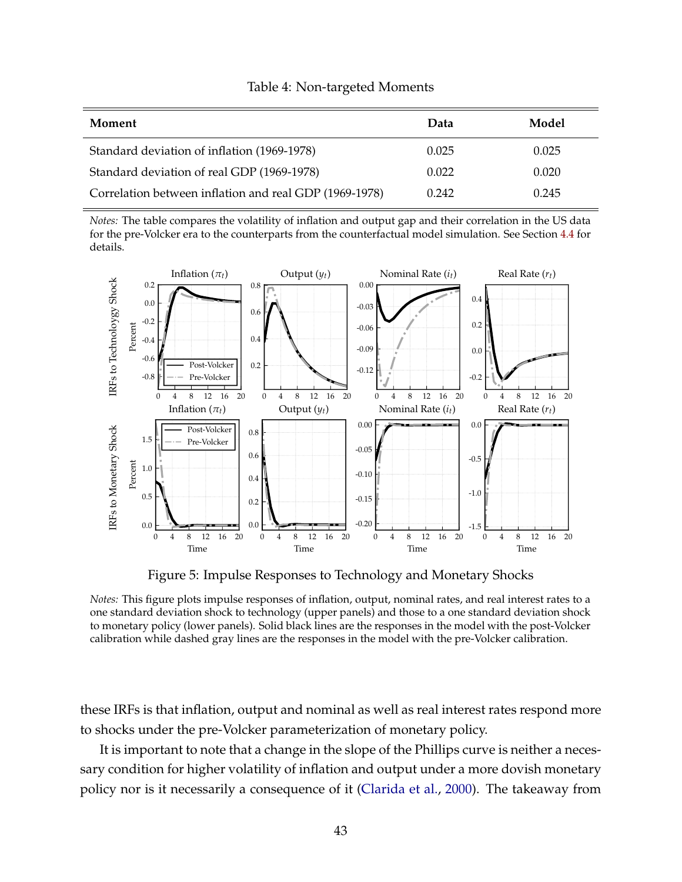<span id="page-42-0"></span>

| Moment                                                 | Data  | Model |
|--------------------------------------------------------|-------|-------|
| Standard deviation of inflation (1969-1978)            | 0.025 | 0.025 |
| Standard deviation of real GDP (1969-1978)             | 0.022 | 0.020 |
| Correlation between inflation and real GDP (1969-1978) | 0.242 | 0.245 |

#### Table 4: Non-targeted Moments

*Notes:* The table compares the volatility of inflation and output gap and their correlation in the US data for the pre-Volcker era to the counterparts from the counterfactual model simulation. See Section [4.4](#page-41-1) for details.

<span id="page-42-1"></span>

Figure 5: Impulse Responses to Technology and Monetary Shocks

*Notes:* This figure plots impulse responses of inflation, output, nominal rates, and real interest rates to a one standard deviation shock to technology (upper panels) and those to a one standard deviation shock to monetary policy (lower panels). Solid black lines are the responses in the model with the post-Volcker calibration while dashed gray lines are the responses in the model with the pre-Volcker calibration.

these IRFs is that inflation, output and nominal as well as real interest rates respond more to shocks under the pre-Volcker parameterization of monetary policy.

It is important to note that a change in the slope of the Phillips curve is neither a necessary condition for higher volatility of inflation and output under a more dovish monetary policy nor is it necessarily a consequence of it [\(Clarida et al.,](#page-46-3) [2000\)](#page-46-3). The takeaway from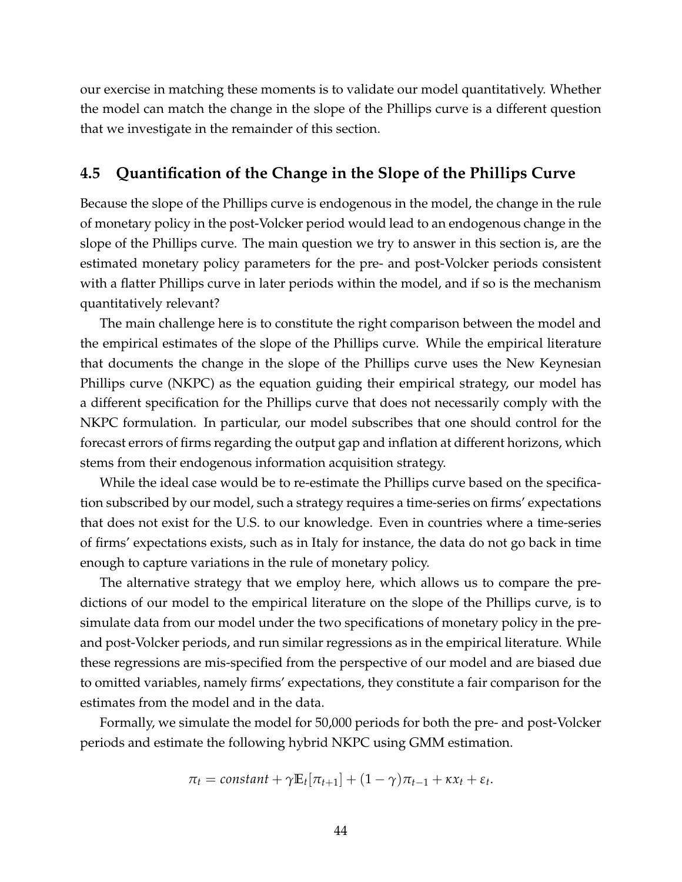our exercise in matching these moments is to validate our model quantitatively. Whether the model can match the change in the slope of the Phillips curve is a different question that we investigate in the remainder of this section.

# <span id="page-43-0"></span>**4.5 Quantification of the Change in the Slope of the Phillips Curve**

Because the slope of the Phillips curve is endogenous in the model, the change in the rule of monetary policy in the post-Volcker period would lead to an endogenous change in the slope of the Phillips curve. The main question we try to answer in this section is, are the estimated monetary policy parameters for the pre- and post-Volcker periods consistent with a flatter Phillips curve in later periods within the model, and if so is the mechanism quantitatively relevant?

The main challenge here is to constitute the right comparison between the model and the empirical estimates of the slope of the Phillips curve. While the empirical literature that documents the change in the slope of the Phillips curve uses the New Keynesian Phillips curve (NKPC) as the equation guiding their empirical strategy, our model has a different specification for the Phillips curve that does not necessarily comply with the NKPC formulation. In particular, our model subscribes that one should control for the forecast errors of firms regarding the output gap and inflation at different horizons, which stems from their endogenous information acquisition strategy.

While the ideal case would be to re-estimate the Phillips curve based on the specification subscribed by our model, such a strategy requires a time-series on firms' expectations that does not exist for the U.S. to our knowledge. Even in countries where a time-series of firms' expectations exists, such as in Italy for instance, the data do not go back in time enough to capture variations in the rule of monetary policy.

The alternative strategy that we employ here, which allows us to compare the predictions of our model to the empirical literature on the slope of the Phillips curve, is to simulate data from our model under the two specifications of monetary policy in the preand post-Volcker periods, and run similar regressions as in the empirical literature. While these regressions are mis-specified from the perspective of our model and are biased due to omitted variables, namely firms' expectations, they constitute a fair comparison for the estimates from the model and in the data.

Formally, we simulate the model for 50,000 periods for both the pre- and post-Volcker periods and estimate the following hybrid NKPC using GMM estimation.

$$
\pi_t = constant + \gamma \mathbb{E}_t[\pi_{t+1}] + (1 - \gamma)\pi_{t-1} + \kappa x_t + \varepsilon_t.
$$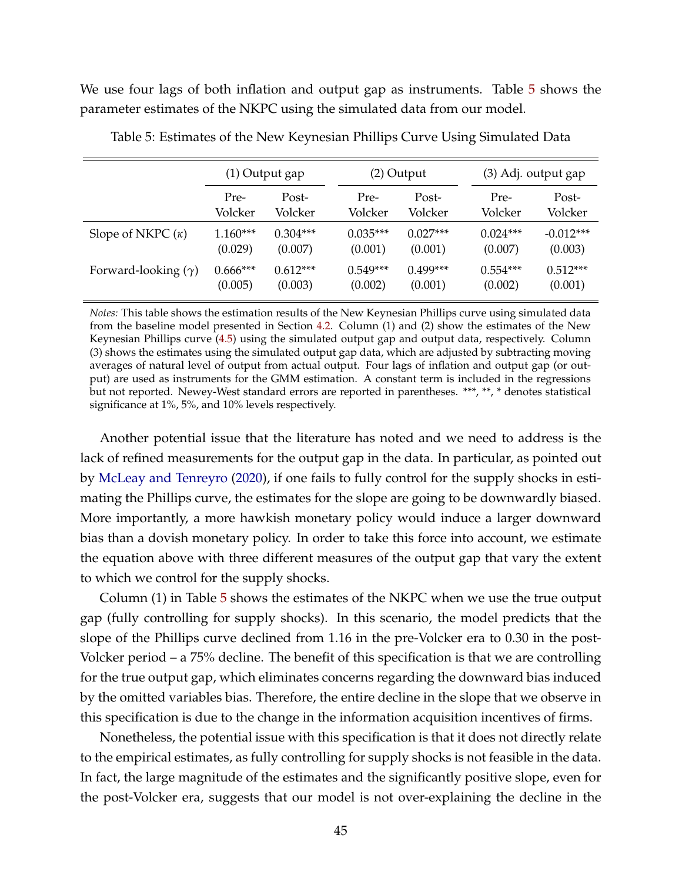We use four lags of both inflation and output gap as instruments. Table [5](#page-44-0) shows the parameter estimates of the NKPC using the simulated data from our model.

|                            | $(1)$ Output gap |            |            | (2) Output |            | (3) Adj. output gap |  |
|----------------------------|------------------|------------|------------|------------|------------|---------------------|--|
|                            | Pre-             | Post-      | Pre-       | Post-      | Pre-       | Post-               |  |
|                            | Volcker          | Volcker    | Volcker    | Volcker    | Volcker    | Volcker             |  |
| Slope of NKPC $(\kappa)$   | $1.160***$       | $0.304***$ | $0.035***$ | $0.027***$ | $0.024***$ | $-0.012***$         |  |
|                            | (0.029)          | (0.007)    | (0.001)    | (0.001)    | (0.007)    | (0.003)             |  |
| Forward-looking $(\gamma)$ | $0.666***$       | $0.612***$ | $0.549***$ | $0.499***$ | $0.554***$ | $0.512***$          |  |
|                            | (0.005)          | (0.003)    | (0.002)    | (0.001)    | (0.002)    | (0.001)             |  |

<span id="page-44-0"></span>Table 5: Estimates of the New Keynesian Phillips Curve Using Simulated Data

*Notes:* This table shows the estimation results of the New Keynesian Phillips curve using simulated data from the baseline model presented in Section [4.2.](#page-37-0) Column (1) and (2) show the estimates of the New Keynesian Phillips curve [\(4.5\)](#page-43-0) using the simulated output gap and output data, respectively. Column (3) shows the estimates using the simulated output gap data, which are adjusted by subtracting moving averages of natural level of output from actual output. Four lags of inflation and output gap (or output) are used as instruments for the GMM estimation. A constant term is included in the regressions but not reported. Newey-West standard errors are reported in parentheses. \*\*\*, \*\*, \* denotes statistical significance at 1%, 5%, and 10% levels respectively.

Another potential issue that the literature has noted and we need to address is the lack of refined measurements for the output gap in the data. In particular, as pointed out by [McLeay and Tenreyro](#page-49-0) [\(2020\)](#page-49-0), if one fails to fully control for the supply shocks in estimating the Phillips curve, the estimates for the slope are going to be downwardly biased. More importantly, a more hawkish monetary policy would induce a larger downward bias than a dovish monetary policy. In order to take this force into account, we estimate the equation above with three different measures of the output gap that vary the extent to which we control for the supply shocks.

Column (1) in Table [5](#page-44-0) shows the estimates of the NKPC when we use the true output gap (fully controlling for supply shocks). In this scenario, the model predicts that the slope of the Phillips curve declined from 1.16 in the pre-Volcker era to 0.30 in the post-Volcker period – a 75% decline. The benefit of this specification is that we are controlling for the true output gap, which eliminates concerns regarding the downward bias induced by the omitted variables bias. Therefore, the entire decline in the slope that we observe in this specification is due to the change in the information acquisition incentives of firms.

Nonetheless, the potential issue with this specification is that it does not directly relate to the empirical estimates, as fully controlling for supply shocks is not feasible in the data. In fact, the large magnitude of the estimates and the significantly positive slope, even for the post-Volcker era, suggests that our model is not over-explaining the decline in the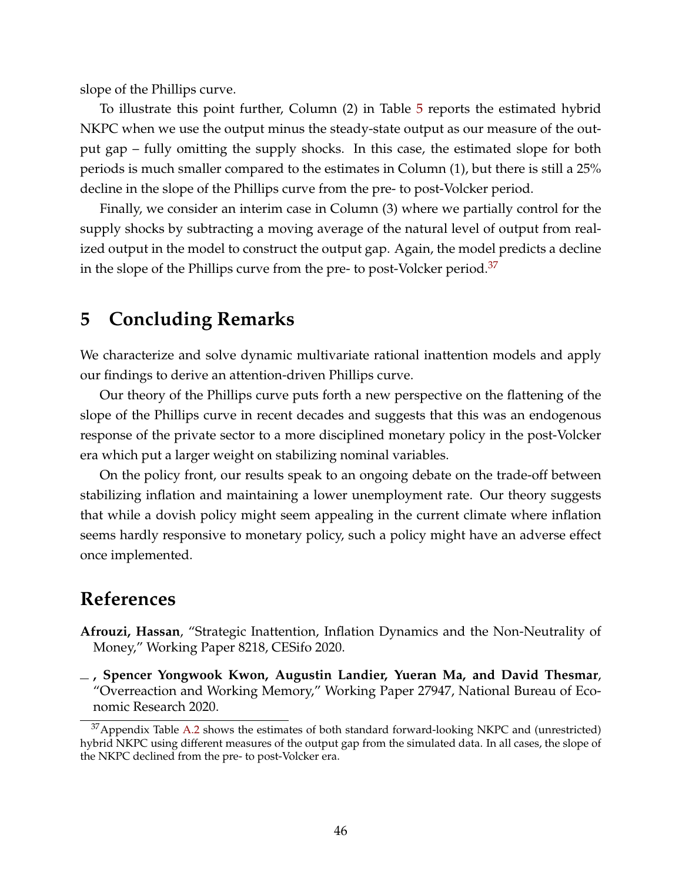slope of the Phillips curve.

To illustrate this point further, Column (2) in Table [5](#page-44-0) reports the estimated hybrid NKPC when we use the output minus the steady-state output as our measure of the output gap – fully omitting the supply shocks. In this case, the estimated slope for both periods is much smaller compared to the estimates in Column (1), but there is still a 25% decline in the slope of the Phillips curve from the pre- to post-Volcker period.

Finally, we consider an interim case in Column (3) where we partially control for the supply shocks by subtracting a moving average of the natural level of output from realized output in the model to construct the output gap. Again, the model predicts a decline in the slope of the Phillips curve from the pre- to post-Volcker period.<sup>[37](#page-0-0)</sup>

# **5 Concluding Remarks**

We characterize and solve dynamic multivariate rational inattention models and apply our findings to derive an attention-driven Phillips curve.

Our theory of the Phillips curve puts forth a new perspective on the flattening of the slope of the Phillips curve in recent decades and suggests that this was an endogenous response of the private sector to a more disciplined monetary policy in the post-Volcker era which put a larger weight on stabilizing nominal variables.

On the policy front, our results speak to an ongoing debate on the trade-off between stabilizing inflation and maintaining a lower unemployment rate. Our theory suggests that while a dovish policy might seem appealing in the current climate where inflation seems hardly responsive to monetary policy, such a policy might have an adverse effect once implemented.

# **References**

- **Afrouzi, Hassan**, "Strategic Inattention, Inflation Dynamics and the Non-Neutrality of Money," Working Paper 8218, CESifo 2020.
- **, Spencer Yongwook Kwon, Augustin Landier, Yueran Ma, and David Thesmar**, "Overreaction and Working Memory," Working Paper 27947, National Bureau of Economic Research 2020.

 $37$ Appendix Table [A.2](#page-73-0) shows the estimates of both standard forward-looking NKPC and (unrestricted) hybrid NKPC using different measures of the output gap from the simulated data. In all cases, the slope of the NKPC declined from the pre- to post-Volcker era.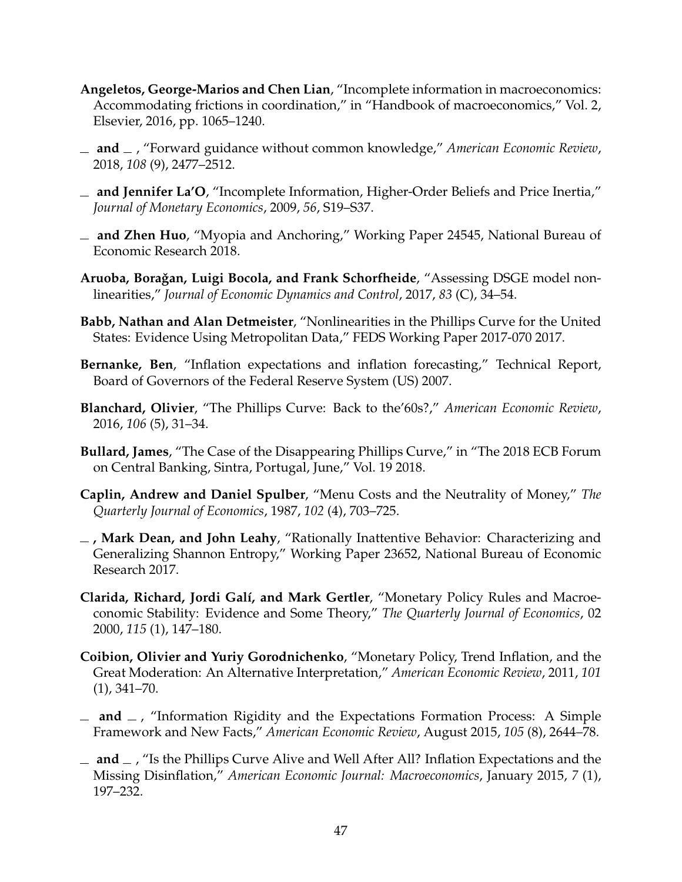- **Angeletos, George-Marios and Chen Lian**, "Incomplete information in macroeconomics: Accommodating frictions in coordination," in "Handbook of macroeconomics," Vol. 2, Elsevier, 2016, pp. 1065–1240.
- **and** , "Forward guidance without common knowledge," *American Economic Review*, 2018, *108* (9), 2477–2512.
- **and Jennifer La'O**, "Incomplete Information, Higher-Order Beliefs and Price Inertia," *Journal of Monetary Economics*, 2009, *56*, S19–S37.
- **and Zhen Huo**, "Myopia and Anchoring," Working Paper 24545, National Bureau of Economic Research 2018.
- <span id="page-46-0"></span>Aruoba, Borağan, Luigi Bocola, and Frank Schorfheide, "Assessing DSGE model nonlinearities," *Journal of Economic Dynamics and Control*, 2017, *83* (C), 34–54.
- **Babb, Nathan and Alan Detmeister**, "Nonlinearities in the Phillips Curve for the United States: Evidence Using Metropolitan Data," FEDS Working Paper 2017-070 2017.
- **Bernanke, Ben**, "Inflation expectations and inflation forecasting," Technical Report, Board of Governors of the Federal Reserve System (US) 2007.
- **Blanchard, Olivier**, "The Phillips Curve: Back to the'60s?," *American Economic Review*, 2016, *106* (5), 31–34.
- **Bullard, James**, "The Case of the Disappearing Phillips Curve," in "The 2018 ECB Forum on Central Banking, Sintra, Portugal, June," Vol. 19 2018.
- **Caplin, Andrew and Daniel Spulber**, "Menu Costs and the Neutrality of Money," *The Quarterly Journal of Economics*, 1987, *102* (4), 703–725.
- **, Mark Dean, and John Leahy**, "Rationally Inattentive Behavior: Characterizing and Generalizing Shannon Entropy," Working Paper 23652, National Bureau of Economic Research 2017.
- <span id="page-46-3"></span>**Clarida, Richard, Jordi Galí, and Mark Gertler**, "Monetary Policy Rules and Macroeconomic Stability: Evidence and Some Theory," *The Quarterly Journal of Economics*, 02 2000, *115* (1), 147–180.
- <span id="page-46-1"></span>**Coibion, Olivier and Yuriy Gorodnichenko**, "Monetary Policy, Trend Inflation, and the Great Moderation: An Alternative Interpretation," *American Economic Review*, 2011, *101* (1), 341–70.
- $\Box$  **and**  $\Box$ , "Information Rigidity and the Expectations Formation Process: A Simple Framework and New Facts," *American Economic Review*, August 2015, *105* (8), 2644–78.
- <span id="page-46-2"></span> $\mu$  and  $\mu$ , "Is the Phillips Curve Alive and Well After All? Inflation Expectations and the Missing Disinflation," *American Economic Journal: Macroeconomics*, January 2015, *7* (1), 197–232.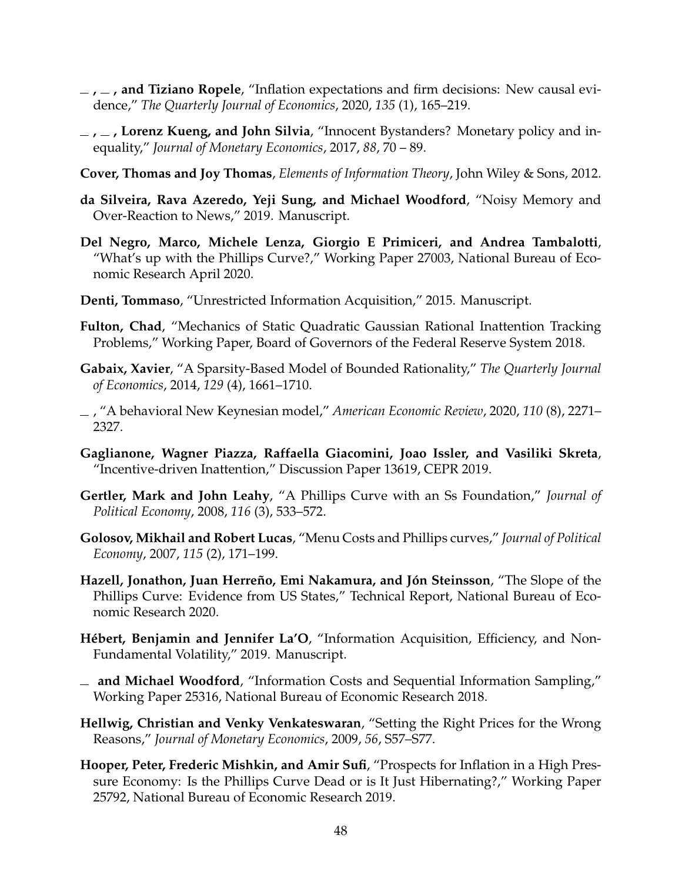- **, , and Tiziano Ropele**, "Inflation expectations and firm decisions: New causal evidence," *The Quarterly Journal of Economics*, 2020, *135* (1), 165–219.
- <span id="page-47-0"></span>**, , Lorenz Kueng, and John Silvia**, "Innocent Bystanders? Monetary policy and inequality," *Journal of Monetary Economics*, 2017, *88*, 70 – 89.
- <span id="page-47-1"></span>**Cover, Thomas and Joy Thomas**, *Elements of Information Theory*, John Wiley & Sons, 2012.
- **da Silveira, Rava Azeredo, Yeji Sung, and Michael Woodford**, "Noisy Memory and Over-Reaction to News," 2019. Manuscript.
- **Del Negro, Marco, Michele Lenza, Giorgio E Primiceri, and Andrea Tambalotti**, "What's up with the Phillips Curve?," Working Paper 27003, National Bureau of Economic Research April 2020.
- **Denti, Tommaso**, "Unrestricted Information Acquisition," 2015. Manuscript.
- **Fulton, Chad**, "Mechanics of Static Quadratic Gaussian Rational Inattention Tracking Problems," Working Paper, Board of Governors of the Federal Reserve System 2018.
- **Gabaix, Xavier**, "A Sparsity-Based Model of Bounded Rationality," *The Quarterly Journal of Economics*, 2014, *129* (4), 1661–1710.
- , "A behavioral New Keynesian model," *American Economic Review*, 2020, *110* (8), 2271– 2327.
- **Gaglianone, Wagner Piazza, Raffaella Giacomini, Joao Issler, and Vasiliki Skreta**, "Incentive-driven Inattention," Discussion Paper 13619, CEPR 2019.
- **Gertler, Mark and John Leahy**, "A Phillips Curve with an Ss Foundation," *Journal of Political Economy*, 2008, *116* (3), 533–572.
- **Golosov, Mikhail and Robert Lucas**, "Menu Costs and Phillips curves," *Journal of Political Economy*, 2007, *115* (2), 171–199.
- **Hazell, Jonathon, Juan Herreño, Emi Nakamura, and Jón Steinsson**, "The Slope of the Phillips Curve: Evidence from US States," Technical Report, National Bureau of Economic Research 2020.
- **Hébert, Benjamin and Jennifer La'O**, "Information Acquisition, Efficiency, and Non-Fundamental Volatility," 2019. Manuscript.
- **and Michael Woodford**, "Information Costs and Sequential Information Sampling," Working Paper 25316, National Bureau of Economic Research 2018.
- **Hellwig, Christian and Venky Venkateswaran**, "Setting the Right Prices for the Wrong Reasons," *Journal of Monetary Economics*, 2009, *56*, S57–S77.
- **Hooper, Peter, Frederic Mishkin, and Amir Sufi**, "Prospects for Inflation in a High Pressure Economy: Is the Phillips Curve Dead or is It Just Hibernating?," Working Paper 25792, National Bureau of Economic Research 2019.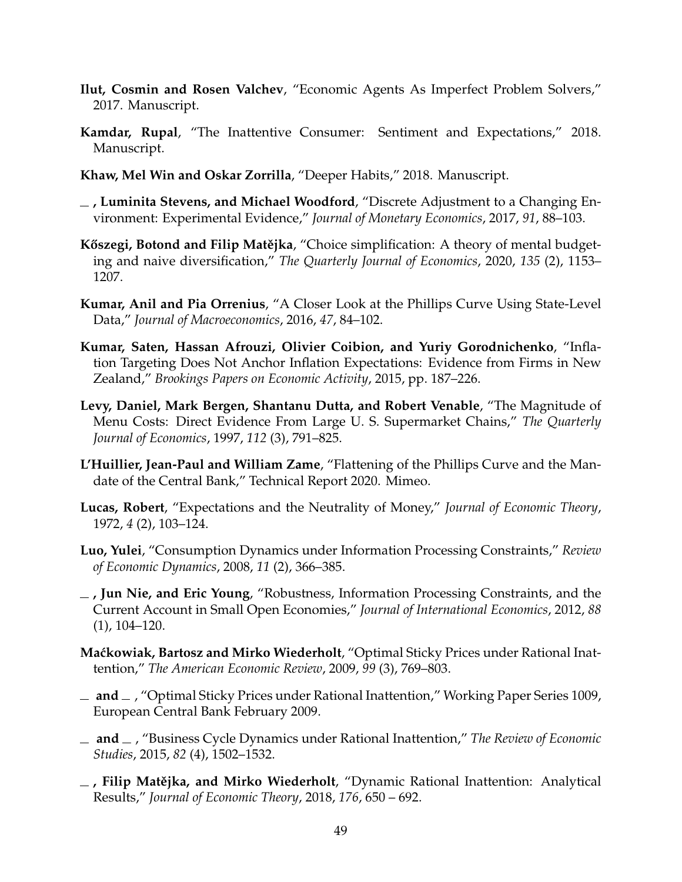- **Ilut, Cosmin and Rosen Valchev**, "Economic Agents As Imperfect Problem Solvers," 2017. Manuscript.
- **Kamdar, Rupal**, "The Inattentive Consumer: Sentiment and Expectations," 2018. Manuscript.
- **Khaw, Mel Win and Oskar Zorrilla**, "Deeper Habits," 2018. Manuscript.
- **, Luminita Stevens, and Michael Woodford**, "Discrete Adjustment to a Changing Environment: Experimental Evidence," *Journal of Monetary Economics*, 2017, *91*, 88–103.
- Kőszegi, Botond and Filip Matějka, "Choice simplification: A theory of mental budgeting and naive diversification," *The Quarterly Journal of Economics*, 2020, *135* (2), 1153– 1207.
- **Kumar, Anil and Pia Orrenius**, "A Closer Look at the Phillips Curve Using State-Level Data," *Journal of Macroeconomics*, 2016, *47*, 84–102.
- **Kumar, Saten, Hassan Afrouzi, Olivier Coibion, and Yuriy Gorodnichenko**, "Inflation Targeting Does Not Anchor Inflation Expectations: Evidence from Firms in New Zealand," *Brookings Papers on Economic Activity*, 2015, pp. 187–226.
- <span id="page-48-2"></span>**Levy, Daniel, Mark Bergen, Shantanu Dutta, and Robert Venable**, "The Magnitude of Menu Costs: Direct Evidence From Large U. S. Supermarket Chains," *The Quarterly Journal of Economics*, 1997, *112* (3), 791–825.
- **L'Huillier, Jean-Paul and William Zame**, "Flattening of the Phillips Curve and the Mandate of the Central Bank," Technical Report 2020. Mimeo.
- **Lucas, Robert**, "Expectations and the Neutrality of Money," *Journal of Economic Theory*, 1972, *4* (2), 103–124.
- **Luo, Yulei**, "Consumption Dynamics under Information Processing Constraints," *Review of Economic Dynamics*, 2008, *11* (2), 366–385.
- **, Jun Nie, and Eric Young**, "Robustness, Information Processing Constraints, and the Current Account in Small Open Economies," *Journal of International Economics*, 2012, *88* (1), 104–120.
- <span id="page-48-0"></span>**Ma´ckowiak, Bartosz and Mirko Wiederholt**, "Optimal Sticky Prices under Rational Inattention," *The American Economic Review*, 2009, *99* (3), 769–803.
- **and** , "Optimal Sticky Prices under Rational Inattention," Working Paper Series 1009, European Central Bank February 2009.
- <span id="page-48-1"></span>**and** , "Business Cycle Dynamics under Rational Inattention," *The Review of Economic Studies*, 2015, *82* (4), 1502–1532.
- <span id="page-48-3"></span> $\mathsf{I}$ , Filip Matějka, and Mirko Wiederholt, "Dynamic Rational Inattention: Analytical Results," *Journal of Economic Theory*, 2018, *176*, 650 – 692.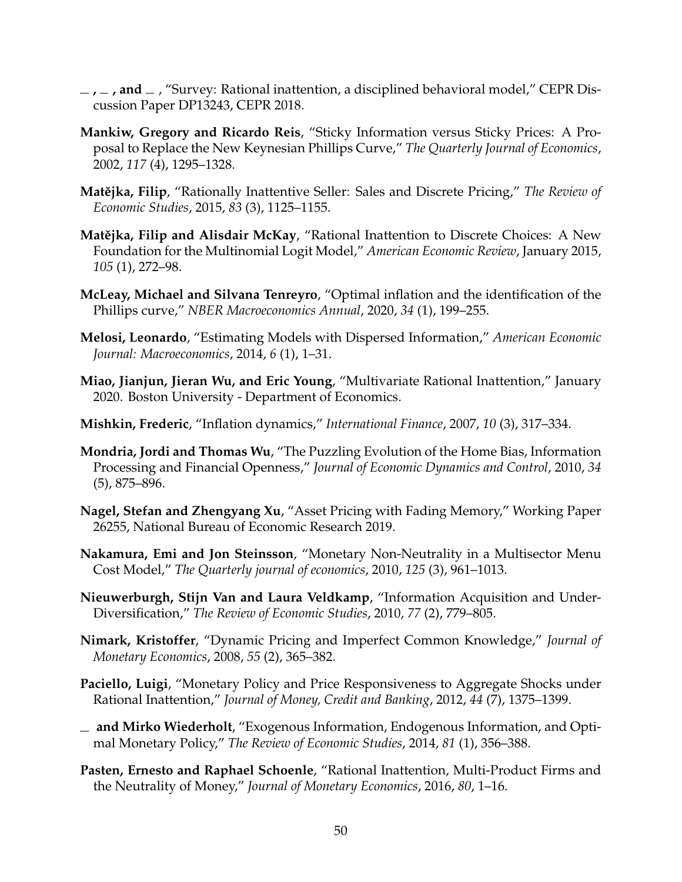- $\mathcal{L}$ ,  $\mathcal{L}$ , **and**  $\mathcal{L}$ , "Survey: Rational inattention, a disciplined behavioral model," CEPR Discussion Paper DP13243, CEPR 2018.
- **Mankiw, Gregory and Ricardo Reis**, "Sticky Information versus Sticky Prices: A Proposal to Replace the New Keynesian Phillips Curve," *The Quarterly Journal of Economics*, 2002, *117* (4), 1295–1328.
- **Matějka, Filip**, "Rationally Inattentive Seller: Sales and Discrete Pricing," *The Review of Economic Studies*, 2015, *83* (3), 1125–1155.
- **Matějka, Filip and Alisdair McKay, "Rational Inattention to Discrete Choices: A New** Foundation for the Multinomial Logit Model," *American Economic Review*, January 2015, *105* (1), 272–98.
- <span id="page-49-0"></span>**McLeay, Michael and Silvana Tenreyro**, "Optimal inflation and the identification of the Phillips curve," *NBER Macroeconomics Annual*, 2020, *34* (1), 199–255.
- **Melosi, Leonardo**, "Estimating Models with Dispersed Information," *American Economic Journal: Macroeconomics*, 2014, *6* (1), 1–31.
- **Miao, Jianjun, Jieran Wu, and Eric Young**, "Multivariate Rational Inattention," January 2020. Boston University - Department of Economics.
- **Mishkin, Frederic**, "Inflation dynamics," *International Finance*, 2007, *10* (3), 317–334.
- **Mondria, Jordi and Thomas Wu**, "The Puzzling Evolution of the Home Bias, Information Processing and Financial Openness," *Journal of Economic Dynamics and Control*, 2010, *34* (5), 875–896.
- **Nagel, Stefan and Zhengyang Xu**, "Asset Pricing with Fading Memory," Working Paper 26255, National Bureau of Economic Research 2019.
- **Nakamura, Emi and Jon Steinsson**, "Monetary Non-Neutrality in a Multisector Menu Cost Model," *The Quarterly journal of economics*, 2010, *125* (3), 961–1013.
- **Nieuwerburgh, Stijn Van and Laura Veldkamp**, "Information Acquisition and Under-Diversification," *The Review of Economic Studies*, 2010, *77* (2), 779–805.
- **Nimark, Kristoffer**, "Dynamic Pricing and Imperfect Common Knowledge," *Journal of Monetary Economics*, 2008, *55* (2), 365–382.
- **Paciello, Luigi**, "Monetary Policy and Price Responsiveness to Aggregate Shocks under Rational Inattention," *Journal of Money, Credit and Banking*, 2012, *44* (7), 1375–1399.
- **and Mirko Wiederholt**, "Exogenous Information, Endogenous Information, and Optimal Monetary Policy," *The Review of Economic Studies*, 2014, *81* (1), 356–388.
- **Pasten, Ernesto and Raphael Schoenle**, "Rational Inattention, Multi-Product Firms and the Neutrality of Money," *Journal of Monetary Economics*, 2016, *80*, 1–16.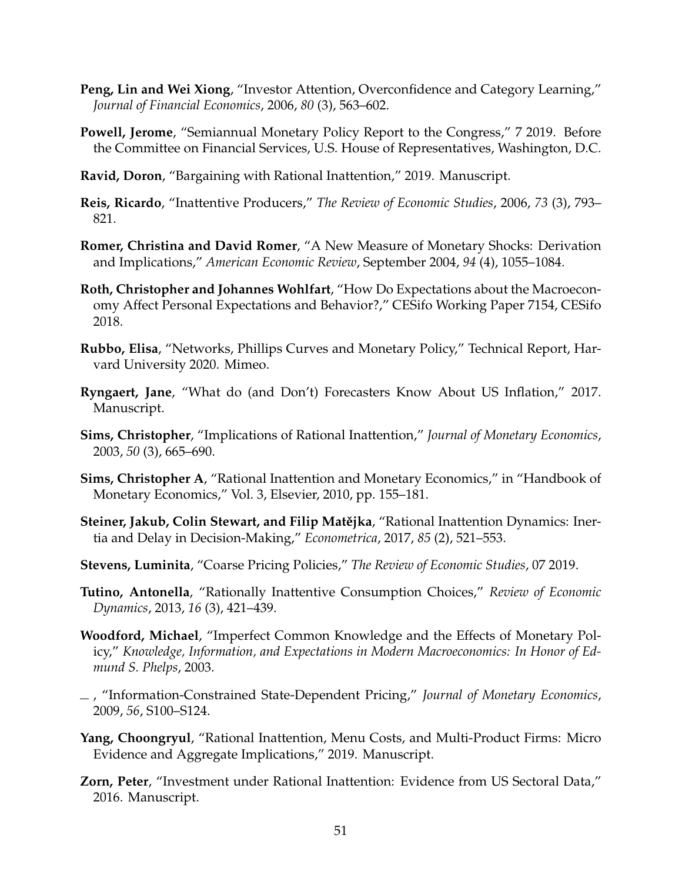- **Peng, Lin and Wei Xiong**, "Investor Attention, Overconfidence and Category Learning," *Journal of Financial Economics*, 2006, *80* (3), 563–602.
- **Powell, Jerome**, "Semiannual Monetary Policy Report to the Congress," 7 2019. Before the Committee on Financial Services, U.S. House of Representatives, Washington, D.C.
- **Ravid, Doron**, "Bargaining with Rational Inattention," 2019. Manuscript.
- **Reis, Ricardo**, "Inattentive Producers," *The Review of Economic Studies*, 2006, *73* (3), 793– 821.
- <span id="page-50-0"></span>**Romer, Christina and David Romer**, "A New Measure of Monetary Shocks: Derivation and Implications," *American Economic Review*, September 2004, *94* (4), 1055–1084.
- **Roth, Christopher and Johannes Wohlfart**, "How Do Expectations about the Macroeconomy Affect Personal Expectations and Behavior?," CESifo Working Paper 7154, CESifo 2018.
- **Rubbo, Elisa**, "Networks, Phillips Curves and Monetary Policy," Technical Report, Harvard University 2020. Mimeo.
- **Ryngaert, Jane**, "What do (and Don't) Forecasters Know About US Inflation," 2017. Manuscript.
- **Sims, Christopher**, "Implications of Rational Inattention," *Journal of Monetary Economics*, 2003, *50* (3), 665–690.
- **Sims, Christopher A**, "Rational Inattention and Monetary Economics," in "Handbook of Monetary Economics," Vol. 3, Elsevier, 2010, pp. 155–181.
- **Steiner, Jakub, Colin Stewart, and Filip Matějka**, "Rational Inattention Dynamics: Inertia and Delay in Decision-Making," *Econometrica*, 2017, *85* (2), 521–553.
- **Stevens, Luminita**, "Coarse Pricing Policies," *The Review of Economic Studies*, 07 2019.
- **Tutino, Antonella**, "Rationally Inattentive Consumption Choices," *Review of Economic Dynamics*, 2013, *16* (3), 421–439.
- **Woodford, Michael**, "Imperfect Common Knowledge and the Effects of Monetary Policy," *Knowledge, Information, and Expectations in Modern Macroeconomics: In Honor of Edmund S. Phelps*, 2003.
- , "Information-Constrained State-Dependent Pricing," *Journal of Monetary Economics*, 2009, *56*, S100–S124.
- **Yang, Choongryul**, "Rational Inattention, Menu Costs, and Multi-Product Firms: Micro Evidence and Aggregate Implications," 2019. Manuscript.
- **Zorn, Peter**, "Investment under Rational Inattention: Evidence from US Sectoral Data," 2016. Manuscript.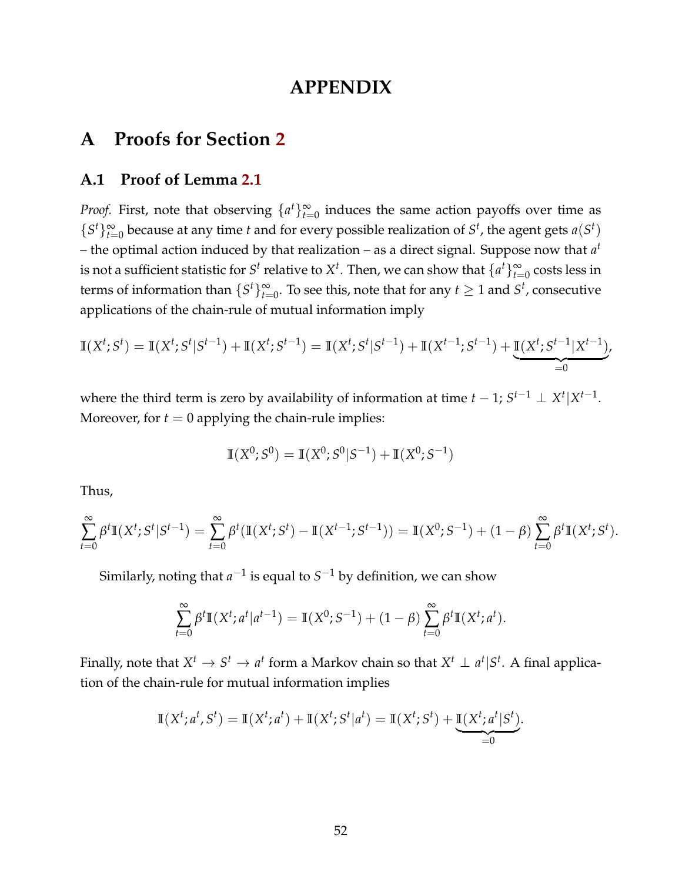# **APPENDIX**

# **A Proofs for Section [2](#page-5-1)**

## **A.1 Proof of Lemma [2.1](#page-7-1)**

*Proof.* First, note that observing  $\{a^t\}_{t=0}^{\infty}$  induces the same action payoffs over time as  $\{S^t\}_{t=0}^{\infty}$  because at any time *t* and for every possible realization of  $S^t$ , the agent gets  $a(S^t)$ – the optimal action induced by that realization – as a direct signal. Suppose now that  $a^t$ is not a sufficient statistic for  $S^t$  relative to  $X^t$ . Then, we can show that  $\{a^t\}_{t=0}^\infty$  costs less in terms of information than  $\{S^t\}_{t=0}^\infty$ . To see this, note that for any  $t\geq 1$  and  $S^t$ , consecutive applications of the chain-rule of mutual information imply

$$
\mathbb{I}(X^t; S^t) = \mathbb{I}(X^t; S^t | S^{t-1}) + \mathbb{I}(X^t; S^{t-1}) = \mathbb{I}(X^t; S^t | S^{t-1}) + \mathbb{I}(X^{t-1}; S^{t-1}) + \underbrace{\mathbb{I}(X^t; S^{t-1} | X^{t-1})}_{=0},
$$

where the third term is zero by availability of information at time  $t - 1$ ;  $S^{t-1} \perp X^t | X^{t-1}$ . Moreover, for  $t = 0$  applying the chain-rule implies:

$$
I(X^0; S^0) = I(X^0; S^0|S^{-1}) + I(X^0; S^{-1})
$$

Thus,

$$
\sum_{t=0}^{\infty} \beta^t \mathbb{I}(X^t; S^t | S^{t-1}) = \sum_{t=0}^{\infty} \beta^t (\mathbb{I}(X^t; S^t) - \mathbb{I}(X^{t-1}; S^{t-1})) = \mathbb{I}(X^0; S^{-1}) + (1 - \beta) \sum_{t=0}^{\infty} \beta^t \mathbb{I}(X^t; S^t).
$$

Similarly, noting that  $a^{-1}$  is equal to  $S^{-1}$  by definition, we can show

$$
\sum_{t=0}^{\infty} \beta^t \mathbb{I}(X^t; a^t | a^{t-1}) = \mathbb{I}(X^0; S^{-1}) + (1 - \beta) \sum_{t=0}^{\infty} \beta^t \mathbb{I}(X^t; a^t).
$$

Finally, note that  $X^t \to S^t \to a^t$  form a Markov chain so that  $X^t \perp a^t | S^t$ . A final application of the chain-rule for mutual information implies

$$
\mathbb{I}(X^t; a^t, S^t) = \mathbb{I}(X^t; a^t) + \mathbb{I}(X^t; S^t | a^t) = \mathbb{I}(X^t; S^t) + \underbrace{\mathbb{I}(X^t; a^t | S^t)}_{=0}.
$$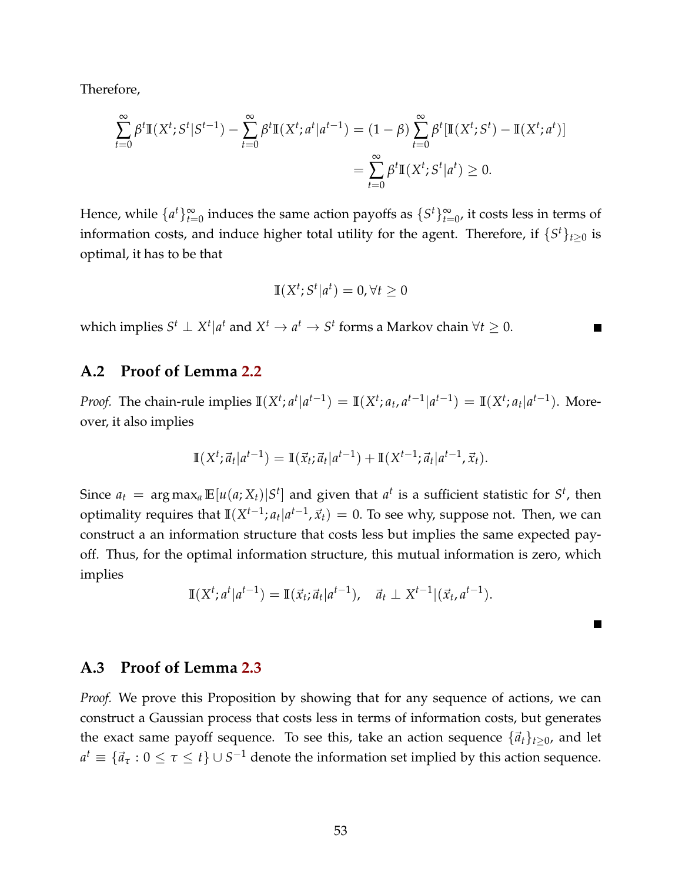Therefore,

$$
\sum_{t=0}^{\infty} \beta^t \mathbb{I}(X^t; S^t | S^{t-1}) - \sum_{t=0}^{\infty} \beta^t \mathbb{I}(X^t; a^t | a^{t-1}) = (1 - \beta) \sum_{t=0}^{\infty} \beta^t [\mathbb{I}(X^t; S^t) - \mathbb{I}(X^t; a^t)]
$$
  
= 
$$
\sum_{t=0}^{\infty} \beta^t \mathbb{I}(X^t; S^t | a^t) \ge 0.
$$

Hence, while  $\{a^t\}_{t=0}^{\infty}$  induces the same action payoffs as  $\{S^t\}_{t=0}^{\infty}$ , it costs less in terms of information costs, and induce higher total utility for the agent. Therefore, if  $\{S^t\}_{t\geq 0}$  is optimal, it has to be that

$$
\mathbb{I}(X^t; S^t | a^t) = 0, \forall t \ge 0
$$

which implies  $S^t \perp X^t | a^t$  and  $X^t \to a^t \to S^t$  forms a Markov chain  $\forall t \geq 0$ . п

#### **A.2 Proof of Lemma [2.2](#page-8-0)**

*Proof.* The chain-rule implies  $\mathbb{I}(X^t; a^t | a^{t-1}) = \mathbb{I}(X^t; a_t, a^{t-1} | a^{t-1}) = \mathbb{I}(X^t; a_t | a^{t-1})$ . Moreover, it also implies

$$
\mathbb{I}(X^t; \vec{a}_t | a^{t-1}) = \mathbb{I}(\vec{x}_t; \vec{a}_t | a^{t-1}) + \mathbb{I}(X^{t-1}; \vec{a}_t | a^{t-1}, \vec{x}_t).
$$

Since  $a_t = \argmax_a \mathbb{E}[u(a;X_t)|S^t]$  and given that  $a^t$  is a sufficient statistic for  $S^t$ , then optimality requires that  $\mathbb{I}(X^{t-1}; a_t | a^{t-1}, \vec{x}_t) = 0$ . To see why, suppose not. Then, we can construct a an information structure that costs less but implies the same expected payoff. Thus, for the optimal information structure, this mutual information is zero, which implies

$$
\mathbb{I}(X^t; a^t | a^{t-1}) = \mathbb{I}(\vec{x}_t; \vec{a}_t | a^{t-1}), \quad \vec{a}_t \perp X^{t-1} | (\vec{x}_t, a^{t-1}).
$$

**The Second Service** 

# **A.3 Proof of Lemma [2.3](#page-9-0)**

*Proof.* We prove this Proposition by showing that for any sequence of actions, we can construct a Gaussian process that costs less in terms of information costs, but generates the exact same payoff sequence. To see this, take an action sequence  $\{\vec{a}_t\}_{t>0}$ , and let  $a^t \equiv \{\vec{a}_\tau : 0 \leq \tau \leq t\} \cup S^{-1}$  denote the information set implied by this action sequence.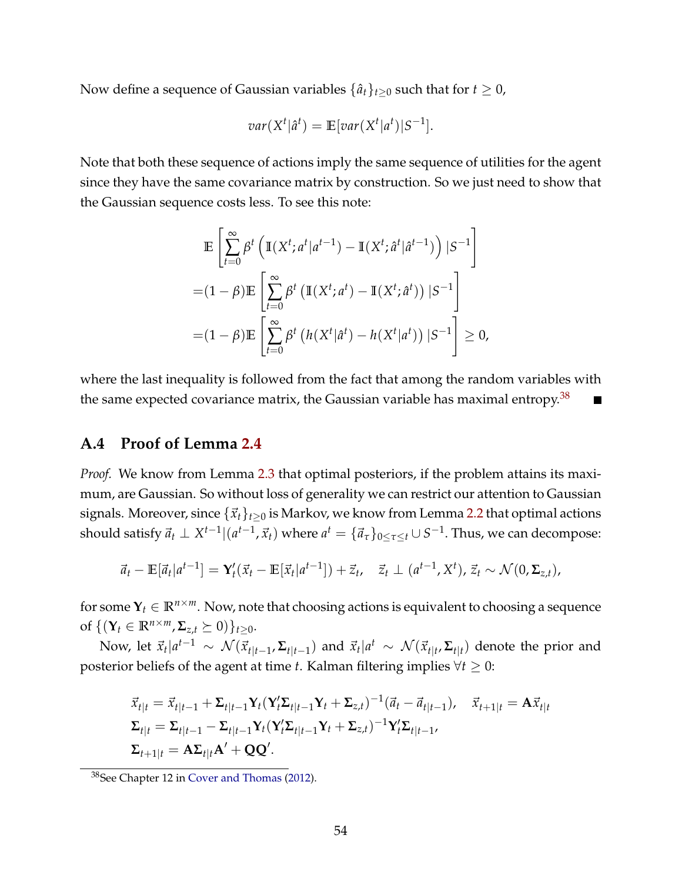Now define a sequence of Gaussian variables  $\{\hat{a}_t\}_{t\geq0}$  such that for  $t\geq0$ ,

$$
var(X^t | \hat{a}^t) = \mathbb{E}[var(X^t | a^t) | S^{-1}].
$$

Note that both these sequence of actions imply the same sequence of utilities for the agent since they have the same covariance matrix by construction. So we just need to show that the Gaussian sequence costs less. To see this note:

$$
\mathbb{E}\left[\sum_{t=0}^{\infty} \beta^t \left(\mathbb{I}(X^t; a^t | a^{t-1}) - \mathbb{I}(X^t; \hat{a}^t | \hat{a}^{t-1})\right) | S^{-1}\right]
$$
  
=  $(1 - \beta)\mathbb{E}\left[\sum_{t=0}^{\infty} \beta^t \left(\mathbb{I}(X^t; a^t) - \mathbb{I}(X^t; \hat{a}^t)\right) | S^{-1}\right]$   
=  $(1 - \beta)\mathbb{E}\left[\sum_{t=0}^{\infty} \beta^t \left(h(X^t | \hat{a}^t) - h(X^t | a^t)\right) | S^{-1}\right] \ge 0,$ 

where the last inequality is followed from the fact that among the random variables with the same expected covariance matrix, the Gaussian variable has maximal entropy.<sup>[38](#page-0-0)</sup>

# **A.4 Proof of Lemma [2.4](#page-9-1)**

*Proof.* We know from Lemma [2.3](#page-9-0) that optimal posteriors, if the problem attains its maximum, are Gaussian. So without loss of generality we can restrict our attention to Gaussian signals. Moreover, since  $\{\vec{x}_t\}_{t>0}$  is Markov, we know from Lemma [2.2](#page-8-0) that optimal actions should satisfy  $\vec{a}_t \perp X^{t-1}|(a^{t-1},\vec{x}_t)$  where  $a^t = \{\vec{a}_\tau\}_{0\leq \tau\leq t}\cup S^{-1}.$  Thus, we can decompose:

$$
\vec{a}_t - \mathbb{E}[\vec{a}_t|a^{t-1}] = \mathbf{Y}_t'(\vec{x}_t - \mathbb{E}[\vec{x}_t|a^{t-1}]) + \vec{z}_t, \quad \vec{z}_t \perp (a^{t-1}, X^t), \vec{z}_t \sim \mathcal{N}(0, \Sigma_{z,t}),
$$

for some  $Y_t \in \mathbb{R}^{n \times m}$ . Now, note that choosing actions is equivalent to choosing a sequence of  $\{(\mathbf{Y}_t \in \mathbb{R}^{n \times m}, \Sigma_{z,t} \succeq 0)\}_{t>0}$ .

Now, let  $\vec{x}_t | a^{t-1} \sim \mathcal{N}(\vec{x}_{t|t-1}, \Sigma_{t|t-1})$  and  $\vec{x}_t | a^t \sim \mathcal{N}(\vec{x}_{t|t}, \Sigma_{t|t})$  denote the prior and posterior beliefs of the agent at time *t*. Kalman filtering implies ∀*t* ≥ 0:

$$
\begin{aligned}\n\vec{x}_{t|t} &= \vec{x}_{t|t-1} + \Sigma_{t|t-1} \mathbf{Y}_t (\mathbf{Y}_t' \Sigma_{t|t-1} \mathbf{Y}_t + \Sigma_{z,t})^{-1} (\vec{a}_t - \vec{a}_{t|t-1}), \quad \vec{x}_{t+1|t} = \mathbf{A} \vec{x}_{t|t} \\
\Sigma_{t|t} &= \Sigma_{t|t-1} - \Sigma_{t|t-1} \mathbf{Y}_t (\mathbf{Y}_t' \Sigma_{t|t-1} \mathbf{Y}_t + \Sigma_{z,t})^{-1} \mathbf{Y}_t' \Sigma_{t|t-1}, \\
\Sigma_{t+1|t} &= \mathbf{A} \Sigma_{t|t} \mathbf{A}' + \mathbf{Q} \mathbf{Q}'.\n\end{aligned}
$$

<sup>38</sup>See Chapter 12 in [Cover and Thomas](#page-47-1) [\(2012\)](#page-47-1).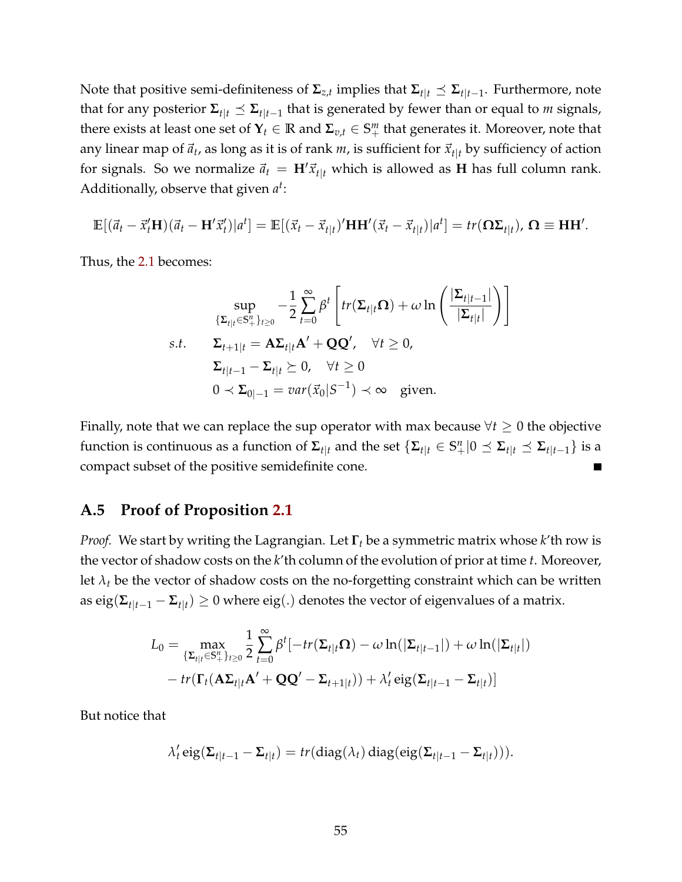Note that positive semi-definiteness of  $Σ_{z,t}$  implies that  $Σ_{t|t} ≤ Σ_{t|t-1}$ . Furthermore, note that for any posterior  $\Sigma_{t|t} \preceq \Sigma_{t|t-1}$  that is generated by fewer than or equal to *m* signals, there exists at least one set of  $Y_t \in \mathbb{R}$  and  $\Sigma_{v,t} \in S^m_+$  that generates it. Moreover, note that any linear map of  $\vec{a}_t$ , as long as it is of rank *m*, is sufficient for  $\vec{x}_{t|t}$  by sufficiency of action for signals. So we normalize  $\vec{a}_t = H' \vec{x}_{t|t}$  which is allowed as **H** has full column rank. Additionally, observe that given *a t* :

 $\mathbb{E}[(\vec{a}_t - \vec{x}'_t \mathbf{H})(\vec{a}_t - \mathbf{H}'\vec{x}'_t)]$  $\mathcal{H}_t'[a^t] = \mathbb{E}[(\vec{x}_t - \vec{x}_{t|t})' \mathbf{H} \mathbf{H}'(\vec{x}_t - \vec{x}_{t|t}) | a^t] = tr(\mathbf{\Omega} \mathbf{\Sigma}_{t|t}), \, \mathbf{\Omega} \equiv \mathbf{H} \mathbf{H}'.$ 

Thus, the [2.1](#page-7-0) becomes:

$$
\sup_{\{\Sigma_{t|t}\in\mathbb{S}_{+}^{n}\}_{t\geq0}} -\frac{1}{2}\sum_{t=0}^{\infty}\beta^{t}\left[tr(\Sigma_{t|t}\Omega)+\omega\ln\left(\frac{|\Sigma_{t|t-1}|}{|\Sigma_{t|t}|}\right)\right]
$$
  
s.t. 
$$
\Sigma_{t+1|t} = A\Sigma_{t|t}A' + QQ', \quad \forall t \geq 0,
$$

$$
\Sigma_{t|t-1} - \Sigma_{t|t} \succeq 0, \quad \forall t \geq 0
$$

$$
0 \prec \Sigma_{0|-1} = var(\vec{x}_0|S^{-1}) \prec \infty \quad \text{given.}
$$

Finally, note that we can replace the sup operator with max because  $\forall t \geq 0$  the objective function is continuous as a function of  $\Sigma_{t|t}$  and the set  $\{\Sigma_{t|t} \in \mathbb{S}^n_+|0 \preceq \Sigma_{t|t} \preceq \Sigma_{t|t-1}\}$  is a compact subset of the positive semidefinite cone.

# **A.5 Proof of Proposition [2.1](#page-11-0)**

*Proof.* We start by writing the Lagrangian. Let **Γ***<sup>t</sup>* be a symmetric matrix whose *k*'th row is the vector of shadow costs on the *k*'th column of the evolution of prior at time *t*. Moreover, let  $\lambda_t$  be the vector of shadow costs on the no-forgetting constraint which can be written as  $\text{eig}(\mathbf{\Sigma}_{t|t-1} - \mathbf{\Sigma}_{t|t}) \geq 0$  where  $\text{eig}(.)$  denotes the vector of eigenvalues of a matrix.

$$
L_0 = \max_{\{\Sigma_{t|t}\in\mathbb{S}_{+}^n\}_{t\geq 0}} \frac{1}{2} \sum_{t=0}^{\infty} \beta^t [-tr(\Sigma_{t|t}\Omega) - \omega \ln(|\Sigma_{t|t-1}|) + \omega \ln(|\Sigma_{t|t}|)
$$

$$
- tr(\Gamma_t(\mathbf{A}\Sigma_{t|t}\mathbf{A}' + \mathbf{Q}\mathbf{Q}' - \Sigma_{t+1|t})) + \lambda_t' \text{eig}(\Sigma_{t|t-1} - \Sigma_{t|t})]
$$

But notice that

$$
\lambda'_t \operatorname{eig}(\Sigma_{t|t-1} - \Sigma_{t|t}) = tr(\operatorname{diag}(\lambda_t) \operatorname{diag}(\operatorname{eig}(\Sigma_{t|t-1} - \Sigma_{t|t}))).
$$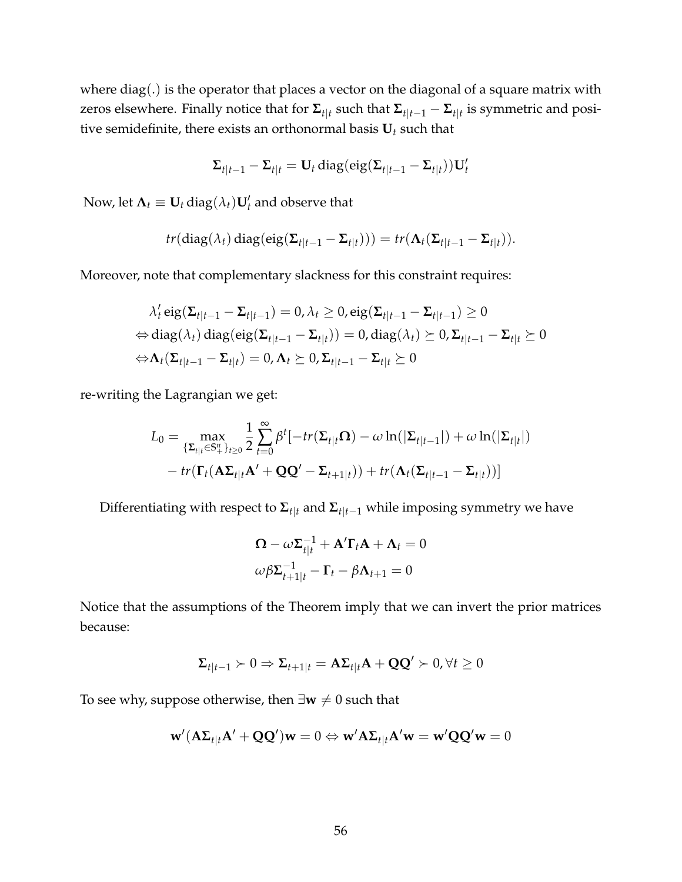where diag(.) is the operator that places a vector on the diagonal of a square matrix with zeros elsewhere. Finally notice that for  $\Sigma_{t|t}$  such that  $\Sigma_{t|t-1} - \Sigma_{t|t}$  is symmetric and positive semidefinite, there exists an orthonormal basis  $U_t$  such that

$$
\Sigma_{t|t-1} - \Sigma_{t|t} = \mathbf{U}_t \operatorname{diag}(eig(\Sigma_{t|t-1} - \Sigma_{t|t})) \mathbf{U}_t'
$$

Now, let  $\mathbf{\Lambda}_t \equiv \mathbf{U}_t \operatorname{diag}(\lambda_t) \mathbf{U}'_t$  and observe that

$$
tr(\text{diag}(\lambda_t) \text{ diag}(\text{eig}(\Sigma_{t|t-1}-\Sigma_{t|t}))) = tr(\Lambda_t(\Sigma_{t|t-1}-\Sigma_{t|t})).
$$

Moreover, note that complementary slackness for this constraint requires:

$$
\lambda'_t \operatorname{eig}(\Sigma_{t|t-1} - \Sigma_{t|t-1}) = 0, \lambda_t \ge 0, \operatorname{eig}(\Sigma_{t|t-1} - \Sigma_{t|t-1}) \ge 0
$$
  
\n
$$
\Leftrightarrow \operatorname{diag}(\lambda_t) \operatorname{diag}(\operatorname{eig}(\Sigma_{t|t-1} - \Sigma_{t|t})) = 0, \operatorname{diag}(\lambda_t) \ge 0, \Sigma_{t|t-1} - \Sigma_{t|t} \ge 0
$$
  
\n
$$
\Leftrightarrow \Lambda_t(\Sigma_{t|t-1} - \Sigma_{t|t}) = 0, \Lambda_t \ge 0, \Sigma_{t|t-1} - \Sigma_{t|t} \ge 0
$$

re-writing the Lagrangian we get:

$$
L_0 = \max_{\{\Sigma_{t|t}\in\mathbb{S}_+^n\}_{t\geq 0}} \frac{1}{2} \sum_{t=0}^{\infty} \beta^t \left[ -tr(\Sigma_{t|t}\Omega) - \omega \ln(|\Sigma_{t|t-1}|) + \omega \ln(|\Sigma_{t|t}|) - tr(\Gamma_t(\mathbf{A}\Sigma_{t|t}\mathbf{A}' + \mathbf{Q}\mathbf{Q}' - \Sigma_{t+1|t})) + tr(\mathbf{\Lambda}_t(\Sigma_{t|t-1} - \Sigma_{t|t})) \right]
$$

Differentiating with respect to  $\Sigma_{t|t}$  and  $\Sigma_{t|t-1}$  while imposing symmetry we have

$$
\mathbf{\Omega} - \omega \mathbf{\Sigma}_{t|t}^{-1} + \mathbf{A}' \mathbf{\Gamma}_t \mathbf{A} + \mathbf{\Lambda}_t = 0
$$
  

$$
\omega \beta \mathbf{\Sigma}_{t+1|t}^{-1} - \mathbf{\Gamma}_t - \beta \mathbf{\Lambda}_{t+1} = 0
$$

Notice that the assumptions of the Theorem imply that we can invert the prior matrices because:

$$
\Sigma_{t|t-1} \succ 0 \Rightarrow \Sigma_{t+1|t} = A\Sigma_{t|t}A + QQ' \succ 0, \forall t \ge 0
$$

To see why, suppose otherwise, then  $\exists w \neq 0$  such that

$$
\mathbf{w}'(\mathbf{A}\boldsymbol{\Sigma}_{t|t}\mathbf{A}'+\mathbf{Q}\mathbf{Q}')\mathbf{w} = 0 \Leftrightarrow \mathbf{w}'\mathbf{A}\boldsymbol{\Sigma}_{t|t}\mathbf{A}'\mathbf{w} = \mathbf{w}'\mathbf{Q}\mathbf{Q}'\mathbf{w} = 0
$$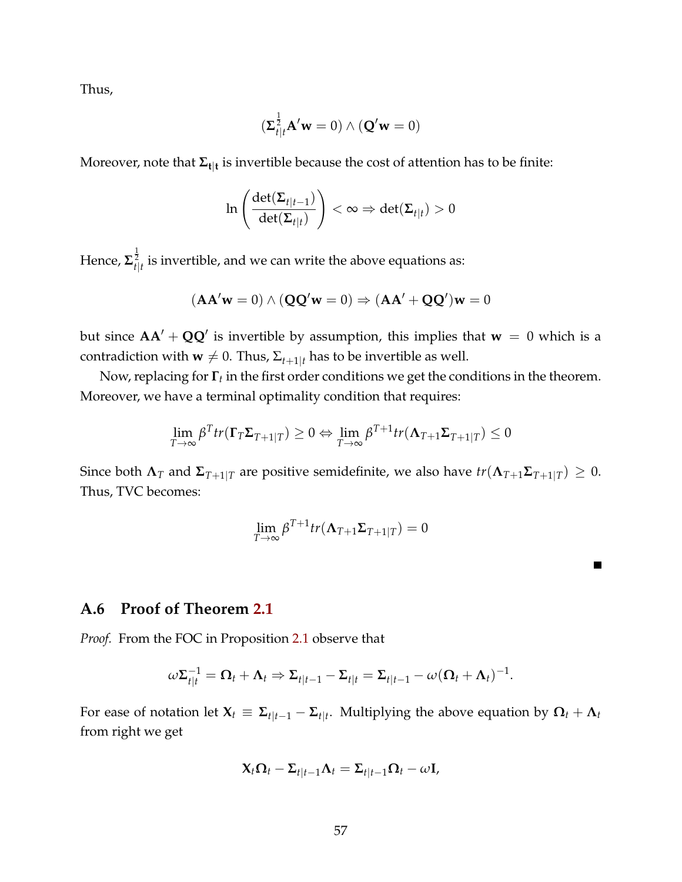Thus,

$$
(\pmb{\Sigma}_{t|t}^{\frac{1}{2}}\pmb{A}'\pmb{w}=0)\wedge (\pmb{Q}'\pmb{w}=0)
$$

Moreover, note that **Σt**|**<sup>t</sup>** is invertible because the cost of attention has to be finite:

$$
\ln\left(\frac{\det(\mathbf{\Sigma}_{t|t-1})}{\det(\mathbf{\Sigma}_{t|t})}\right) < \infty \Rightarrow \det(\mathbf{\Sigma}_{t|t}) > 0
$$

Hence,  $\mathbf{\Sigma}_{t|t}^{\frac{1}{2}}$  is invertible, and we can write the above equations as:

$$
(\mathbf{A}\mathbf{A}'\mathbf{w}=0) \wedge (\mathbf{Q}\mathbf{Q}'\mathbf{w}=0) \Rightarrow (\mathbf{A}\mathbf{A}' + \mathbf{Q}\mathbf{Q}')\mathbf{w}=0
$$

but since  $AA' + QQ'$  is invertible by assumption, this implies that  $w = 0$  which is a contradiction with **w**  $\neq$  0. Thus,  $\Sigma_{t+1|t}$  has to be invertible as well.

Now, replacing for **Γ***<sup>t</sup>* in the first order conditions we get the conditions in the theorem. Moreover, we have a terminal optimality condition that requires:

$$
\lim_{T \to \infty} \beta^T tr(\Gamma_T \Sigma_{T+1|T}) \ge 0 \Leftrightarrow \lim_{T \to \infty} \beta^{T+1} tr(\mathbf{\Lambda}_{T+1} \Sigma_{T+1|T}) \le 0
$$

Since both  $\Lambda_T$  and  $\Sigma_{T+1|T}$  are positive semidefinite, we also have  $tr(\Lambda_{T+1}\Sigma_{T+1|T})\geq 0$ . Thus, TVC becomes:

$$
\lim_{T\to\infty}\beta^{T+1}tr(\mathbf{\Lambda}_{T+1}\mathbf{\Sigma}_{T+1|T})=0
$$

 $\blacksquare$ 

<span id="page-56-0"></span>**A.6 Proof of Theorem [2.1](#page-12-0)**

*Proof.* From the FOC in Proposition [2.1](#page-11-0) observe that

$$
\omega \Sigma_{t|t}^{-1} = \Omega_t + \Lambda_t \Rightarrow \Sigma_{t|t-1} - \Sigma_{t|t} = \Sigma_{t|t-1} - \omega (\Omega_t + \Lambda_t)^{-1}.
$$

For ease of notation let  $\mathbf{X}_t \equiv \mathbf{\Sigma}_{t|t-1} - \mathbf{\Sigma}_{t|t}.$  Multiplying the above equation by  $\mathbf{\Omega}_t + \mathbf{\Lambda}_t$ from right we get

$$
\mathbf{X}_t \mathbf{\Omega}_t - \mathbf{\Sigma}_{t|t-1} \mathbf{\Lambda}_t = \mathbf{\Sigma}_{t|t-1} \mathbf{\Omega}_t - \omega \mathbf{I},
$$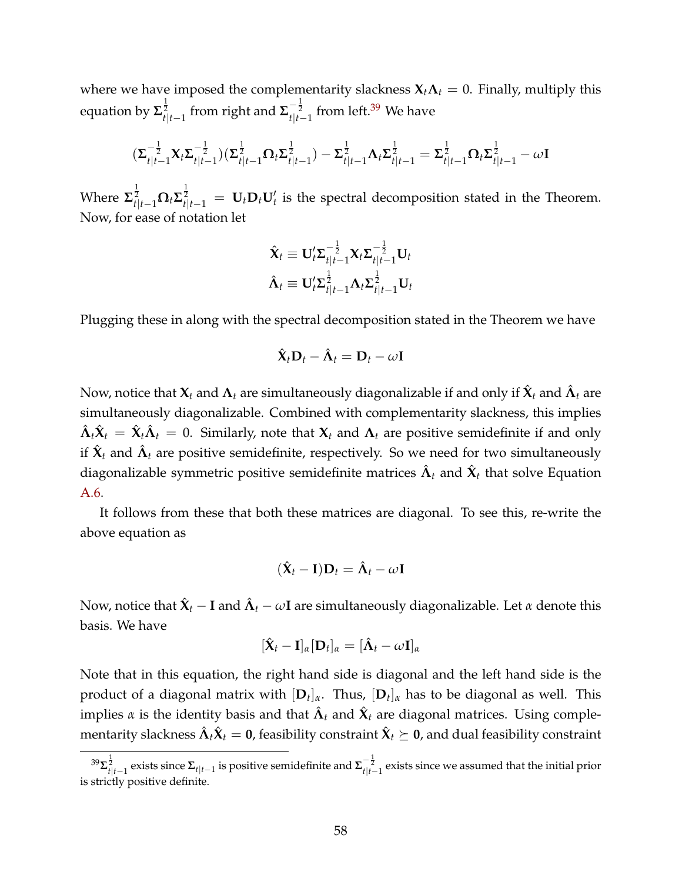where we have imposed the complementarity slackness  $X_t \Lambda_t = 0$ . Finally, multiply this equation by Σ ${}^{\frac{1}{2}}_{t|t-1}$  from right and Σ ${}^{-\frac{1}{2}}_{t|t-1}$  from left.<sup>[39](#page-0-0)</sup> We have

$$
(\Sigma_{t|t-1}^{-\frac{1}{2}} \mathbf{X}_{t} \Sigma_{t|t-1}^{-\frac{1}{2}}) (\Sigma_{t|t-1}^{\frac{1}{2}} \Omega_{t} \Sigma_{t|t-1}^{\frac{1}{2}}) - \Sigma_{t|t-1}^{\frac{1}{2}} \Lambda_{t} \Sigma_{t|t-1}^{\frac{1}{2}} = \Sigma_{t|t-1}^{\frac{1}{2}} \Omega_{t} \Sigma_{t|t-1}^{\frac{1}{2}} - \omega \mathbf{I}
$$

Where  $\mathbf{\Sigma}_{t|t-1}^{\frac{1}{2}} \mathbf{\Omega}_t \mathbf{\Sigma}_{t|t-1}^{\frac{1}{2}} = \mathbf{U}_t \mathbf{D}_t \mathbf{U}_t'$  is the spectral decomposition stated in the Theorem. Now, for ease of notation let

$$
\hat{\mathbf{X}}_t \equiv \mathbf{U}_t' \mathbf{\Sigma}_{t|t-1}^{-\frac{1}{2}} \mathbf{X}_t \mathbf{\Sigma}_{t|t-1}^{-\frac{1}{2}} \mathbf{U}_t
$$
\n
$$
\hat{\mathbf{\Lambda}}_t \equiv \mathbf{U}_t' \mathbf{\Sigma}_{t|t-1}^{\frac{1}{2}} \mathbf{\Lambda}_t \mathbf{\Sigma}_{t|t-1}^{\frac{1}{2}} \mathbf{U}_t
$$

Plugging these in along with the spectral decomposition stated in the Theorem we have

$$
\hat{\mathbf{X}}_t \mathbf{D}_t - \hat{\mathbf{\Lambda}}_t = \mathbf{D}_t - \omega \mathbf{I}
$$

Now, notice that  $\bm{\chi}_t$  and  $\bm{\Lambda}_t$  are simultaneously diagonalizable if and only if  $\hat{\bm{\chi}}_t$  and  $\hat{\bm{\Lambda}}_t$  are simultaneously diagonalizable. Combined with complementarity slackness, this implies  $\hat{\bm{\Lambda}}_t\hat{\bm{X}}_t = \hat{\bm{X}}_t\hat{\bm{\Lambda}}_t = 0$ . Similarly, note that  $\bm{X}_t$  and  $\bm{\Lambda}_t$  are positive semidefinite if and only if  $\hat{\mathbf{X}}_t$  and  $\hat{\mathbf{\Lambda}}_t$  are positive semidefinite, respectively. So we need for two simultaneously diagonalizable symmetric positive semidefinite matrices  $\hat{\bm{\Lambda}}_t$  and  $\hat{\bm{\mathsf{X}}}_t$  that solve Equation [A.6.](#page-56-0)

It follows from these that both these matrices are diagonal. To see this, re-write the above equation as

$$
(\hat{\mathbf{X}}_t - \mathbf{I})\mathbf{D}_t = \hat{\mathbf{\Lambda}}_t - \omega \mathbf{I}
$$

Now, notice that  $\hat{\bm{X}}_t - \bm{I}$  and  $\hat{\bm{\Lambda}}_t - \omega \textbf{I}$  are simultaneously diagonalizable. Let  $\alpha$  denote this basis. We have

$$
[\hat{\mathbf{X}}_t-\mathbf{I}]_{\alpha}[\mathbf{D}_t]_{\alpha}=[\hat{\mathbf{\Lambda}}_t-\omega\mathbf{I}]_{\alpha}
$$

Note that in this equation, the right hand side is diagonal and the left hand side is the product of a diagonal matrix with [**D***<sup>t</sup>* ]*α*. Thus, [**D***<sup>t</sup>* ]*<sup>α</sup>* has to be diagonal as well. This implies  $\alpha$  is the identity basis and that  $\hat{\bm{\Lambda}}_t$  and  $\hat{\bm{\chi}}_t$  are diagonal matrices. Using comple- $\hat{\bm{\Lambda}}_t$  mentarity slackness  $\hat{\bm{\Lambda}}_t\hat{\bm{\chi}}_t =$  **0**, feasibility constraint  $\hat{\bm{\chi}}_t\succeq$  **0**, and dual feasibility constraint

<sup>&</sup>lt;sup>39</sup>Σ $^{\frac{1}{2}}_{t|t-1}$  exists since Σ<sub>*t\t−1*</sub> is positive semidefinite and Σ $^{-\frac{1}{2}}_{t|t-1}$  exists since we assumed that the initial prior is strictly positive definite.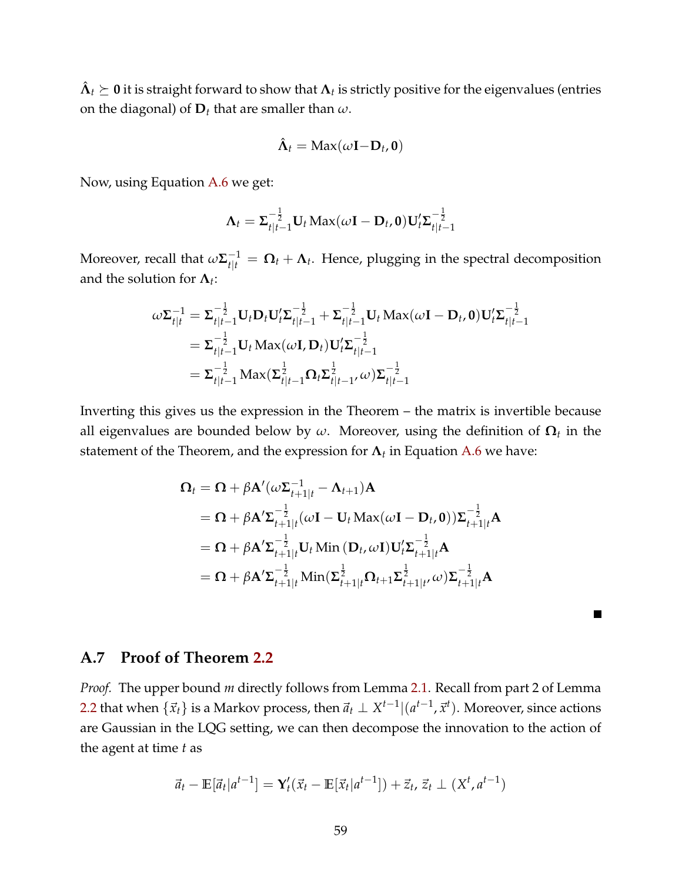$\hat{\bm{\Lambda}}_t \succeq \bm{0}$  it is straight forward to show that  $\bm{\Lambda}_t$  is strictly positive for the eigenvalues (entries on the diagonal) of **D***<sup>t</sup>* that are smaller than *ω*.

$$
\hat{\mathbf{\Lambda}}_t = \text{Max}(\omega \mathbf{I} - \mathbf{D}_t, \mathbf{0})
$$

Now, using Equation [A.6](#page-56-0) we get:

$$
\mathbf{\Lambda}_t = \mathbf{\Sigma}_{t|t-1}^{-\frac{1}{2}} \mathbf{U}_t \mathbf{M} \mathbf{a} \mathbf{x} (\omega \mathbf{I} - \mathbf{D}_t, \mathbf{0}) \mathbf{U}_t' \mathbf{\Sigma}_{t|t-1}^{-\frac{1}{2}}
$$

Moreover, recall that  $\omega \mathbf{\Sigma}_{t|t}^{-1} = \mathbf{\Omega}_t + \mathbf{\Lambda}_t$ . Hence, plugging in the spectral decomposition and the solution for  $\boldsymbol{\Lambda}_t$ :

$$
\omega \Sigma_{t|t}^{-1} = \Sigma_{t|t-1}^{-\frac{1}{2}} \mathbf{U}_t \mathbf{D}_t \mathbf{U}_t' \Sigma_{t|t-1}^{-\frac{1}{2}} + \Sigma_{t|t-1}^{-\frac{1}{2}} \mathbf{U}_t \operatorname{Max}(\omega \mathbf{I} - \mathbf{D}_t, \mathbf{0}) \mathbf{U}_t' \Sigma_{t|t-1}^{-\frac{1}{2}}
$$
  
\n
$$
= \Sigma_{t|t-1}^{-\frac{1}{2}} \mathbf{U}_t \operatorname{Max}(\omega \mathbf{I}, \mathbf{D}_t) \mathbf{U}_t' \Sigma_{t|t-1}^{-\frac{1}{2}}
$$
  
\n
$$
= \Sigma_{t|t-1}^{-\frac{1}{2}} \operatorname{Max}(\Sigma_{t|t-1}^{\frac{1}{2}} \Omega_t \Sigma_{t|t-1}^{\frac{1}{2}} \omega) \Sigma_{t|t-1}^{-\frac{1}{2}}
$$

Inverting this gives us the expression in the Theorem – the matrix is invertible because all eigenvalues are bounded below by *ω*. Moreover, using the definition of **Ω***<sup>t</sup>* in the statement of the Theorem, and the expression for **Λ***<sup>t</sup>* in Equation [A.6](#page-56-0) we have:

$$
\begin{split}\n\boldsymbol{\Omega}_{t} &= \boldsymbol{\Omega} + \beta \mathbf{A}'(\omega \boldsymbol{\Sigma}_{t+1|t}^{-1} - \boldsymbol{\Lambda}_{t+1}) \mathbf{A} \\
&= \boldsymbol{\Omega} + \beta \mathbf{A}' \boldsymbol{\Sigma}_{t+1|t}^{-\frac{1}{2}} (\omega \mathbf{I} - \mathbf{U}_{t} \operatorname{Max}(\omega \mathbf{I} - \mathbf{D}_{t}, \mathbf{0})) \boldsymbol{\Sigma}_{t+1|t}^{-\frac{1}{2}} \mathbf{A} \\
&= \boldsymbol{\Omega} + \beta \mathbf{A}' \boldsymbol{\Sigma}_{t+1|t}^{-\frac{1}{2}} \mathbf{U}_{t} \operatorname{Min}(\mathbf{D}_{t}, \omega \mathbf{I}) \mathbf{U}_{t}' \boldsymbol{\Sigma}_{t+1|t}^{-\frac{1}{2}} \mathbf{A} \\
&= \boldsymbol{\Omega} + \beta \mathbf{A}' \boldsymbol{\Sigma}_{t+1|t}^{-\frac{1}{2}} \operatorname{Min}(\boldsymbol{\Sigma}_{t+1|t}^{\frac{1}{2}} \boldsymbol{\Omega}_{t+1} \boldsymbol{\Sigma}_{t+1|t'}^{\frac{1}{2}} \omega) \boldsymbol{\Sigma}_{t+1|t}^{-\frac{1}{2}} \mathbf{A}\n\end{split}
$$

## <span id="page-58-0"></span>**A.7 Proof of Theorem [2.2](#page-12-1)**

*Proof.* The upper bound *m* directly follows from Lemma [2.1.](#page-7-1) Recall from part 2 of Lemma [2.2](#page-8-0) that when  $\{\vec{x}_t\}$  is a Markov process, then  $\vec{a}_t \perp X^{t-1} | (a^{t-1}, \vec{x}^t).$  Moreover, since actions are Gaussian in the LQG setting, we can then decompose the innovation to the action of the agent at time *t* as

$$
\vec{a}_t - \mathbb{E}[\vec{a}_t | a^{t-1}] = \mathbf{Y}_t'(\vec{x}_t - \mathbb{E}[\vec{x}_t | a^{t-1}]) + \vec{z}_t, \vec{z}_t \perp (X^t, a^{t-1})
$$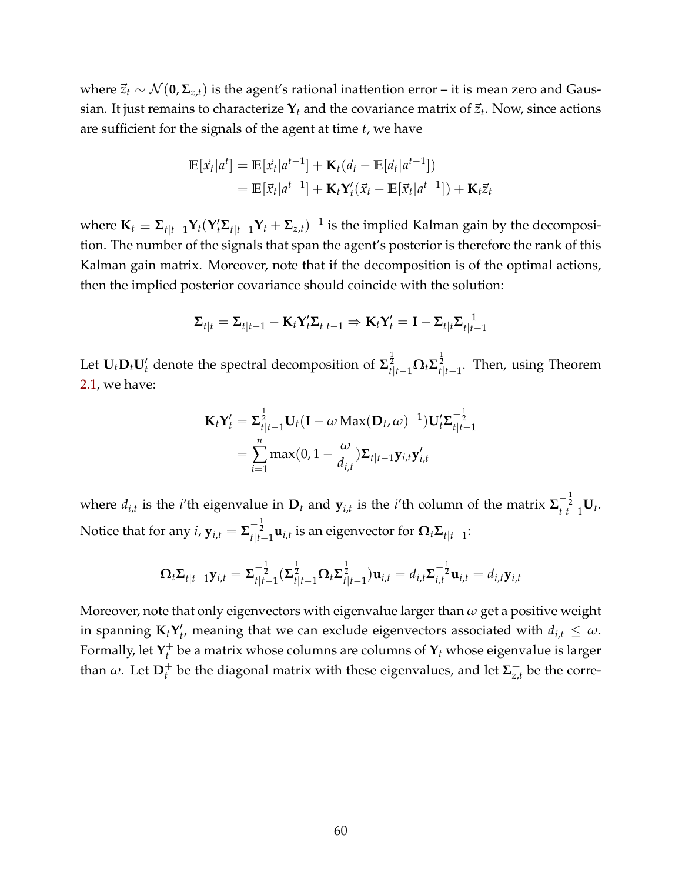where  $\vec{z}_t$  ∼  $\mathcal{N}(\mathbf{0}, \mathbf{\Sigma}_{z,t})$  is the agent's rational inattention error – it is mean zero and Gaussian. It just remains to characterize  $\mathbf{Y}_t$  and the covariance matrix of  $\vec{z}_t$ . Now, since actions are sufficient for the signals of the agent at time *t*, we have

$$
\mathbb{E}[\vec{x}_t|a^t] = \mathbb{E}[\vec{x}_t|a^{t-1}] + \mathbf{K}_t(\vec{a}_t - \mathbb{E}[\vec{a}_t|a^{t-1}])
$$
  
=  $\mathbb{E}[\vec{x}_t|a^{t-1}] + \mathbf{K}_t\mathbf{Y}_t'(\vec{x}_t - \mathbb{E}[\vec{x}_t|a^{t-1}]) + \mathbf{K}_t\vec{z}_t$ 

where  $\mathbf{K}_t \equiv \mathbf{\Sigma}_{t|t-1} \mathbf{Y}_t (\mathbf{Y}_t' \mathbf{\Sigma}_{t|t-1} \mathbf{Y}_t + \mathbf{\Sigma}_{z,t})^{-1}$  is the implied Kalman gain by the decomposition. The number of the signals that span the agent's posterior is therefore the rank of this Kalman gain matrix. Moreover, note that if the decomposition is of the optimal actions, then the implied posterior covariance should coincide with the solution:

$$
\Sigma_{t|t} = \Sigma_{t|t-1} - \mathbf{K}_t \mathbf{Y}_t' \Sigma_{t|t-1} \Rightarrow \mathbf{K}_t \mathbf{Y}_t' = \mathbf{I} - \Sigma_{t|t} \Sigma_{t|t-1}^{-1}
$$

Let  $\mathbf{U}_t \mathbf{D}_t \mathbf{U}_t'$  denote the spectral decomposition of  $\mathbf{\Sigma}_{t|t-1}^{\frac{1}{2}} \mathbf{\Omega}_t \mathbf{\Sigma}_{t|t-1}^{\frac{1}{2}}.$  Then, using Theorem [2.1,](#page-12-0) we have:

$$
\mathbf{K}_t \mathbf{Y}_t' = \mathbf{\Sigma}_{t|t-1}^{\frac{1}{2}} \mathbf{U}_t (\mathbf{I} - \omega \operatorname{Max}(\mathbf{D}_t, \omega)^{-1}) \mathbf{U}_t' \mathbf{\Sigma}_{t|t-1}^{-\frac{1}{2}}
$$

$$
= \sum_{i=1}^n \max(0, 1 - \frac{\omega}{d_{i,t}}) \mathbf{\Sigma}_{t|t-1} \mathbf{y}_{i,t} \mathbf{y}_{i,t}'
$$

where  $d_{i,t}$  is the *i*'th eigenvalue in  $D_t$  and  $y_{i,t}$  is the *i*'th column of the matrix  $\sum_{t|t-1}^{-\frac{1}{2}} U_t$ . Notice that for any  $i$ ,  $\mathbf{y}_{i,t} = \mathbf{\Sigma}_{t|t-1}^{-\frac{1}{2}} \mathbf{u}_{i,t}$  is an eigenvector for  $\mathbf{\Omega}_t \mathbf{\Sigma}_{t|t-1}$ :

$$
\mathbf{\Omega}_t \mathbf{\Sigma}_{t|t-1} \mathbf{y}_{i,t} = \mathbf{\Sigma}_{t|t-1}^{-\frac{1}{2}} (\mathbf{\Sigma}_{t|t-1}^{\frac{1}{2}} \mathbf{\Omega}_t \mathbf{\Sigma}_{t|t-1}^{\frac{1}{2}}) \mathbf{u}_{i,t} = d_{i,t} \mathbf{\Sigma}_{i,t}^{-\frac{1}{2}} \mathbf{u}_{i,t} = d_{i,t} \mathbf{y}_{i,t}
$$

Moreover, note that only eigenvectors with eigenvalue larger than *ω* get a positive weight in spanning  $\mathbf{K}_t \mathbf{Y}'_t$ , meaning that we can exclude eigenvectors associated with  $d_{i,t} \leq \omega$ . Formally, let  $\mathsf{Y}_t^+$ *t* be a matrix whose columns are columns of **Y***<sup>t</sup>* whose eigenvalue is larger than  $\omega$ . Let  $\mathbf{D}_t^+$  be the diagonal matrix with these eigenvalues, and let  $\mathbf{\Sigma}_{z_t}^+$  $\sigma_{z,t}^+$  be the corre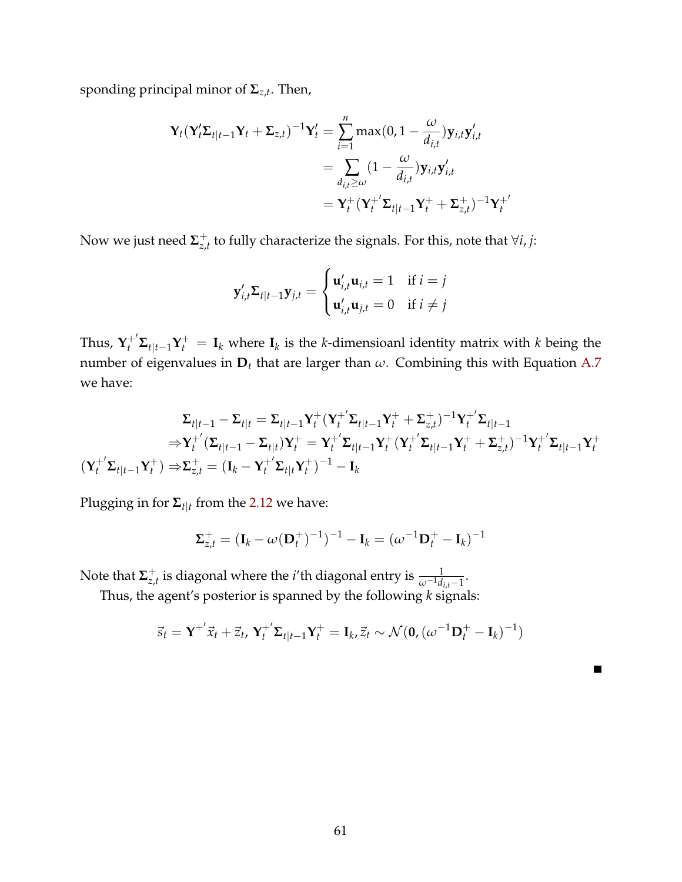sponding principal minor of **Σ***z*,*<sup>t</sup>* . Then,

$$
\mathbf{Y}_{t}(\mathbf{Y}_{t}^{\prime}\boldsymbol{\Sigma}_{t|t-1}\mathbf{Y}_{t} + \boldsymbol{\Sigma}_{z,t})^{-1}\mathbf{Y}_{t}^{\prime} = \sum_{i=1}^{n} \max(0, 1 - \frac{\omega}{d_{i,t}})\mathbf{y}_{i,t}\mathbf{y}_{i,t}^{\prime}
$$

$$
= \sum_{d_{i,t}\geq \omega} (1 - \frac{\omega}{d_{i,t}})\mathbf{y}_{i,t}\mathbf{y}_{i,t}^{\prime}
$$

$$
= \mathbf{Y}_{t}^{+}(\mathbf{Y}_{t}^{+}\mathbf{\Sigma}_{t|t-1}\mathbf{Y}_{t}^{+} + \mathbf{\Sigma}_{z,t}^{+})^{-1}\mathbf{Y}_{t}^{+}
$$

Now we just need **Σ** + *z*,*t* to fully characterize the signals. For this, note that ∀*i*, *j*:

$$
\mathbf{y}'_{i,t}\mathbf{\Sigma}_{t|t-1}\mathbf{y}_{j,t} = \begin{cases} \mathbf{u}'_{i,t}\mathbf{u}_{i,t} = 1 & \text{if } i = j\\ \mathbf{u}'_{i,t}\mathbf{u}_{j,t} = 0 & \text{if } i \neq j \end{cases}
$$

Thus,  $\mathbf{Y}_t^{+'}\mathbf{\Sigma}_{t|t-1}\mathbf{Y}_t^{+} = \mathbf{I}_k$  where  $\mathbf{I}_k$  is the *k*-dimensioanl identity matrix with *k* being the number of eigenvalues in **D***<sup>t</sup>* that are larger than *ω*. Combining this with Equation [A.7](#page-58-0) we have:

$$
\Sigma_{t|t-1} - \Sigma_{t|t} = \Sigma_{t|t-1} \mathbf{Y}_t^+ (\mathbf{Y}_t^{+'} \Sigma_{t|t-1} \mathbf{Y}_t^+ + \Sigma_{z,t}^+)^{-1} \mathbf{Y}_t^{+'} \Sigma_{t|t-1}
$$
\n
$$
\Rightarrow \mathbf{Y}_t^{+'} (\Sigma_{t|t-1} - \Sigma_{t|t}) \mathbf{Y}_t^+ = \mathbf{Y}_t^{+'} \Sigma_{t|t-1} \mathbf{Y}_t^+ (\mathbf{Y}_t^{+'} \Sigma_{t|t-1} \mathbf{Y}_t^+ + \Sigma_{z,t}^+)^{-1} \mathbf{Y}_t^{+'} \Sigma_{t|t-1} \mathbf{Y}_t^+
$$
\n
$$
(\mathbf{Y}_t^{+'} \Sigma_{t|t-1} \mathbf{Y}_t^+) \Rightarrow \Sigma_{z,t}^+ = (\mathbf{I}_k - \mathbf{Y}_t^{+'} \Sigma_{t|t} \mathbf{Y}_t^+)^{-1} - \mathbf{I}_k
$$

Plugging in for **Σ***t*|*<sup>t</sup>* from the [2.12](#page-12-2) we have:

$$
\Sigma_{z,t}^{+} = (\mathbf{I}_k - \omega(\mathbf{D}_t^{+})^{-1})^{-1} - \mathbf{I}_k = (\omega^{-1}\mathbf{D}_t^{+} - \mathbf{I}_k)^{-1}
$$

Note that **Σ** +  $\frac{1}{z,t}$  is diagonal where the *i*'th diagonal entry is  $\frac{1}{\omega^{-1}d_{i,t}-1}$ .

Thus, the agent's posterior is spanned by the following *k* signals:

$$
\vec{s}_t = \mathbf{Y}^{+'} \vec{x}_t + \vec{z}_t, \mathbf{Y}_t^{+'} \mathbf{\Sigma}_{t|t-1} \mathbf{Y}_t^{+} = \mathbf{I}_k, \vec{z}_t \sim \mathcal{N}(\mathbf{0}, (\omega^{-1} \mathbf{D}_t^{+} - \mathbf{I}_k)^{-1})
$$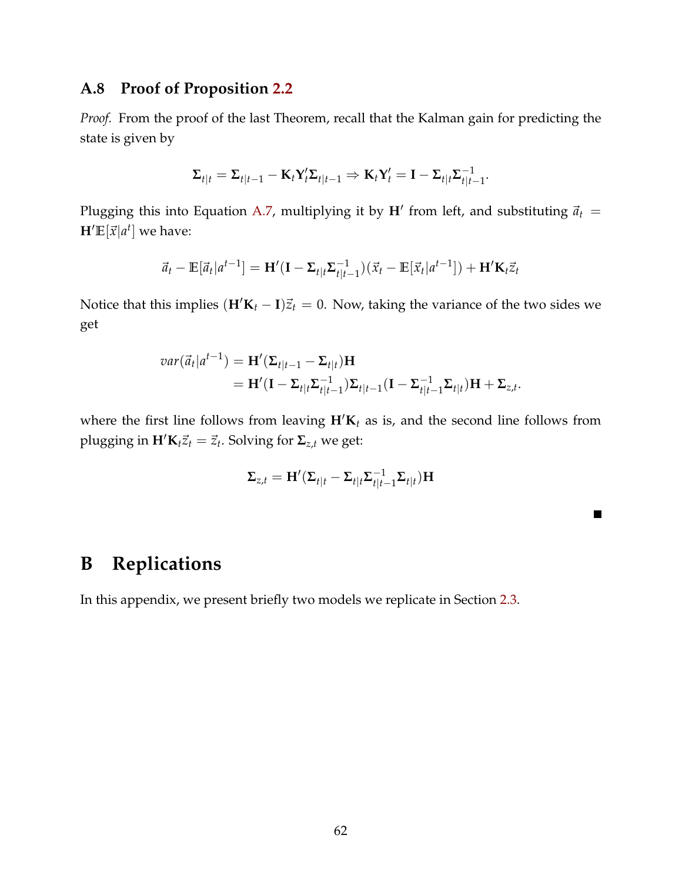# **A.8 Proof of Proposition [2.2](#page-13-0)**

*Proof.* From the proof of the last Theorem, recall that the Kalman gain for predicting the state is given by

$$
\Sigma_{t|t} = \Sigma_{t|t-1} - \mathbf{K}_t \mathbf{Y}_t' \Sigma_{t|t-1} \Rightarrow \mathbf{K}_t \mathbf{Y}_t' = \mathbf{I} - \Sigma_{t|t} \Sigma_{t|t-1}^{-1}.
$$

Plugging this into Equation [A.7,](#page-58-0) multiplying it by  $H'$  from left, and substituting  $\vec{a}_t$  =  $\mathbf{H}'\mathbb{E}[\vec{x}|a^t]$  we have:

$$
\vec{a}_t - \mathbb{E}[\vec{a}_t|a^{t-1}] = \mathbf{H}'(\mathbf{I} - \Sigma_{t|t}\Sigma_{t|t-1}^{-1})(\vec{x}_t - \mathbb{E}[\vec{x}_t|a^{t-1}]) + \mathbf{H}'\mathbf{K}_t\vec{z}_t
$$

Notice that this implies  $(H/K_t - I)\vec{z}_t = 0$ . Now, taking the variance of the two sides we get

$$
var(\vec{a}_t|a^{t-1}) = \mathbf{H}'(\Sigma_{t|t-1} - \Sigma_{t|t})\mathbf{H}
$$
  
= 
$$
\mathbf{H}'(\mathbf{I} - \Sigma_{t|t}\Sigma_{t|t-1}^{-1})\Sigma_{t|t-1}(\mathbf{I} - \Sigma_{t|t-1}^{-1}\Sigma_{t|t})\mathbf{H} + \Sigma_{z,t}.
$$

where the first line follows from leaving  $H/K_t$  as is, and the second line follows from plugging in  $\mathbf{H}'\mathbf{K}_t\vec{z}_t = \vec{z}_t$ . Solving for  $\Sigma_{z,t}$  we get:

$$
\boldsymbol{\Sigma}_{z,t} = \mathbf{H}'(\boldsymbol{\Sigma}_{t|t} - \boldsymbol{\Sigma}_{t|t}\boldsymbol{\Sigma}_{t|t-1}^{-1}\boldsymbol{\Sigma}_{t|t})\mathbf{H}
$$

 $\blacksquare$ 

# **B Replications**

In this appendix, we present briefly two models we replicate in Section [2.3.](#page-13-1)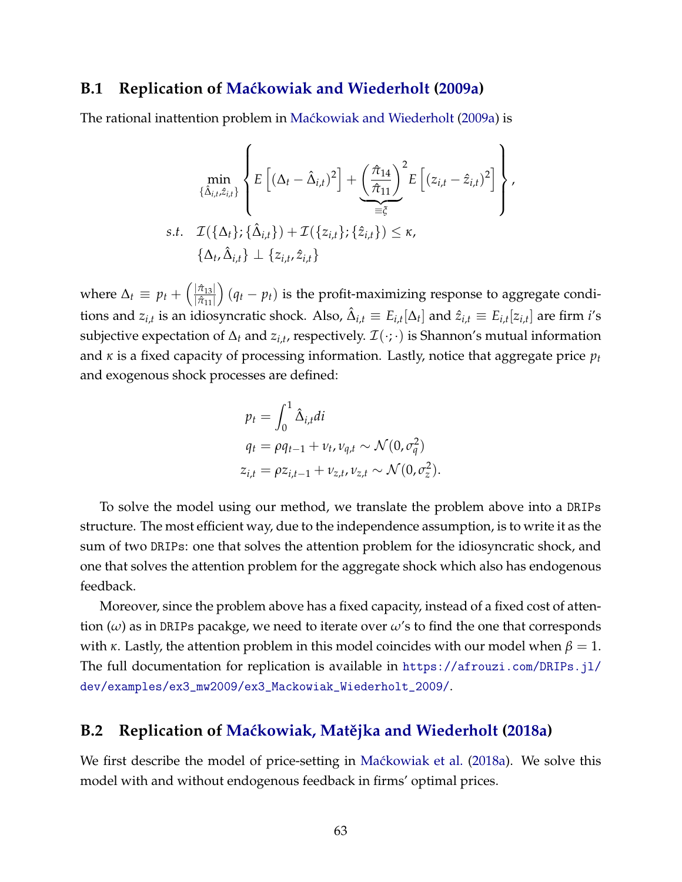#### **B.1 Replication of [Ma´ckowiak and Wiederholt](#page-48-0) [\(2009a\)](#page-48-0)**

The rational inattention problem in Maćkowiak and Wiederholt [\(2009a\)](#page-48-0) is

$$
\min_{\{\hat{\Delta}_{i,t},\hat{z}_{i,t}\}} \left\{ E\left[ (\Delta_t - \hat{\Delta}_{i,t})^2 \right] + \underbrace{\left(\frac{\hat{\pi}_{14}}{\hat{\pi}_{11}}\right)^2} E\left[ (z_{i,t} - \hat{z}_{i,t})^2 \right] \right\},
$$
\ns.t.  $\mathcal{I}(\{\Delta_t\}; \{\hat{\Delta}_{i,t}\}) + \mathcal{I}(\{z_{i,t}\}; \{\hat{z}_{i,t}\}) \leq \kappa,$   
\n
$$
\{\Delta_t, \hat{\Delta}_{i,t}\} \perp \{z_{i,t}, \hat{z}_{i,t}\}
$$

where  $\Delta_t \equiv p_t + \left(\frac{|\hat{\pi}_{13}|}{|\hat{\pi}_{11}|}\right)$  $|\hat{\pi}_{11}|$  $\big( (q_t - p_t)$  is the profit-maximizing response to aggregate conditions and  $z_{i,t}$  is an idiosyncratic shock. Also,  $\hat{\Delta}_{i,t} \equiv E_{i,t}[\Delta_t]$  and  $\hat{z}_{i,t} \equiv E_{i,t}[z_{i,t}]$  are firm *i's* subjective expectation of  $\Delta_t$  and  $z_{i,t}$ , respectively.  $\mathcal{I}(\cdot;\cdot)$  is Shannon's mutual information and *κ* is a fixed capacity of processing information. Lastly, notice that aggregate price *p<sup>t</sup>* and exogenous shock processes are defined:

$$
p_t = \int_0^1 \hat{\Delta}_{i,t} di
$$
  
\n
$$
q_t = \rho q_{t-1} + \nu_t, \nu_{q,t} \sim \mathcal{N}(0, \sigma_q^2)
$$
  
\n
$$
z_{i,t} = \rho z_{i,t-1} + \nu_{z,t}, \nu_{z,t} \sim \mathcal{N}(0, \sigma_z^2).
$$

To solve the model using our method, we translate the problem above into a DRIPs structure. The most efficient way, due to the independence assumption, is to write it as the sum of two DRIPs: one that solves the attention problem for the idiosyncratic shock, and one that solves the attention problem for the aggregate shock which also has endogenous feedback.

Moreover, since the problem above has a fixed capacity, instead of a fixed cost of attention (*ω*) as in DRIPs pacakge, we need to iterate over *ω*'s to find the one that corresponds with *κ*. Lastly, the attention problem in this model coincides with our model when  $\beta = 1$ . The full documentation for replication is available in [https://afrouzi.com/DRIPs.jl/](https://afrouzi.com/DRIPs.jl/dev/examples/ex3_mw2009/ex3_Mackowiak_Wiederholt_2009/) [dev/examples/ex3\\_mw2009/ex3\\_Mackowiak\\_Wiederholt\\_2009/](https://afrouzi.com/DRIPs.jl/dev/examples/ex3_mw2009/ex3_Mackowiak_Wiederholt_2009/).

# **B.2 Replication of Maćkowiak, Matějka and Wiederholt [\(2018a\)](#page-48-3)**

We first describe the model of price-setting in Maćkowiak et al. [\(2018a\)](#page-48-3). We solve this model with and without endogenous feedback in firms' optimal prices.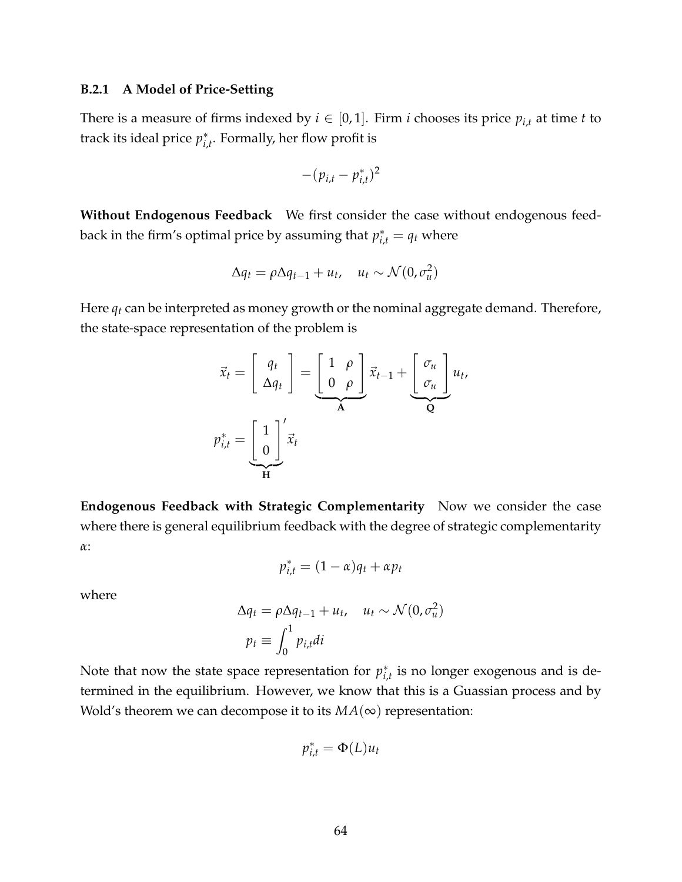#### **B.2.1 A Model of Price-Setting**

There is a measure of firms indexed by  $i \in [0, 1]$ . Firm *i* chooses its price  $p_{i,t}$  at time *t* to track its ideal price *p* ∗ *i*,*t* . Formally, her flow profit is

$$
-(p_{i,t}-p_{i,t}^*)^2
$$

**Without Endogenous Feedback** We first consider the case without endogenous feedback in the firm's optimal price by assuming that  $p_{i,t}^* = q_t$  where

$$
\Delta q_t = \rho \Delta q_{t-1} + u_t, \quad u_t \sim \mathcal{N}(0, \sigma_u^2)
$$

Here *q<sup>t</sup>* can be interpreted as money growth or the nominal aggregate demand. Therefore, the state-space representation of the problem is

$$
\vec{x}_t = \begin{bmatrix} q_t \\ \Delta q_t \end{bmatrix} = \underbrace{\begin{bmatrix} 1 & \rho \\ 0 & \rho \end{bmatrix}}_{\mathbf{A}} \vec{x}_{t-1} + \underbrace{\begin{bmatrix} \sigma_u \\ \sigma_u \end{bmatrix}}_{\mathbf{Q}} u_t,
$$
\n
$$
p_{i,t}^* = \underbrace{\begin{bmatrix} 1 \\ 0 \end{bmatrix}^t \vec{x}_t}_{\mathbf{H}}
$$

**Endogenous Feedback with Strategic Complementarity** Now we consider the case where there is general equilibrium feedback with the degree of strategic complementarity *α*:

$$
p_{i,t}^* = (1 - \alpha)q_t + \alpha p_t
$$

where

$$
\Delta q_t = \rho \Delta q_{t-1} + u_t, \quad u_t \sim \mathcal{N}(0, \sigma_u^2)
$$

$$
p_t \equiv \int_0^1 p_{i,t} di
$$

Note that now the state space representation for  $p_i^*$ *i*,*t* is no longer exogenous and is determined in the equilibrium. However, we know that this is a Guassian process and by Wold's theorem we can decompose it to its  $MA(\infty)$  representation:

$$
p_{i,t}^* = \Phi(L)u_t
$$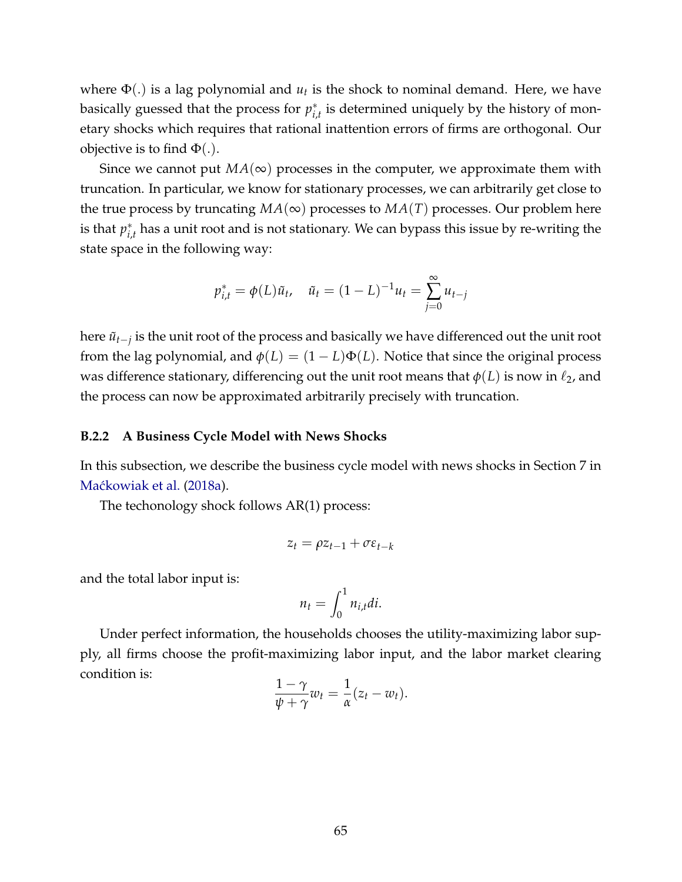where  $\Phi(.)$  is a lag polynomial and  $u_t$  is the shock to nominal demand. Here, we have **basically guessed that the process for** *p*<sup>*∗*</sup><sub>*i*</sub>  $i_{i,t}^*$  is determined uniquely by the history of monetary shocks which requires that rational inattention errors of firms are orthogonal. Our objective is to find  $\Phi(.)$ .

Since we cannot put  $MA(\infty)$  processes in the computer, we approximate them with truncation. In particular, we know for stationary processes, we can arbitrarily get close to the true process by truncating  $MA(\infty)$  processes to  $MA(T)$  processes. Our problem here is that  $p_i^*$ *i*,*t* has a unit root and is not stationary. We can bypass this issue by re-writing the state space in the following way:

$$
p_{i,t}^* = \phi(L)\tilde{u}_t, \quad \tilde{u}_t = (1 - L)^{-1}u_t = \sum_{j=0}^{\infty} u_{t-j}
$$

here  $\tilde{u}_{t-j}$  is the unit root of the process and basically we have differenced out the unit root from the lag polynomial, and  $\phi(L) = (1 - L)\Phi(L)$ . Notice that since the original process was difference stationary, differencing out the unit root means that  $\phi(L)$  is now in  $\ell_2$ , and the process can now be approximated arbitrarily precisely with truncation.

#### **B.2.2 A Business Cycle Model with News Shocks**

In this subsection, we describe the business cycle model with news shocks in Section 7 in Maćkowiak et al. [\(2018a\)](#page-48-3).

The techonology shock follows AR(1) process:

$$
z_t = \rho z_{t-1} + \sigma \varepsilon_{t-k}
$$

and the total labor input is:

$$
n_t = \int_0^1 n_{i,t} dt.
$$

Under perfect information, the households chooses the utility-maximizing labor supply, all firms choose the profit-maximizing labor input, and the labor market clearing condition is:

$$
\frac{1-\gamma}{\psi+\gamma}w_t=\frac{1}{\alpha}(z_t-w_t).
$$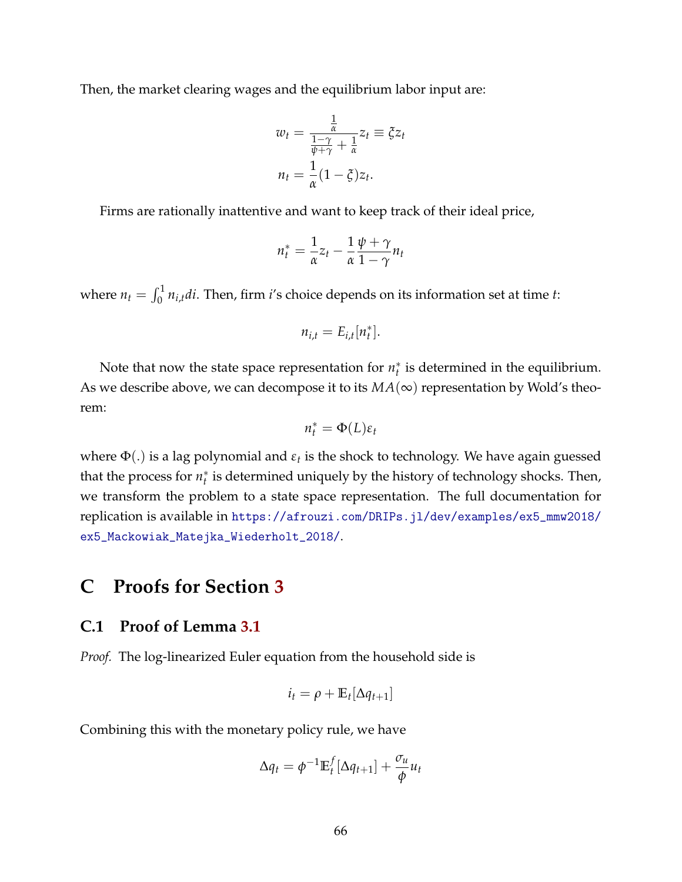Then, the market clearing wages and the equilibrium labor input are:

$$
w_t = \frac{\frac{1}{\alpha}}{\frac{1-\gamma}{\psi+\gamma} + \frac{1}{\alpha}} z_t \equiv \zeta z_t
$$

$$
n_t = \frac{1}{\alpha} (1 - \zeta) z_t.
$$

Firms are rationally inattentive and want to keep track of their ideal price,

$$
n_t^* = \frac{1}{\alpha} z_t - \frac{1}{\alpha} \frac{\psi + \gamma}{1 - \gamma} n_t
$$

where  $n_t = \int_0^1 n_{i,t} dt$ . Then, firm *i*'s choice depends on its information set at time *t*:

$$
n_{i,t} = E_{i,t}[n_t^*].
$$

Note that now the state space representation for  $n_t^*$  is determined in the equilibrium. As we describe above, we can decompose it to its  $MA(\infty)$  representation by Wold's theorem:

$$
n_t^* = \Phi(L)\varepsilon_t
$$

where  $\Phi(.)$  is a lag polynomial and  $\varepsilon_t$  is the shock to technology. We have again guessed that the process for  $n_t^*$  is determined uniquely by the history of technology shocks. Then, we transform the problem to a state space representation. The full documentation for replication is available in [https://afrouzi.com/DRIPs.jl/dev/examples/ex5\\_mmw2018/](https://afrouzi.com/DRIPs.jl/dev/examples/ex5_mmw2018/ex5_Mackowiak_Matejka_Wiederholt_2018/) [ex5\\_Mackowiak\\_Matejka\\_Wiederholt\\_2018/](https://afrouzi.com/DRIPs.jl/dev/examples/ex5_mmw2018/ex5_Mackowiak_Matejka_Wiederholt_2018/).

# **C Proofs for Section [3](#page-23-0)**

#### **C.1 Proof of Lemma [3.1](#page-24-0)**

*Proof.* The log-linearized Euler equation from the household side is

$$
i_t = \rho + \mathbb{E}_t[\Delta q_{t+1}]
$$

Combining this with the monetary policy rule, we have

$$
\Delta q_t = \phi^{-1} \mathbb{E}_t^f [\Delta q_{t+1}] + \frac{\sigma_u}{\phi} u_t
$$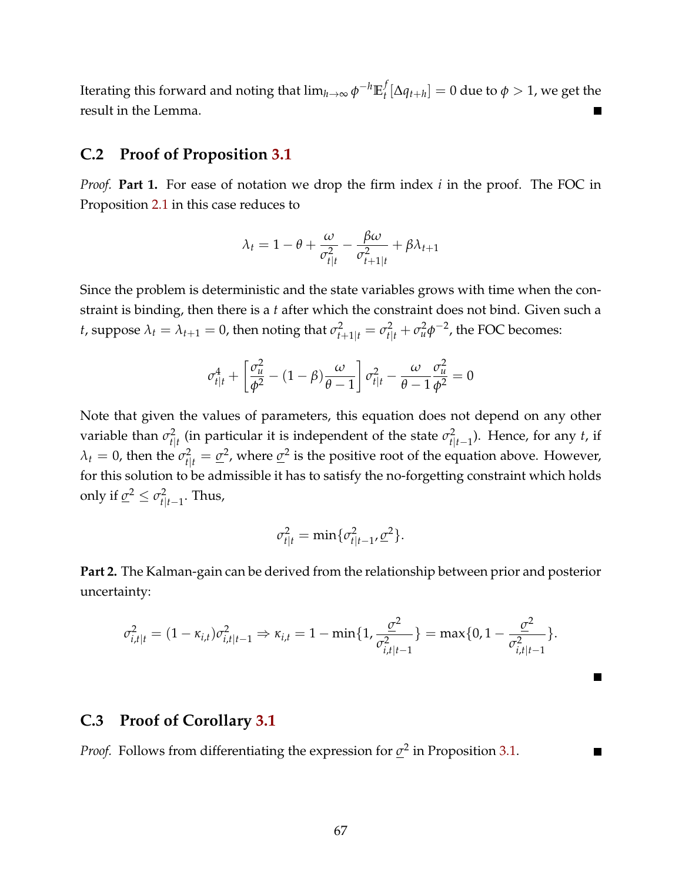Iterating this forward and noting that  $\lim_{h\to\infty} \phi^{-h} \mathbb{E}_t^f$  $\mathcal{L}_t^f[\Delta q_{t+h}] = 0$  due to  $\phi > 1$ , we get the result in the Lemma.

# <span id="page-66-0"></span>**C.2 Proof of Proposition [3.1](#page-26-0)**

*Proof.* **Part 1.** For ease of notation we drop the firm index *i* in the proof. The FOC in Proposition [2.1](#page-11-0) in this case reduces to

$$
\lambda_t = 1 - \theta + \frac{\omega}{\sigma_{t|t}^2} - \frac{\beta \omega}{\sigma_{t+1|t}^2} + \beta \lambda_{t+1}
$$

Since the problem is deterministic and the state variables grows with time when the constraint is binding, then there is a *t* after which the constraint does not bind. Given such a *t*, suppose  $\lambda_t = \lambda_{t+1} = 0$ , then noting that  $\sigma_{t+1|t}^2 = \sigma_{t|t}^2 + \sigma_u^2 \phi^{-2}$ , the FOC becomes:

$$
\sigma_{t|t}^4 + \left[\frac{\sigma_u^2}{\phi^2} - (1 - \beta)\frac{\omega}{\theta - 1}\right] \sigma_{t|t}^2 - \frac{\omega}{\theta - 1} \frac{\sigma_u^2}{\phi^2} = 0
$$

Note that given the values of parameters, this equation does not depend on any other variable than *σ*<sup>2</sup><sub>tl</sub>  $t_{t|t}^2$  (in particular it is independent of the state  $\sigma_{t|t}^2$  $t$ <sup>2</sup><sub>*t*</sub> $|t-1$ </sub>). Hence, for any *t*, if  $\lambda_t = 0$ , then the  $\sigma_{t|t}^2 = \underline{\sigma}^2$ , where  $\underline{\sigma}^2$  is the positive root of the equation above. However, for this solution to be admissible it has to satisfy the no-forgetting constraint which holds only if  $\underline{\sigma}^2 \leq \sigma_{\text{H}}^2$ *t*|*t*−1 . Thus,

$$
\sigma_{t|t}^2 = \min\{\sigma_{t|t-1}^2, \underline{\sigma}^2\}.
$$

**Part 2.** The Kalman-gain can be derived from the relationship between prior and posterior uncertainty:

$$
\sigma_{i,t|t}^2 = (1 - \kappa_{i,t})\sigma_{i,t|t-1}^2 \Rightarrow \kappa_{i,t} = 1 - \min\{1, \frac{\sigma^2}{\sigma_{i,t|t-1}^2}\} = \max\{0, 1 - \frac{\sigma^2}{\sigma_{i,t|t-1}^2}\}.
$$

П

### **C.3 Proof of Corollary [3.1](#page-27-0)**

*Proof.* Follows from differentiating the expression for  $\sigma^2$  in Proposition [3.1.](#page-26-0) П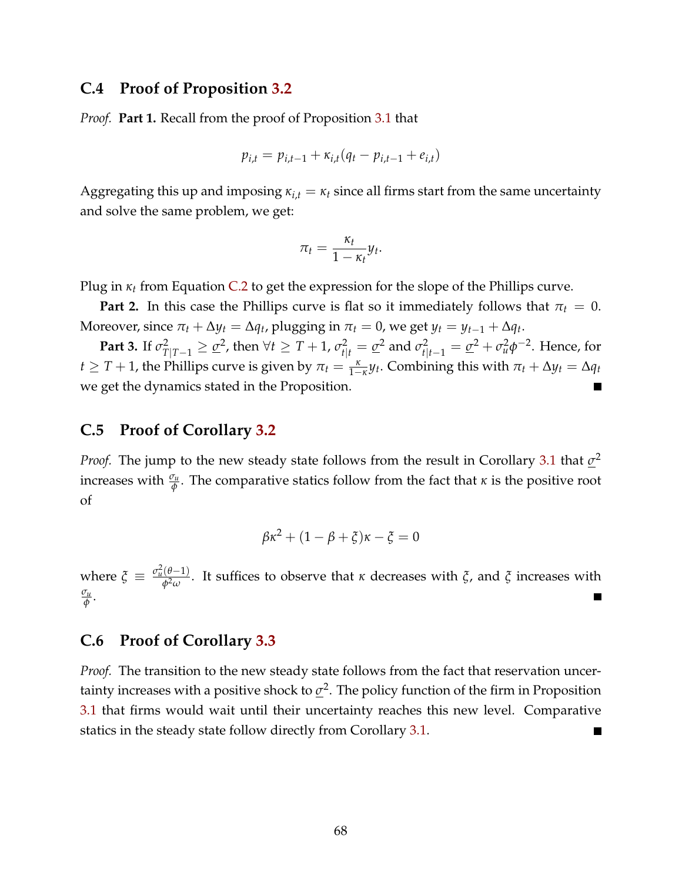### **C.4 Proof of Proposition [3.2](#page-28-0)**

*Proof.* **Part 1.** Recall from the proof of Proposition [3.1](#page-26-0) that

$$
p_{i,t} = p_{i,t-1} + \kappa_{i,t}(q_t - p_{i,t-1} + e_{i,t})
$$

Aggregating this up and imposing  $\kappa_{i,t} = \kappa_t$  since all firms start from the same uncertainty and solve the same problem, we get:

$$
\pi_t = \frac{\kappa_t}{1 - \kappa_t} y_t.
$$

Plug in *κ<sup>t</sup>* from Equation [C.2](#page-66-0) to get the expression for the slope of the Phillips curve.

**Part 2.** In this case the Phillips curve is flat so it immediately follows that  $\pi_t = 0$ . Moreover, since  $\pi_t + \Delta y_t = \Delta q_t$ , plugging in  $\pi_t = 0$ , we get  $y_t = y_{t-1} + \Delta q_t$ .

**Part 3.** If  $\sigma_{T|T-1}^2 \geq \underline{\sigma}^2$ , then  $\forall t \geq T+1$ ,  $\sigma_{t|t}^2 = \underline{\sigma}^2$  and  $\sigma_{t|t-1}^2 = \underline{\sigma}^2 + \sigma_u^2 \phi^{-2}$ . Hence, for  $t \geq T + 1$ , the Phillips curve is given by  $\pi_t = \frac{\kappa}{1-\kappa} y_t$ . Combining this with  $\pi_t + \Delta y_t = \Delta q_t$ we get the dynamics stated in the Proposition.

# **C.5 Proof of Corollary [3.2](#page-30-0)**

*Proof.* The jump to the new steady state follows from the result in Corollary [3.1](#page-27-0) that *σ* 2 increases with  $\frac{\sigma_u}{\phi}$ . The comparative statics follow from the fact that *κ* is the positive root of

$$
\beta \kappa^2 + (1 - \beta + \xi)\kappa - \xi = 0
$$

where  $\zeta \equiv \frac{\sigma_u^2(\theta-1)}{\phi_0^2(\theta)}$ *φ*2*ω* . It suffices to observe that *κ* decreases with *ξ*, and *ξ* increases with *σu φ* .

### **C.6 Proof of Corollary [3.3](#page-31-0)**

*Proof.* The transition to the new steady state follows from the fact that reservation uncertainty increases with a positive shock to *σ* 2 . The policy function of the firm in Proposition [3.1](#page-26-0) that firms would wait until their uncertainty reaches this new level. Comparative statics in the steady state follow directly from Corollary [3.1.](#page-27-0)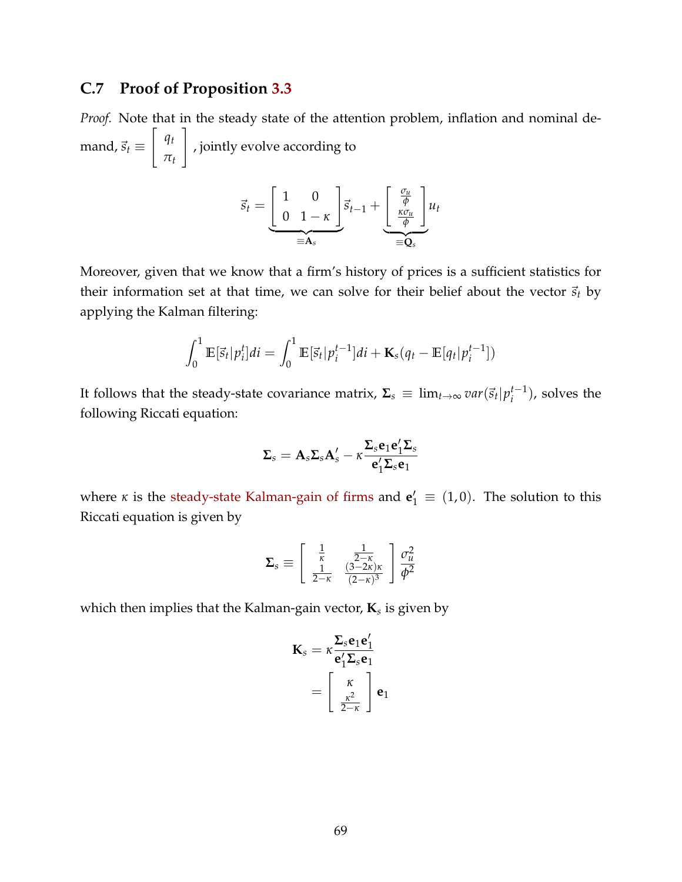# **C.7 Proof of Proposition [3.3](#page-32-0)**

*Proof.* Note that in the steady state of the attention problem, inflation and nominal demand,  $\vec{s}_t \equiv$  $\int q_t$ *πt* 1 , jointly evolve according to

$$
\vec{s}_t = \underbrace{\begin{bmatrix} 1 & 0 \\ 0 & 1 - \kappa \end{bmatrix}}_{\equiv \mathbf{A}_s} \vec{s}_{t-1} + \underbrace{\begin{bmatrix} \frac{\sigma_u}{\phi} \\ \frac{\kappa \sigma_u}{\phi} \end{bmatrix}}_{\equiv \mathbf{Q}_s} u_t
$$

Moreover, given that we know that a firm's history of prices is a sufficient statistics for their information set at that time, we can solve for their belief about the vector  $\vec{s}_t$  by applying the Kalman filtering:

$$
\int_0^1 \mathbb{E}[\vec{s}_t|p_i^t]di = \int_0^1 \mathbb{E}[\vec{s}_t|p_i^{t-1}]di + \mathbf{K}_s(q_t - \mathbb{E}[q_t|p_i^{t-1}])
$$

It follows that the steady-state covariance matrix,  $\mathbf{\Sigma}_s \, \equiv \, \lim_{t \to \infty} var(\vec{s}_t | p_i^{t-1})$  $i^{t-1}$ ), solves the following Riccati equation:

$$
\boldsymbol{\Sigma}_s = \mathbf{A}_s \boldsymbol{\Sigma}_s \mathbf{A}_s' - \kappa \frac{\boldsymbol{\Sigma}_s \mathbf{e}_1 \mathbf{e}_1' \boldsymbol{\Sigma}_s}{\mathbf{e}_1' \boldsymbol{\Sigma}_s \mathbf{e}_1}
$$

where *κ* is the [steady-state Kalman-gain of firms](#page-26-1) and  $\mathbf{e}'_1 \equiv (1,0)$ . The solution to this Riccati equation is given by

$$
\Sigma_s \equiv \begin{bmatrix} \frac{1}{\kappa} & \frac{1}{2-\kappa} \\ \frac{1}{2-\kappa} & \frac{(3-2\kappa)\kappa}{(2-\kappa)^3} \end{bmatrix} \frac{\sigma_u^2}{\phi^2}
$$

which then implies that the Kalman-gain vector, **K***<sup>s</sup>* is given by

$$
\mathbf{K}_{s} = \kappa \frac{\mathbf{\Sigma}_{s} \mathbf{e}_{1} \mathbf{e}'_{1}}{\mathbf{e}'_{1} \mathbf{\Sigma}_{s} \mathbf{e}_{1}}
$$

$$
= \begin{bmatrix} \kappa \\ \frac{\kappa^{2}}{2-\kappa} \end{bmatrix} \mathbf{e}_{1}
$$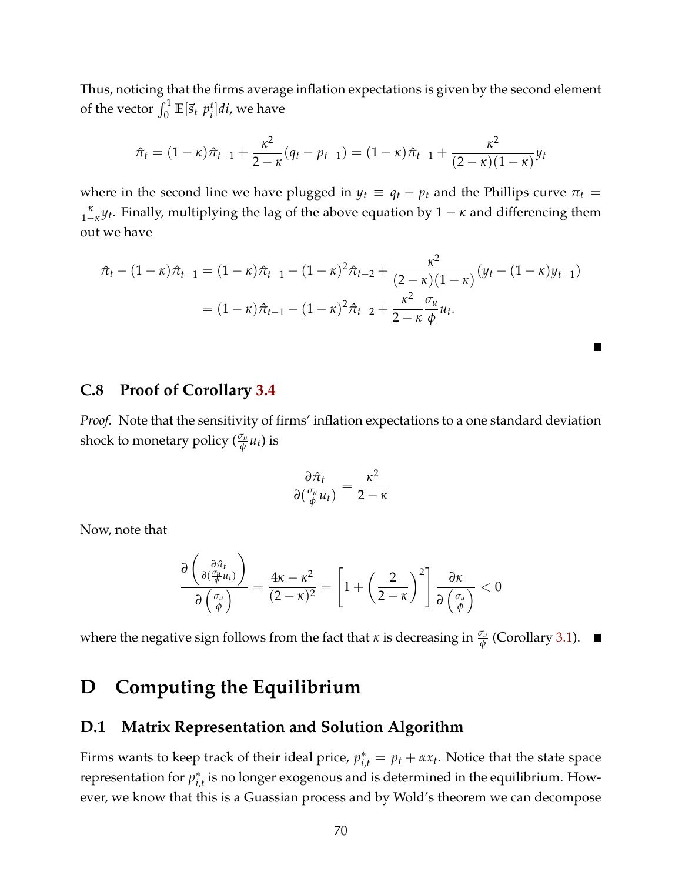Thus, noticing that the firms average inflation expectations is given by the second element of the vector  $\int_0^1 \mathbb{E}[\vec{s}_t | p_i^t]$ *i* ]*di*, we have

$$
\hat{\pi}_t = (1 - \kappa)\hat{\pi}_{t-1} + \frac{\kappa^2}{2 - \kappa}(q_t - p_{t-1}) = (1 - \kappa)\hat{\pi}_{t-1} + \frac{\kappa^2}{(2 - \kappa)(1 - \kappa)}y_t
$$

where in the second line we have plugged in  $y_t \equiv q_t - p_t$  and the Phillips curve  $\pi_t$  $\frac{\kappa}{1-\kappa}y_t$ . Finally, multiplying the lag of the above equation by  $1-\kappa$  and differencing them out we have

$$
\hat{\pi}_t - (1 - \kappa)\hat{\pi}_{t-1} = (1 - \kappa)\hat{\pi}_{t-1} - (1 - \kappa)^2 \hat{\pi}_{t-2} + \frac{\kappa^2}{(2 - \kappa)(1 - \kappa)}(y_t - (1 - \kappa)y_{t-1})
$$

$$
= (1 - \kappa)\hat{\pi}_{t-1} - (1 - \kappa)^2 \hat{\pi}_{t-2} + \frac{\kappa^2}{2 - \kappa} \frac{\sigma_u}{\phi} u_t.
$$

п

## **C.8 Proof of Corollary [3.4](#page-33-0)**

*Proof.* Note that the sensitivity of firms' inflation expectations to a one standard deviation shock to monetary policy  $(\frac{\sigma_u}{\phi}u_t)$  is

$$
\frac{\partial \hat{\pi}_t}{\partial(\frac{\sigma_u}{\phi}u_t)} = \frac{\kappa^2}{2-\kappa}
$$

Now, note that

$$
\frac{\partial \left(\frac{\partial \hat{\pi}_t}{\partial \left(\frac{\sigma_u}{\phi} u_t\right)}\right)}{\partial \left(\frac{\sigma_u}{\phi}\right)} = \frac{4\kappa - \kappa^2}{(2-\kappa)^2} = \left[1 + \left(\frac{2}{2-\kappa}\right)^2\right] \frac{\partial \kappa}{\partial \left(\frac{\sigma_u}{\phi}\right)} < 0
$$

where the negative sign follows from the fact that  $\kappa$  is decreasing in  $\frac{\sigma_u}{\phi}$  (Corollary [3.1\)](#page-27-0).

# **D Computing the Equilibrium**

#### <span id="page-69-0"></span>**D.1 Matrix Representation and Solution Algorithm**

Firms wants to keep track of their ideal price,  $p_{i,t}^* = p_t + \alpha x_t$ . Notice that the state space representation for *p* ∗  $_{i,t}^*$  is no longer exogenous and is determined in the equilibrium. However, we know that this is a Guassian process and by Wold's theorem we can decompose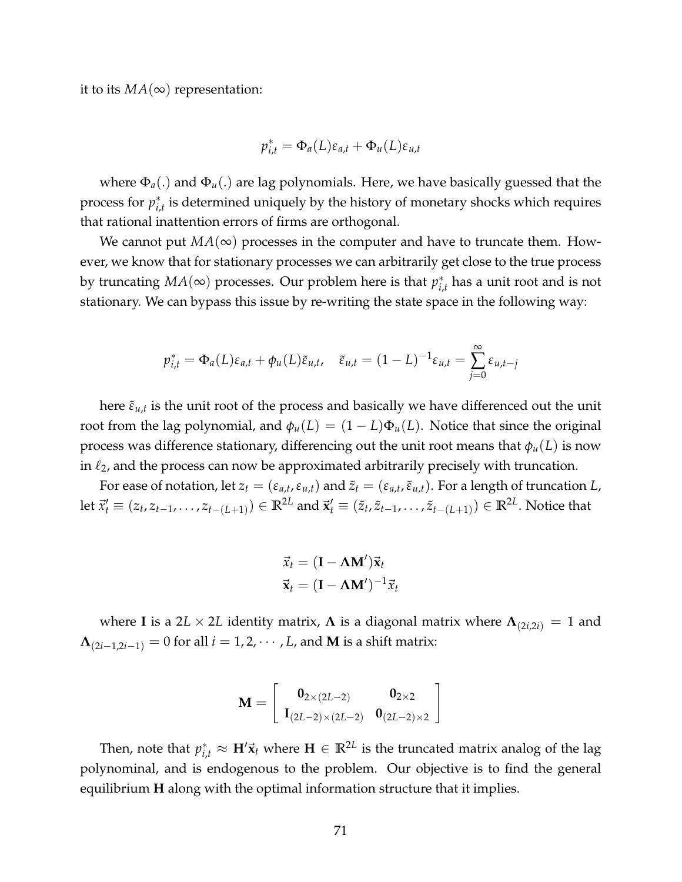it to its  $MA(\infty)$  representation:

$$
p_{i,t}^* = \Phi_a(L)\varepsilon_{a,t} + \Phi_u(L)\varepsilon_{u,t}
$$

where Φ*a*(.) and Φ*u*(.) are lag polynomials. Here, we have basically guessed that the process for  $p_i^*$ *i*,*t* is determined uniquely by the history of monetary shocks which requires that rational inattention errors of firms are orthogonal.

We cannot put  $MA(\infty)$  processes in the computer and have to truncate them. However, we know that for stationary processes we can arbitrarily get close to the true process by truncating  $MA(\infty)$  processes. Our problem here is that  $p_i^*$ *i*,*t* has a unit root and is not stationary. We can bypass this issue by re-writing the state space in the following way:

$$
p_{i,t}^* = \Phi_a(L)\varepsilon_{a,t} + \phi_u(L)\tilde{\varepsilon}_{u,t}, \quad \tilde{\varepsilon}_{u,t} = (1-L)^{-1}\varepsilon_{u,t} = \sum_{j=0}^{\infty} \varepsilon_{u,t-j}
$$

here  $\tilde{\varepsilon}_{u,t}$  is the unit root of the process and basically we have differenced out the unit root from the lag polynomial, and  $\phi_u(L) = (1 - L)\Phi_u(L)$ . Notice that since the original process was difference stationary, differencing out the unit root means that  $\phi_u(L)$  is now in  $\ell_2$ , and the process can now be approximated arbitrarily precisely with truncation.

For ease of notation, let  $z_t = (\varepsilon_{a,t}, \varepsilon_{u,t})$  and  $\tilde{z}_t = (\varepsilon_{a,t}, \tilde{\varepsilon}_{u,t})$ . For a length of truncation *L*, let  $\vec{x}'_t\equiv(z_t,z_{t-1},\ldots,z_{t-(L+1)})\in\mathbb{R}^{2L}$  and  $\vec{\mathbf{x}}'_t\equiv(\tilde{z}_t,\tilde{z}_{t-1},\ldots,\tilde{z}_{t-(L+1)})\in\mathbb{R}^{2L}.$  Notice that

$$
\vec{x}_t = (\mathbf{I} - \mathbf{\Lambda} \mathbf{M}') \vec{\mathbf{x}}_t
$$

$$
\vec{\mathbf{x}}_t = (\mathbf{I} - \mathbf{\Lambda} \mathbf{M}')^{-1} \vec{x}_t
$$

where **I** is a 2*L* × 2*L* identity matrix,  $\Lambda$  is a diagonal matrix where  $\Lambda_{(2i,2i)} = 1$  and **Λ**<sub>(2*i*−1,2*i*−1)</sub> = 0 for all *i* = 1,2, · · · , *L*, and **M** is a shift matrix:

$$
\mathbf{M} = \left[ \begin{array}{cc} \mathbf{0}_{2\times(2L-2)} & \mathbf{0}_{2\times2} \\ \mathbf{I}_{(2L-2)\times(2L-2)} & \mathbf{0}_{(2L-2)\times2} \end{array} \right]
$$

Then, note that  $p_{i,t}^* \approx \mathbf{H}'\vec{\mathbf{x}}_t$  where  $\mathbf{H} \in \mathbb{R}^{2L}$  is the truncated matrix analog of the lag polynominal, and is endogenous to the problem. Our objective is to find the general equilibrium **H** along with the optimal information structure that it implies.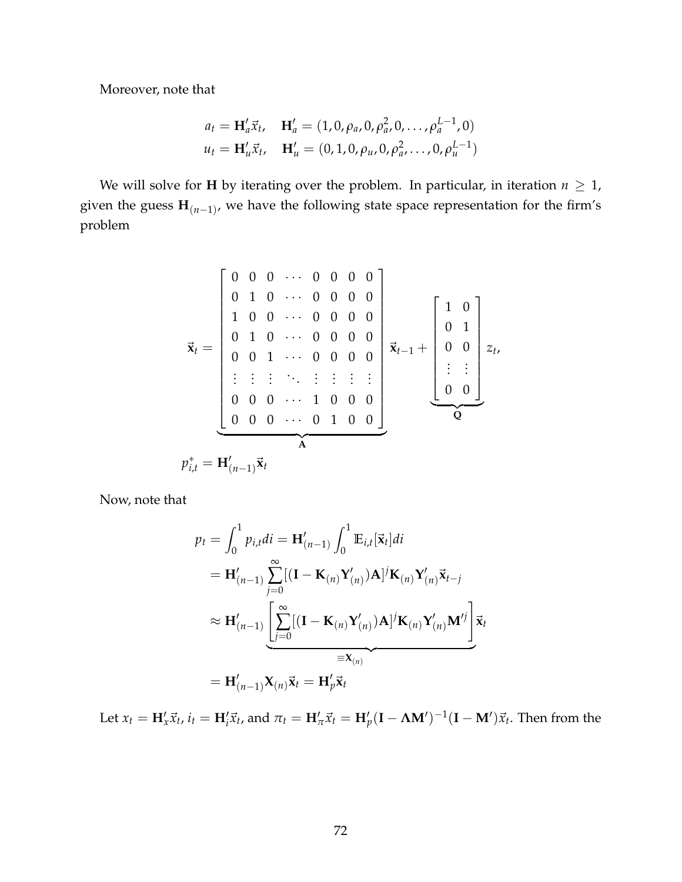Moreover, note that

$$
a_t = \mathbf{H}'_a \vec{x}_t, \quad \mathbf{H}'_a = (1, 0, \rho_a, 0, \rho_a^2, 0, \dots, \rho_a^{L-1}, 0)
$$
  

$$
u_t = \mathbf{H}'_u \vec{x}_t, \quad \mathbf{H}'_u = (0, 1, 0, \rho_u, 0, \rho_a^2, \dots, 0, \rho_u^{L-1})
$$

We will solve for **H** by iterating over the problem. In particular, in iteration  $n \geq 1$ , given the guess **H**(*n*−1) , we have the following state space representation for the firm's problem

$$
\vec{\mathbf{x}}_t = \begin{bmatrix}\n0 & 0 & 0 & \cdots & 0 & 0 & 0 & 0 \\
0 & 1 & 0 & \cdots & 0 & 0 & 0 & 0 \\
1 & 0 & 0 & \cdots & 0 & 0 & 0 & 0 \\
0 & 1 & 0 & \cdots & 0 & 0 & 0 & 0 \\
0 & 0 & 1 & \cdots & 0 & 0 & 0 & 0 \\
\vdots & \vdots & \vdots & \ddots & \vdots & \vdots & \vdots & \vdots \\
0 & 0 & 0 & \cdots & 1 & 0 & 0 & 0 \\
0 & 0 & 0 & \cdots & 0 & 1 & 0 & 0\n\end{bmatrix} \vec{\mathbf{x}}_{t-1} + \begin{bmatrix}\n1 & 0 \\
0 & 1 \\
0 & 0 \\
\vdots & \vdots \\
0 & 0\n\end{bmatrix} z_t,
$$
\n
$$
p_{i,t}^* = \mathbf{H}'_{(n-1)} \vec{\mathbf{x}}_t
$$

Now, note that

$$
p_t = \int_0^1 p_{i,t}di = \mathbf{H}'_{(n-1)} \int_0^1 \mathbb{E}_{i,t}[\vec{\mathbf{x}}_t]di
$$
  
\n
$$
= \mathbf{H}'_{(n-1)} \sum_{j=0}^{\infty} [(\mathbf{I} - \mathbf{K}_{(n)} \mathbf{Y}'_{(n)}) \mathbf{A}]^j \mathbf{K}_{(n)} \mathbf{Y}'_{(n)} \vec{\mathbf{x}}_{t-j}
$$
  
\n
$$
\approx \mathbf{H}'_{(n-1)} \underbrace{\left[ \sum_{j=0}^{\infty} [(\mathbf{I} - \mathbf{K}_{(n)} \mathbf{Y}'_{(n)}) \mathbf{A}]^j \mathbf{K}_{(n)} \mathbf{Y}'_{(n)} \mathbf{M}'^j \right] \vec{\mathbf{x}}_t
$$
  
\n
$$
= \mathbf{X}_{(n)}
$$
  
\n
$$
= \mathbf{H}'_{(n-1)} \mathbf{X}_{(n)} \vec{\mathbf{x}}_t = \mathbf{H}'_p \vec{\mathbf{x}}_t
$$

Let  $x_t = \mathbf{H}'_x \vec{x}_t$ ,  $i_t = \mathbf{H}'_i \vec{x}_t$ , and  $\pi_t = \mathbf{H}'_\pi \vec{x}_t = \mathbf{H}'_p (\mathbf{I} - \mathbf{\Lambda} \mathbf{M}')^{-1} (\mathbf{I} - \mathbf{M}') \vec{x}_t$ . Then from the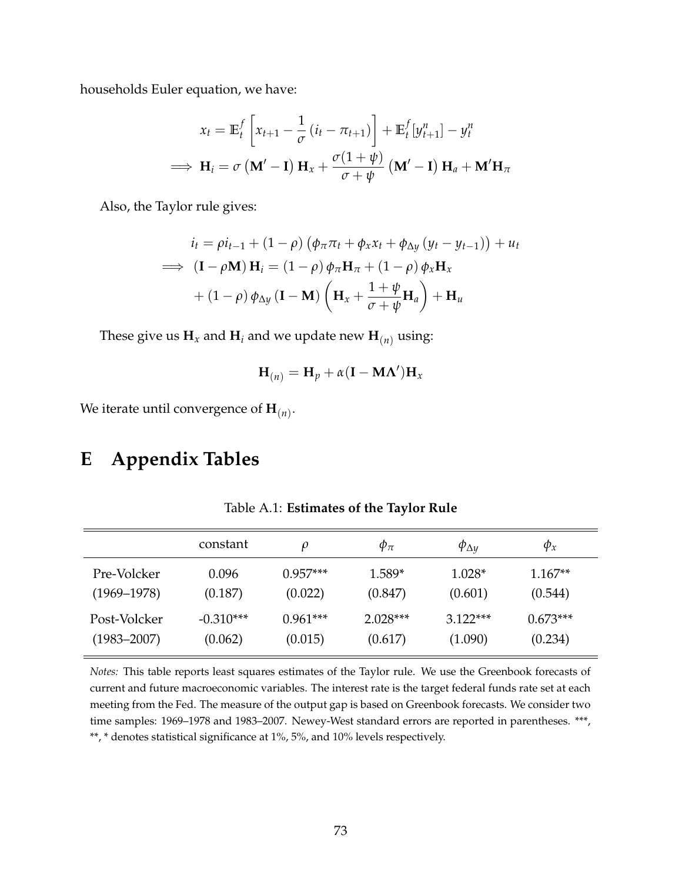households Euler equation, we have:

$$
x_{t} = \mathbb{E}_{t}^{f} \left[ x_{t+1} - \frac{1}{\sigma} \left( i_{t} - \pi_{t+1} \right) \right] + \mathbb{E}_{t}^{f} \left[ y_{t+1}^{n} \right] - y_{t}^{n}
$$
\n
$$
\implies \mathbf{H}_{i} = \sigma \left( \mathbf{M}^{\prime} - \mathbf{I} \right) \mathbf{H}_{x} + \frac{\sigma (1 + \psi)}{\sigma + \psi} \left( \mathbf{M}^{\prime} - \mathbf{I} \right) \mathbf{H}_{a} + \mathbf{M}^{\prime} \mathbf{H}_{\pi}
$$

Also, the Taylor rule gives:

$$
i_{t} = \rho i_{t-1} + (1 - \rho) \left( \phi_{\pi} \pi_{t} + \phi_{x} x_{t} + \phi_{\Delta y} \left( y_{t} - y_{t-1} \right) \right) + u_{t}
$$
  
\n
$$
\implies (\mathbf{I} - \rho \mathbf{M}) \mathbf{H}_{i} = (1 - \rho) \phi_{\pi} \mathbf{H}_{\pi} + (1 - \rho) \phi_{x} \mathbf{H}_{x}
$$
  
\n
$$
+ (1 - \rho) \phi_{\Delta y} (\mathbf{I} - \mathbf{M}) \left( \mathbf{H}_{x} + \frac{1 + \psi}{\sigma + \psi} \mathbf{H}_{a} \right) + \mathbf{H}_{u}
$$

These give us  $\mathbf{H}_x$  and  $\mathbf{H}_i$  and we update new  $\mathbf{H}_{(n)}$  using:

$$
\mathbf{H}_{(n)} = \mathbf{H}_p + \alpha(\mathbf{I} - \mathbf{M}\Lambda')\mathbf{H}_x
$$

We iterate until convergence of  $\mathbf{H}_{(n)}.$ 

## **E Appendix Tables**

|                 | constant    | ρ          | $\varphi_{\pi}$ | $\phi_{\Delta y}$ | $\phi_x$   |
|-----------------|-------------|------------|-----------------|-------------------|------------|
| Pre-Volcker     | 0.096       | $0.957***$ | $1.589*$        | $1.028*$          | $1.167**$  |
| $(1969 - 1978)$ | (0.187)     | (0.022)    | (0.847)         | (0.601)           | (0.544)    |
| Post-Volcker    | $-0.310***$ | $0.961***$ | $2.028***$      | $3.122***$        | $0.673***$ |
| (1983–2007)     | (0.062)     | (0.015)    | (0.617)         | (1.090)           | (0.234)    |

Table A.1: **Estimates of the Taylor Rule**

*Notes:* This table reports least squares estimates of the Taylor rule. We use the Greenbook forecasts of current and future macroeconomic variables. The interest rate is the target federal funds rate set at each meeting from the Fed. The measure of the output gap is based on Greenbook forecasts. We consider two time samples: 1969–1978 and 1983–2007. Newey-West standard errors are reported in parentheses. \*\*\*, \*\*, \* denotes statistical significance at 1%, 5%, and 10% levels respectively.